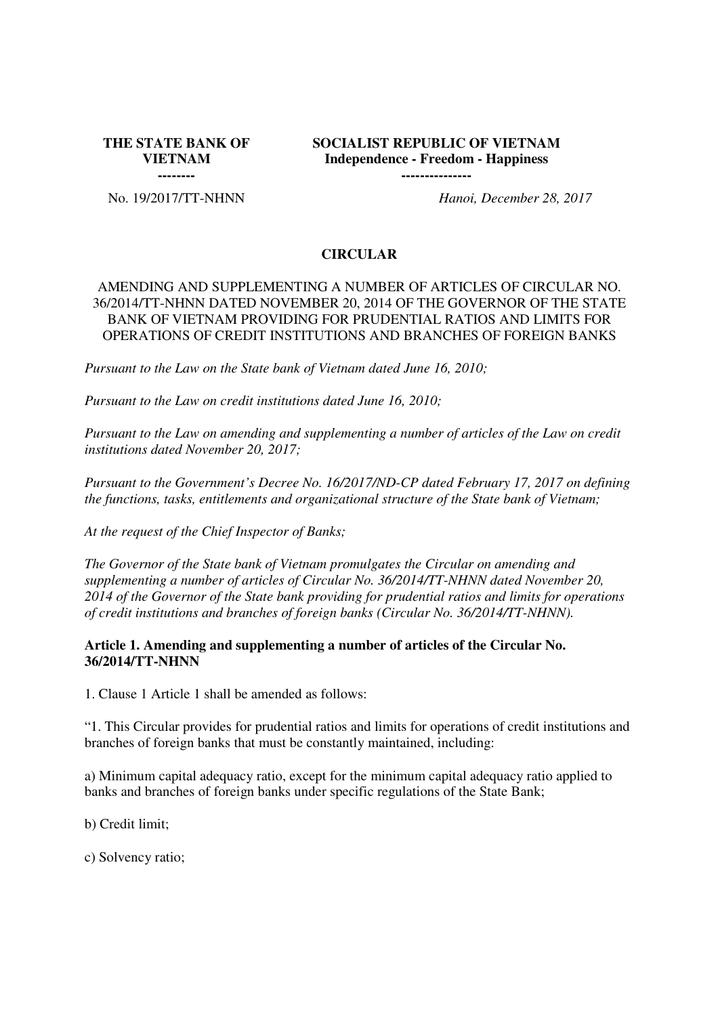**THE STATE BANK OF VIETNAM --------**

**SOCIALIST REPUBLIC OF VIETNAM Independence - Freedom - Happiness ---------------**

No. 19/2017/TT-NHNN *Hanoi, December 28, 2017*

#### **CIRCULAR**

## AMENDING AND SUPPLEMENTING A NUMBER OF ARTICLES OF CIRCULAR NO. 36/2014/TT-NHNN DATED NOVEMBER 20, 2014 OF THE GOVERNOR OF THE STATE BANK OF VIETNAM PROVIDING FOR PRUDENTIAL RATIOS AND LIMITS FOR OPERATIONS OF CREDIT INSTITUTIONS AND BRANCHES OF FOREIGN BANKS

*Pursuant to the Law on the State bank of Vietnam dated June 16, 2010;*

*Pursuant to the Law on credit institutions dated June 16, 2010;*

*Pursuant to the Law on amending and supplementing a number of articles of the Law on credit institutions dated November 20, 2017;*

*Pursuant to the Government's Decree No. 16/2017/ND-CP dated February 17, 2017 on defining the functions, tasks, entitlements and organizational structure of the State bank of Vietnam;* 

*At the request of the Chief Inspector of Banks;* 

*The Governor of the State bank of Vietnam promulgates the Circular on amending and supplementing a number of articles of Circular No. 36/2014/TT-NHNN dated November 20, 2014 of the Governor of the State bank providing for prudential ratios and limits for operations of credit institutions and branches of foreign banks (Circular No. 36/2014/TT-NHNN).* 

#### **Article 1. Amending and supplementing a number of articles of the Circular No. 36/2014/TT-NHNN**

1. Clause 1 Article 1 shall be amended as follows:

"1. This Circular provides for prudential ratios and limits for operations of credit institutions and branches of foreign banks that must be constantly maintained, including:

a) Minimum capital adequacy ratio, except for the minimum capital adequacy ratio applied to banks and branches of foreign banks under specific regulations of the State Bank;

b) Credit limit;

c) Solvency ratio;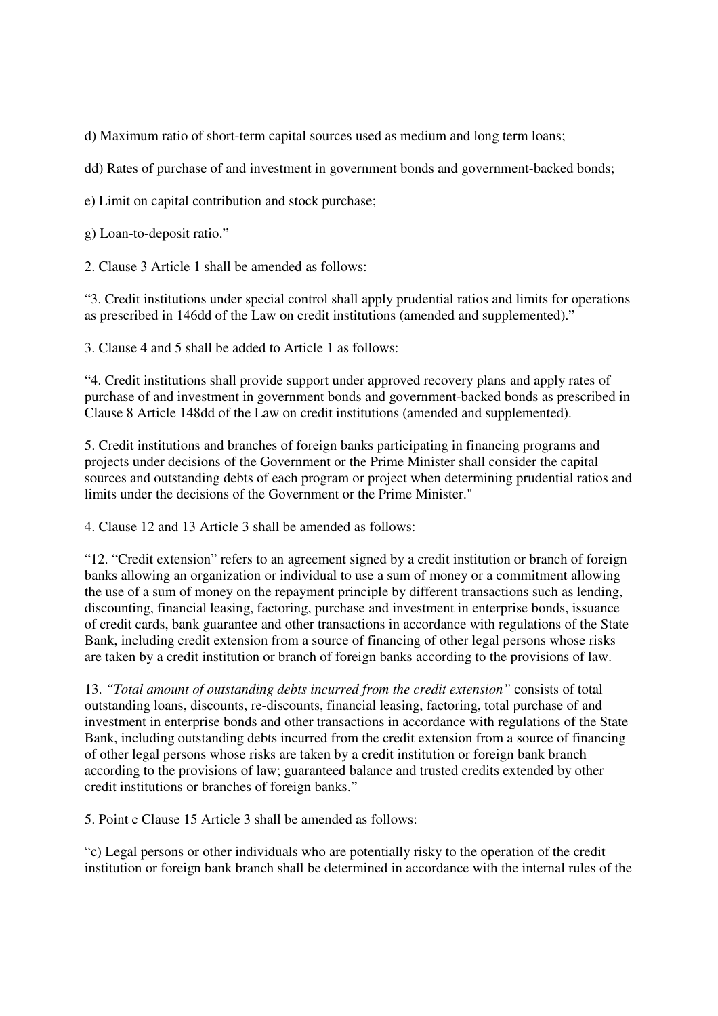d) Maximum ratio of short-term capital sources used as medium and long term loans;

dd) Rates of purchase of and investment in government bonds and government-backed bonds;

e) Limit on capital contribution and stock purchase;

g) Loan-to-deposit ratio."

2. Clause 3 Article 1 shall be amended as follows:

"3. Credit institutions under special control shall apply prudential ratios and limits for operations as prescribed in 146dd of the Law on credit institutions (amended and supplemented)."

3. Clause 4 and 5 shall be added to Article 1 as follows:

"4. Credit institutions shall provide support under approved recovery plans and apply rates of purchase of and investment in government bonds and government-backed bonds as prescribed in Clause 8 Article 148dd of the Law on credit institutions (amended and supplemented).

5. Credit institutions and branches of foreign banks participating in financing programs and projects under decisions of the Government or the Prime Minister shall consider the capital sources and outstanding debts of each program or project when determining prudential ratios and limits under the decisions of the Government or the Prime Minister."

4. Clause 12 and 13 Article 3 shall be amended as follows:

"12. "Credit extension" refers to an agreement signed by a credit institution or branch of foreign banks allowing an organization or individual to use a sum of money or a commitment allowing the use of a sum of money on the repayment principle by different transactions such as lending, discounting, financial leasing, factoring, purchase and investment in enterprise bonds, issuance of credit cards, bank guarantee and other transactions in accordance with regulations of the State Bank, including credit extension from a source of financing of other legal persons whose risks are taken by a credit institution or branch of foreign banks according to the provisions of law.

13. *"Total amount of outstanding debts incurred from the credit extension"* consists of total outstanding loans, discounts, re-discounts, financial leasing, factoring, total purchase of and investment in enterprise bonds and other transactions in accordance with regulations of the State Bank, including outstanding debts incurred from the credit extension from a source of financing of other legal persons whose risks are taken by a credit institution or foreign bank branch according to the provisions of law; guaranteed balance and trusted credits extended by other credit institutions or branches of foreign banks."

5. Point c Clause 15 Article 3 shall be amended as follows:

"c) Legal persons or other individuals who are potentially risky to the operation of the credit institution or foreign bank branch shall be determined in accordance with the internal rules of the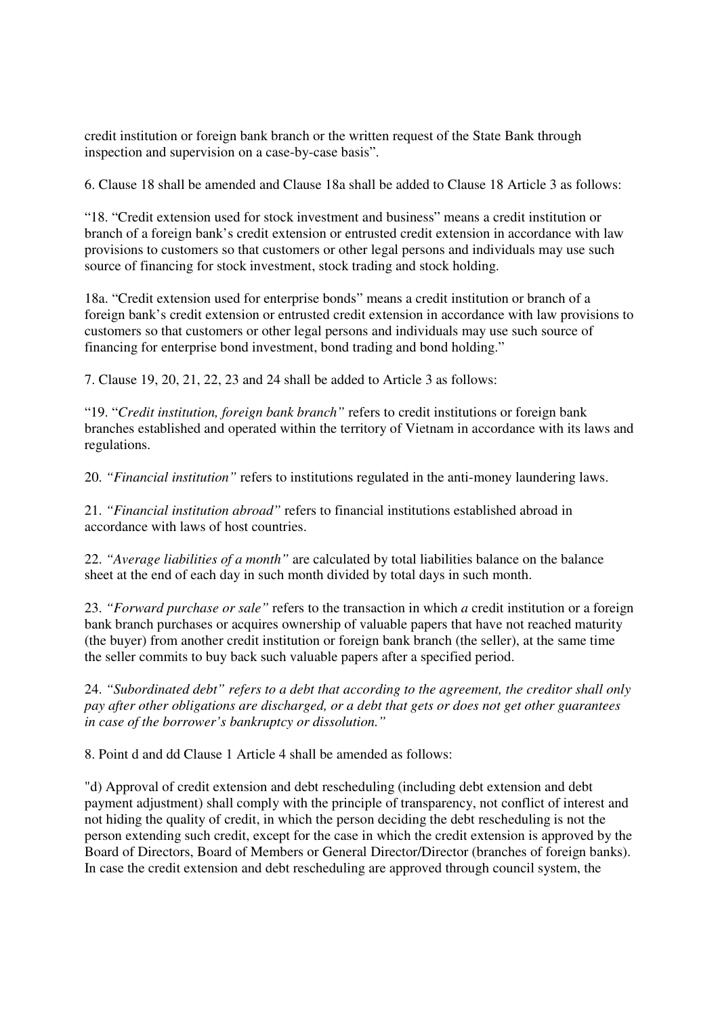credit institution or foreign bank branch or the written request of the State Bank through inspection and supervision on a case-by-case basis".

6. Clause 18 shall be amended and Clause 18a shall be added to Clause 18 Article 3 as follows:

"18. "Credit extension used for stock investment and business" means a credit institution or branch of a foreign bank's credit extension or entrusted credit extension in accordance with law provisions to customers so that customers or other legal persons and individuals may use such source of financing for stock investment, stock trading and stock holding.

18a. "Credit extension used for enterprise bonds" means a credit institution or branch of a foreign bank's credit extension or entrusted credit extension in accordance with law provisions to customers so that customers or other legal persons and individuals may use such source of financing for enterprise bond investment, bond trading and bond holding."

7. Clause 19, 20, 21, 22, 23 and 24 shall be added to Article 3 as follows:

"19. "*Credit institution, foreign bank branch"* refers to credit institutions or foreign bank branches established and operated within the territory of Vietnam in accordance with its laws and regulations.

20. *"Financial institution"* refers to institutions regulated in the anti-money laundering laws.

21. *"Financial institution abroad"* refers to financial institutions established abroad in accordance with laws of host countries.

22. *"Average liabilities of a month"* are calculated by total liabilities balance on the balance sheet at the end of each day in such month divided by total days in such month.

23. *"Forward purchase or sale"* refers to the transaction in which *a* credit institution or a foreign bank branch purchases or acquires ownership of valuable papers that have not reached maturity (the buyer) from another credit institution or foreign bank branch (the seller), at the same time the seller commits to buy back such valuable papers after a specified period.

24. *"Subordinated debt" refers to a debt that according to the agreement, the creditor shall only pay after other obligations are discharged, or a debt that gets or does not get other guarantees in case of the borrower's bankruptcy or dissolution."*

8. Point d and dd Clause 1 Article 4 shall be amended as follows:

"d) Approval of credit extension and debt rescheduling (including debt extension and debt payment adjustment) shall comply with the principle of transparency, not conflict of interest and not hiding the quality of credit, in which the person deciding the debt rescheduling is not the person extending such credit, except for the case in which the credit extension is approved by the Board of Directors, Board of Members or General Director/Director (branches of foreign banks). In case the credit extension and debt rescheduling are approved through council system, the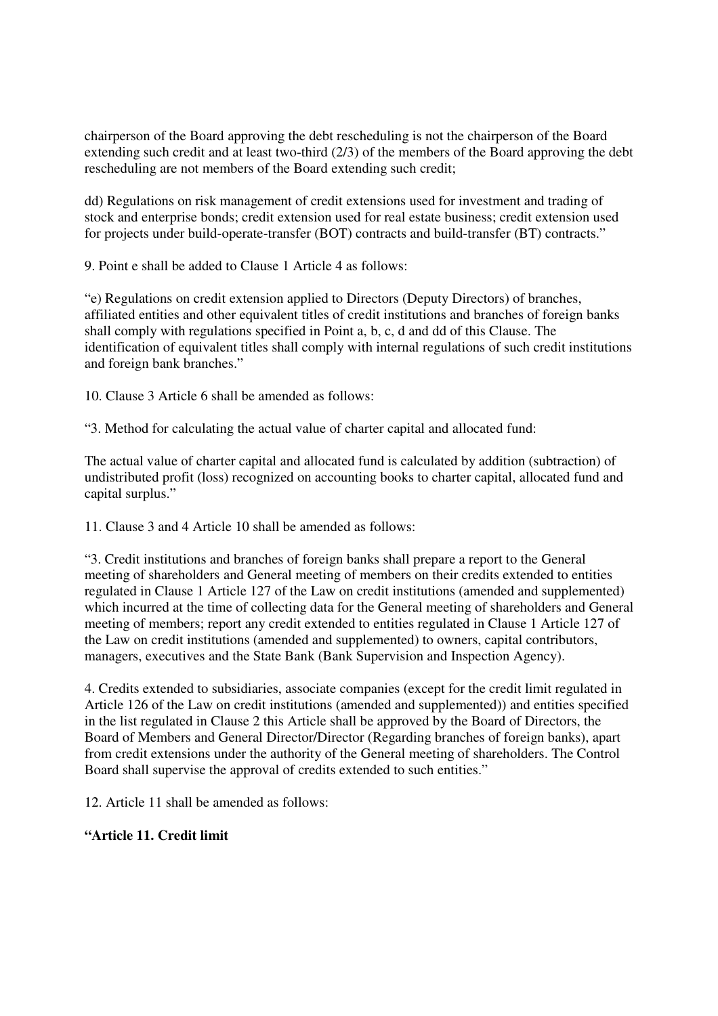chairperson of the Board approving the debt rescheduling is not the chairperson of the Board extending such credit and at least two-third (2/3) of the members of the Board approving the debt rescheduling are not members of the Board extending such credit;

dd) Regulations on risk management of credit extensions used for investment and trading of stock and enterprise bonds; credit extension used for real estate business; credit extension used for projects under build-operate-transfer (BOT) contracts and build-transfer (BT) contracts."

9. Point e shall be added to Clause 1 Article 4 as follows:

"e) Regulations on credit extension applied to Directors (Deputy Directors) of branches, affiliated entities and other equivalent titles of credit institutions and branches of foreign banks shall comply with regulations specified in Point a, b, c, d and dd of this Clause. The identification of equivalent titles shall comply with internal regulations of such credit institutions and foreign bank branches."

10. Clause 3 Article 6 shall be amended as follows:

"3. Method for calculating the actual value of charter capital and allocated fund:

The actual value of charter capital and allocated fund is calculated by addition (subtraction) of undistributed profit (loss) recognized on accounting books to charter capital, allocated fund and capital surplus."

11. Clause 3 and 4 Article 10 shall be amended as follows:

"3. Credit institutions and branches of foreign banks shall prepare a report to the General meeting of shareholders and General meeting of members on their credits extended to entities regulated in Clause 1 Article 127 of the Law on credit institutions (amended and supplemented) which incurred at the time of collecting data for the General meeting of shareholders and General meeting of members; report any credit extended to entities regulated in Clause 1 Article 127 of the Law on credit institutions (amended and supplemented) to owners, capital contributors, managers, executives and the State Bank (Bank Supervision and Inspection Agency).

4. Credits extended to subsidiaries, associate companies (except for the credit limit regulated in Article 126 of the Law on credit institutions (amended and supplemented)) and entities specified in the list regulated in Clause 2 this Article shall be approved by the Board of Directors, the Board of Members and General Director/Director (Regarding branches of foreign banks), apart from credit extensions under the authority of the General meeting of shareholders. The Control Board shall supervise the approval of credits extended to such entities."

12. Article 11 shall be amended as follows:

### **"Article 11. Credit limit**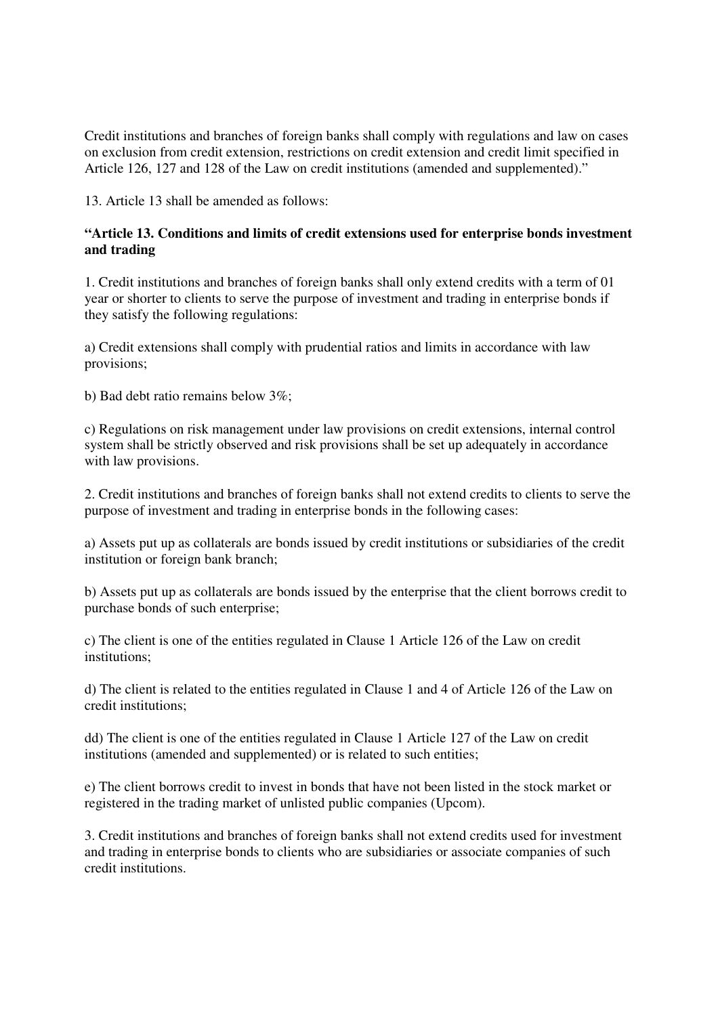Credit institutions and branches of foreign banks shall comply with regulations and law on cases on exclusion from credit extension, restrictions on credit extension and credit limit specified in Article 126, 127 and 128 of the Law on credit institutions (amended and supplemented)."

13. Article 13 shall be amended as follows:

## **"Article 13. Conditions and limits of credit extensions used for enterprise bonds investment and trading**

1. Credit institutions and branches of foreign banks shall only extend credits with a term of 01 year or shorter to clients to serve the purpose of investment and trading in enterprise bonds if they satisfy the following regulations:

a) Credit extensions shall comply with prudential ratios and limits in accordance with law provisions;

b) Bad debt ratio remains below 3%;

c) Regulations on risk management under law provisions on credit extensions, internal control system shall be strictly observed and risk provisions shall be set up adequately in accordance with law provisions.

2. Credit institutions and branches of foreign banks shall not extend credits to clients to serve the purpose of investment and trading in enterprise bonds in the following cases:

a) Assets put up as collaterals are bonds issued by credit institutions or subsidiaries of the credit institution or foreign bank branch;

b) Assets put up as collaterals are bonds issued by the enterprise that the client borrows credit to purchase bonds of such enterprise;

c) The client is one of the entities regulated in Clause 1 Article 126 of the Law on credit institutions;

d) The client is related to the entities regulated in Clause 1 and 4 of Article 126 of the Law on credit institutions;

dd) The client is one of the entities regulated in Clause 1 Article 127 of the Law on credit institutions (amended and supplemented) or is related to such entities;

e) The client borrows credit to invest in bonds that have not been listed in the stock market or registered in the trading market of unlisted public companies (Upcom).

3. Credit institutions and branches of foreign banks shall not extend credits used for investment and trading in enterprise bonds to clients who are subsidiaries or associate companies of such credit institutions.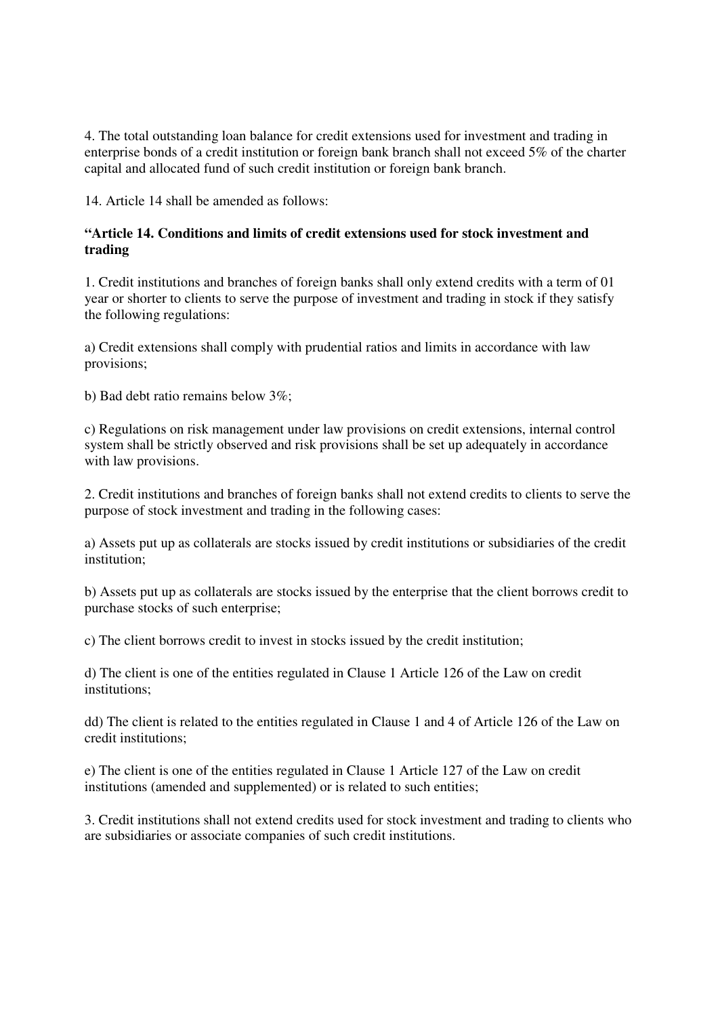4. The total outstanding loan balance for credit extensions used for investment and trading in enterprise bonds of a credit institution or foreign bank branch shall not exceed 5% of the charter capital and allocated fund of such credit institution or foreign bank branch.

14. Article 14 shall be amended as follows:

## **"Article 14. Conditions and limits of credit extensions used for stock investment and trading**

1. Credit institutions and branches of foreign banks shall only extend credits with a term of 01 year or shorter to clients to serve the purpose of investment and trading in stock if they satisfy the following regulations:

a) Credit extensions shall comply with prudential ratios and limits in accordance with law provisions;

b) Bad debt ratio remains below 3%;

c) Regulations on risk management under law provisions on credit extensions, internal control system shall be strictly observed and risk provisions shall be set up adequately in accordance with law provisions.

2. Credit institutions and branches of foreign banks shall not extend credits to clients to serve the purpose of stock investment and trading in the following cases:

a) Assets put up as collaterals are stocks issued by credit institutions or subsidiaries of the credit institution;

b) Assets put up as collaterals are stocks issued by the enterprise that the client borrows credit to purchase stocks of such enterprise;

c) The client borrows credit to invest in stocks issued by the credit institution;

d) The client is one of the entities regulated in Clause 1 Article 126 of the Law on credit institutions;

dd) The client is related to the entities regulated in Clause 1 and 4 of Article 126 of the Law on credit institutions;

e) The client is one of the entities regulated in Clause 1 Article 127 of the Law on credit institutions (amended and supplemented) or is related to such entities;

3. Credit institutions shall not extend credits used for stock investment and trading to clients who are subsidiaries or associate companies of such credit institutions.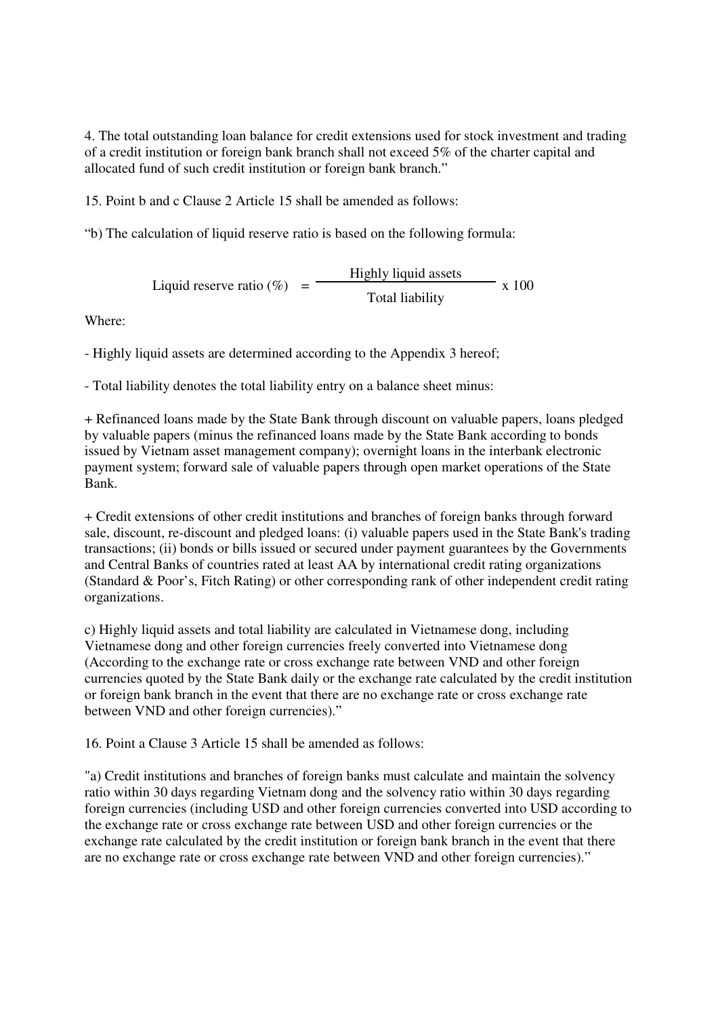4. The total outstanding loan balance for credit extensions used for stock investment and trading of a credit institution or foreign bank branch shall not exceed 5% of the charter capital and allocated fund of such credit institution or foreign bank branch."

15. Point b and c Clause 2 Article 15 shall be amended as follows:

"b) The calculation of liquid reserve ratio is based on the following formula:

Liquid reserve ratio  $(\% )$  = Highly liquid assets x 100 Total liability

Where:

- Highly liquid assets are determined according to the Appendix 3 hereof;

- Total liability denotes the total liability entry on a balance sheet minus:

+ Refinanced loans made by the State Bank through discount on valuable papers, loans pledged by valuable papers (minus the refinanced loans made by the State Bank according to bonds issued by Vietnam asset management company); overnight loans in the interbank electronic payment system; forward sale of valuable papers through open market operations of the State Bank.

+ Credit extensions of other credit institutions and branches of foreign banks through forward sale, discount, re-discount and pledged loans: (i) valuable papers used in the State Bank's trading transactions; (ii) bonds or bills issued or secured under payment guarantees by the Governments and Central Banks of countries rated at least AA by international credit rating organizations (Standard & Poor's, Fitch Rating) or other corresponding rank of other independent credit rating organizations.

c) Highly liquid assets and total liability are calculated in Vietnamese dong, including Vietnamese dong and other foreign currencies freely converted into Vietnamese dong (According to the exchange rate or cross exchange rate between VND and other foreign currencies quoted by the State Bank daily or the exchange rate calculated by the credit institution or foreign bank branch in the event that there are no exchange rate or cross exchange rate between VND and other foreign currencies)."

16. Point a Clause 3 Article 15 shall be amended as follows:

"a) Credit institutions and branches of foreign banks must calculate and maintain the solvency ratio within 30 days regarding Vietnam dong and the solvency ratio within 30 days regarding foreign currencies (including USD and other foreign currencies converted into USD according to the exchange rate or cross exchange rate between USD and other foreign currencies or the exchange rate calculated by the credit institution or foreign bank branch in the event that there are no exchange rate or cross exchange rate between VND and other foreign currencies)."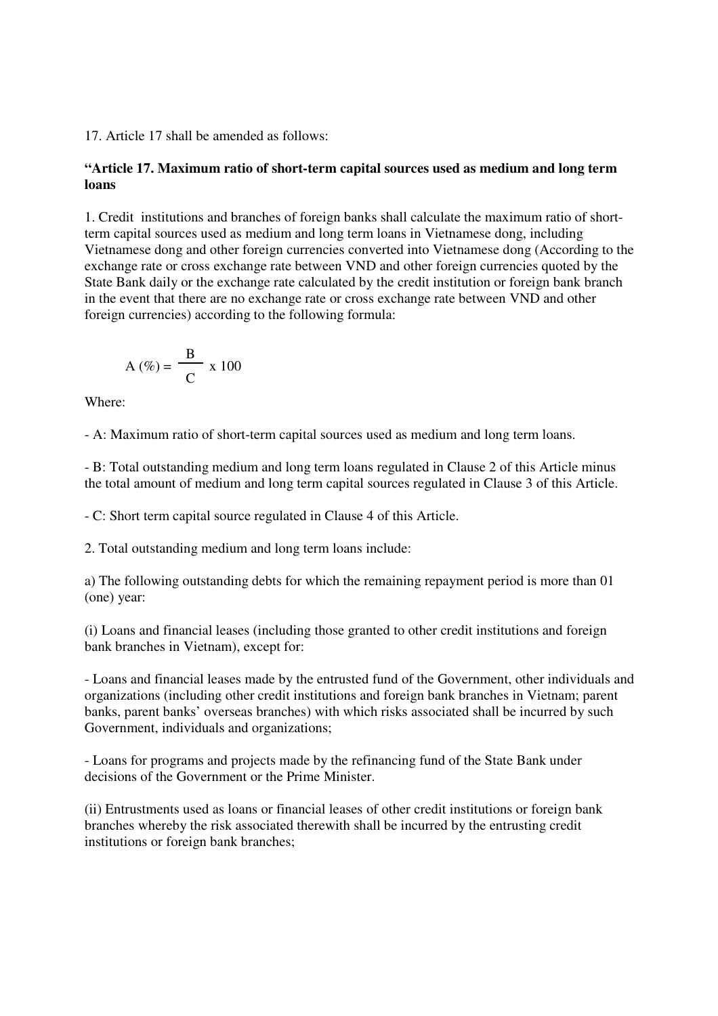17. Article 17 shall be amended as follows:

## **"Article 17. Maximum ratio of short-term capital sources used as medium and long term loans**

1. Credit institutions and branches of foreign banks shall calculate the maximum ratio of shortterm capital sources used as medium and long term loans in Vietnamese dong, including Vietnamese dong and other foreign currencies converted into Vietnamese dong (According to the exchange rate or cross exchange rate between VND and other foreign currencies quoted by the State Bank daily or the exchange rate calculated by the credit institution or foreign bank branch in the event that there are no exchange rate or cross exchange rate between VND and other foreign currencies) according to the following formula:

$$
A(\%) = \frac{B}{C} \times 100
$$

Where:

- A: Maximum ratio of short-term capital sources used as medium and long term loans.

- B: Total outstanding medium and long term loans regulated in Clause 2 of this Article minus the total amount of medium and long term capital sources regulated in Clause 3 of this Article.

- C: Short term capital source regulated in Clause 4 of this Article.

2. Total outstanding medium and long term loans include:

a) The following outstanding debts for which the remaining repayment period is more than 01 (one) year:

(i) Loans and financial leases (including those granted to other credit institutions and foreign bank branches in Vietnam), except for:

- Loans and financial leases made by the entrusted fund of the Government, other individuals and organizations (including other credit institutions and foreign bank branches in Vietnam; parent banks, parent banks' overseas branches) with which risks associated shall be incurred by such Government, individuals and organizations;

- Loans for programs and projects made by the refinancing fund of the State Bank under decisions of the Government or the Prime Minister.

(ii) Entrustments used as loans or financial leases of other credit institutions or foreign bank branches whereby the risk associated therewith shall be incurred by the entrusting credit institutions or foreign bank branches;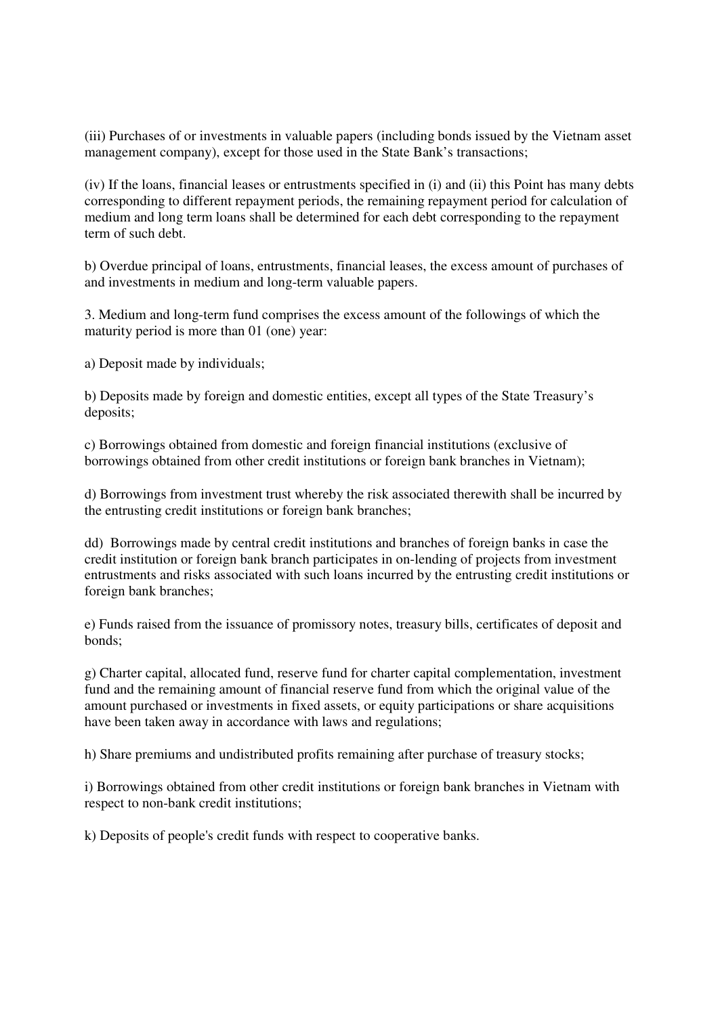(iii) Purchases of or investments in valuable papers (including bonds issued by the Vietnam asset management company), except for those used in the State Bank's transactions;

(iv) If the loans, financial leases or entrustments specified in (i) and (ii) this Point has many debts corresponding to different repayment periods, the remaining repayment period for calculation of medium and long term loans shall be determined for each debt corresponding to the repayment term of such debt.

b) Overdue principal of loans, entrustments, financial leases, the excess amount of purchases of and investments in medium and long-term valuable papers.

3. Medium and long-term fund comprises the excess amount of the followings of which the maturity period is more than 01 (one) year:

a) Deposit made by individuals;

b) Deposits made by foreign and domestic entities, except all types of the State Treasury's deposits;

c) Borrowings obtained from domestic and foreign financial institutions (exclusive of borrowings obtained from other credit institutions or foreign bank branches in Vietnam);

d) Borrowings from investment trust whereby the risk associated therewith shall be incurred by the entrusting credit institutions or foreign bank branches;

dd) Borrowings made by central credit institutions and branches of foreign banks in case the credit institution or foreign bank branch participates in on-lending of projects from investment entrustments and risks associated with such loans incurred by the entrusting credit institutions or foreign bank branches;

e) Funds raised from the issuance of promissory notes, treasury bills, certificates of deposit and bonds;

g) Charter capital, allocated fund, reserve fund for charter capital complementation, investment fund and the remaining amount of financial reserve fund from which the original value of the amount purchased or investments in fixed assets, or equity participations or share acquisitions have been taken away in accordance with laws and regulations;

h) Share premiums and undistributed profits remaining after purchase of treasury stocks;

i) Borrowings obtained from other credit institutions or foreign bank branches in Vietnam with respect to non-bank credit institutions;

k) Deposits of people's credit funds with respect to cooperative banks.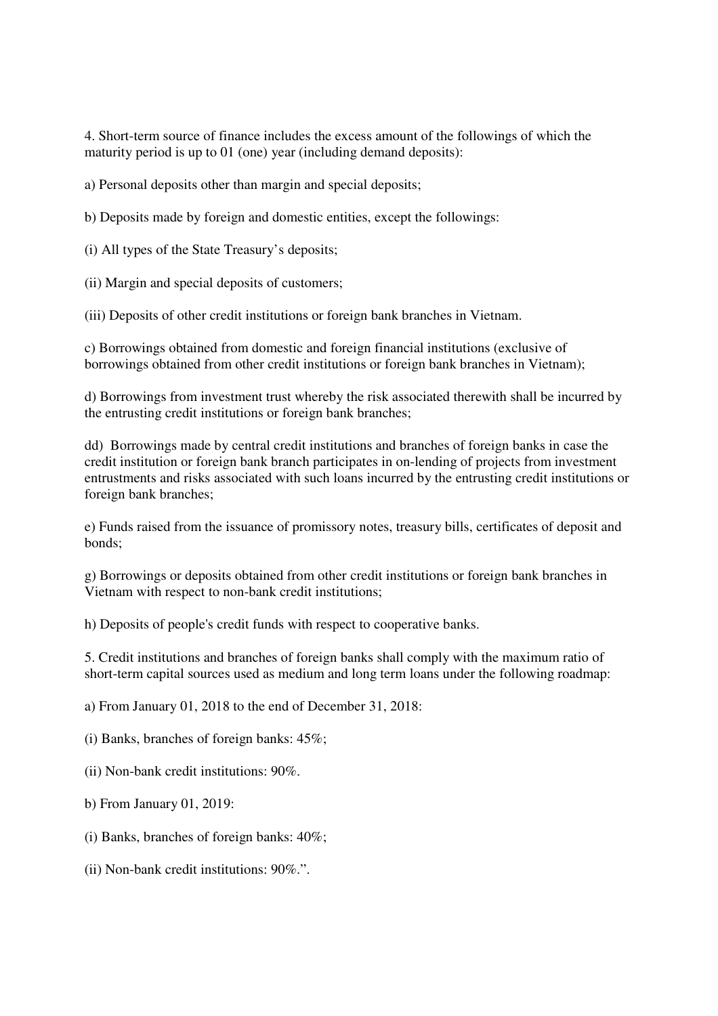4. Short-term source of finance includes the excess amount of the followings of which the maturity period is up to 01 (one) year (including demand deposits):

a) Personal deposits other than margin and special deposits;

b) Deposits made by foreign and domestic entities, except the followings:

(i) All types of the State Treasury's deposits;

(ii) Margin and special deposits of customers;

(iii) Deposits of other credit institutions or foreign bank branches in Vietnam.

c) Borrowings obtained from domestic and foreign financial institutions (exclusive of borrowings obtained from other credit institutions or foreign bank branches in Vietnam);

d) Borrowings from investment trust whereby the risk associated therewith shall be incurred by the entrusting credit institutions or foreign bank branches;

dd) Borrowings made by central credit institutions and branches of foreign banks in case the credit institution or foreign bank branch participates in on-lending of projects from investment entrustments and risks associated with such loans incurred by the entrusting credit institutions or foreign bank branches;

e) Funds raised from the issuance of promissory notes, treasury bills, certificates of deposit and bonds;

g) Borrowings or deposits obtained from other credit institutions or foreign bank branches in Vietnam with respect to non-bank credit institutions;

h) Deposits of people's credit funds with respect to cooperative banks.

5. Credit institutions and branches of foreign banks shall comply with the maximum ratio of short-term capital sources used as medium and long term loans under the following roadmap:

a) From January 01, 2018 to the end of December 31, 2018:

(i) Banks, branches of foreign banks: 45%;

(ii) Non-bank credit institutions: 90%.

b) From January 01, 2019:

(i) Banks, branches of foreign banks: 40%;

(ii) Non-bank credit institutions: 90%.".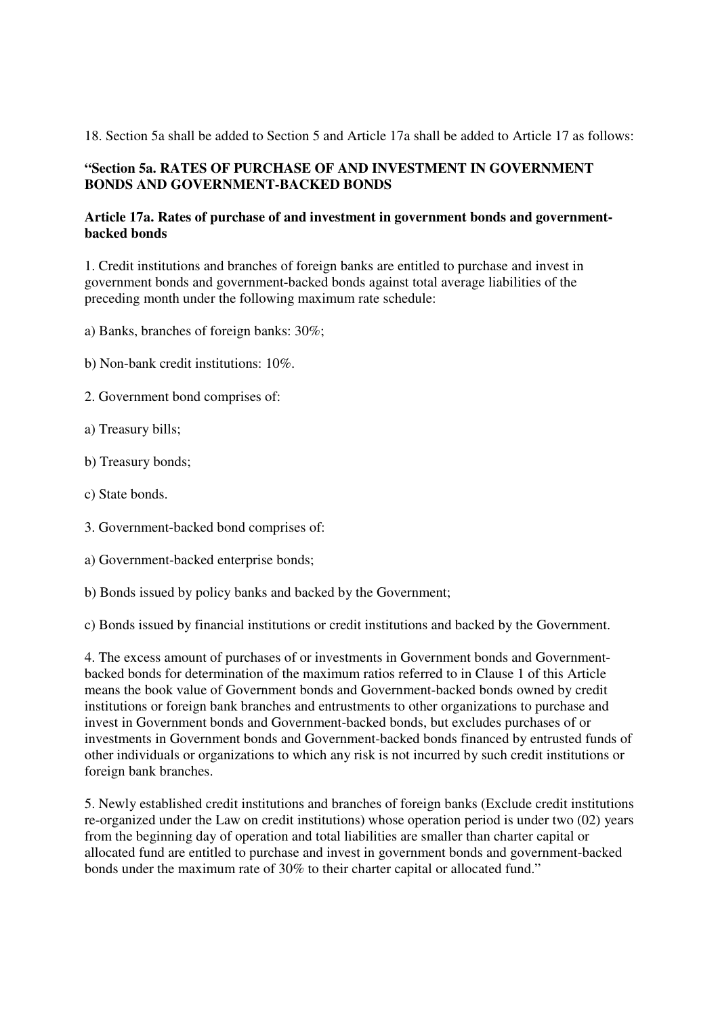18. Section 5a shall be added to Section 5 and Article 17a shall be added to Article 17 as follows:

## **"Section 5a. RATES OF PURCHASE OF AND INVESTMENT IN GOVERNMENT BONDS AND GOVERNMENT-BACKED BONDS**

## **Article 17a. Rates of purchase of and investment in government bonds and governmentbacked bonds**

1. Credit institutions and branches of foreign banks are entitled to purchase and invest in government bonds and government-backed bonds against total average liabilities of the preceding month under the following maximum rate schedule:

a) Banks, branches of foreign banks: 30%;

- b) Non-bank credit institutions: 10%.
- 2. Government bond comprises of:
- a) Treasury bills;
- b) Treasury bonds;
- c) State bonds.
- 3. Government-backed bond comprises of:
- a) Government-backed enterprise bonds;
- b) Bonds issued by policy banks and backed by the Government;

c) Bonds issued by financial institutions or credit institutions and backed by the Government.

4. The excess amount of purchases of or investments in Government bonds and Governmentbacked bonds for determination of the maximum ratios referred to in Clause 1 of this Article means the book value of Government bonds and Government-backed bonds owned by credit institutions or foreign bank branches and entrustments to other organizations to purchase and invest in Government bonds and Government-backed bonds, but excludes purchases of or investments in Government bonds and Government-backed bonds financed by entrusted funds of other individuals or organizations to which any risk is not incurred by such credit institutions or foreign bank branches.

5. Newly established credit institutions and branches of foreign banks (Exclude credit institutions re-organized under the Law on credit institutions) whose operation period is under two (02) years from the beginning day of operation and total liabilities are smaller than charter capital or allocated fund are entitled to purchase and invest in government bonds and government-backed bonds under the maximum rate of 30% to their charter capital or allocated fund."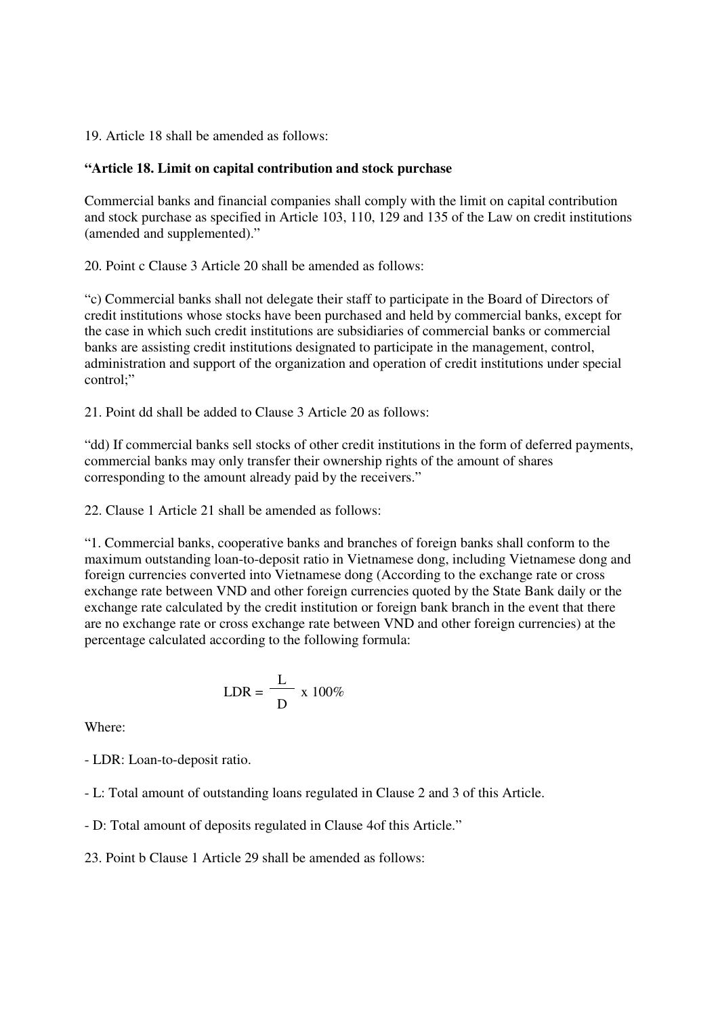19. Article 18 shall be amended as follows:

#### **"Article 18. Limit on capital contribution and stock purchase**

Commercial banks and financial companies shall comply with the limit on capital contribution and stock purchase as specified in Article 103, 110, 129 and 135 of the Law on credit institutions (amended and supplemented)."

20. Point c Clause 3 Article 20 shall be amended as follows:

"c) Commercial banks shall not delegate their staff to participate in the Board of Directors of credit institutions whose stocks have been purchased and held by commercial banks, except for the case in which such credit institutions are subsidiaries of commercial banks or commercial banks are assisting credit institutions designated to participate in the management, control, administration and support of the organization and operation of credit institutions under special control;"

21. Point dd shall be added to Clause 3 Article 20 as follows:

"dd) If commercial banks sell stocks of other credit institutions in the form of deferred payments, commercial banks may only transfer their ownership rights of the amount of shares corresponding to the amount already paid by the receivers."

22. Clause 1 Article 21 shall be amended as follows:

"1. Commercial banks, cooperative banks and branches of foreign banks shall conform to the maximum outstanding loan-to-deposit ratio in Vietnamese dong, including Vietnamese dong and foreign currencies converted into Vietnamese dong (According to the exchange rate or cross exchange rate between VND and other foreign currencies quoted by the State Bank daily or the exchange rate calculated by the credit institution or foreign bank branch in the event that there are no exchange rate or cross exchange rate between VND and other foreign currencies) at the percentage calculated according to the following formula:

$$
LDR = \frac{L}{D} \times 100\%
$$

Where:

- LDR: Loan-to-deposit ratio.

- L: Total amount of outstanding loans regulated in Clause 2 and 3 of this Article.

- D: Total amount of deposits regulated in Clause 4of this Article."

23. Point b Clause 1 Article 29 shall be amended as follows: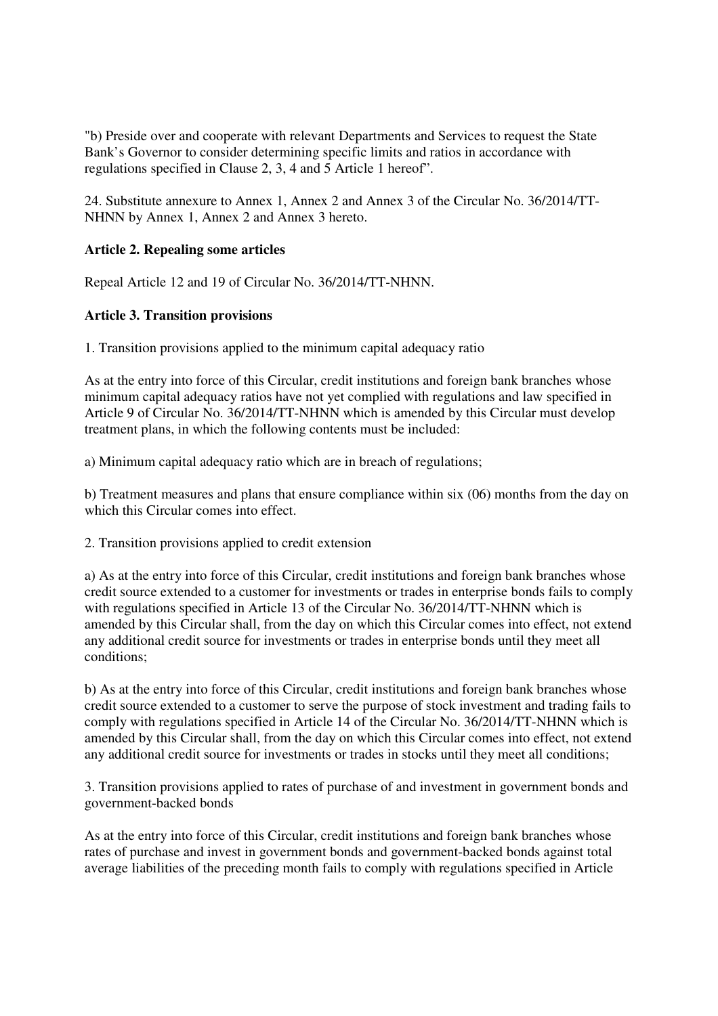"b) Preside over and cooperate with relevant Departments and Services to request the State Bank's Governor to consider determining specific limits and ratios in accordance with regulations specified in Clause 2, 3, 4 and 5 Article 1 hereof".

24. Substitute annexure to Annex 1, Annex 2 and Annex 3 of the Circular No. 36/2014/TT-NHNN by Annex 1, Annex 2 and Annex 3 hereto.

## **Article 2. Repealing some articles**

Repeal Article 12 and 19 of Circular No. 36/2014/TT-NHNN.

## **Article 3. Transition provisions**

1. Transition provisions applied to the minimum capital adequacy ratio

As at the entry into force of this Circular, credit institutions and foreign bank branches whose minimum capital adequacy ratios have not yet complied with regulations and law specified in Article 9 of Circular No. 36/2014/TT-NHNN which is amended by this Circular must develop treatment plans, in which the following contents must be included:

a) Minimum capital adequacy ratio which are in breach of regulations;

b) Treatment measures and plans that ensure compliance within six (06) months from the day on which this Circular comes into effect.

2. Transition provisions applied to credit extension

a) As at the entry into force of this Circular, credit institutions and foreign bank branches whose credit source extended to a customer for investments or trades in enterprise bonds fails to comply with regulations specified in Article 13 of the Circular No. 36/2014/TT-NHNN which is amended by this Circular shall, from the day on which this Circular comes into effect, not extend any additional credit source for investments or trades in enterprise bonds until they meet all conditions;

b) As at the entry into force of this Circular, credit institutions and foreign bank branches whose credit source extended to a customer to serve the purpose of stock investment and trading fails to comply with regulations specified in Article 14 of the Circular No. 36/2014/TT-NHNN which is amended by this Circular shall, from the day on which this Circular comes into effect, not extend any additional credit source for investments or trades in stocks until they meet all conditions;

3. Transition provisions applied to rates of purchase of and investment in government bonds and government-backed bonds

As at the entry into force of this Circular, credit institutions and foreign bank branches whose rates of purchase and invest in government bonds and government-backed bonds against total average liabilities of the preceding month fails to comply with regulations specified in Article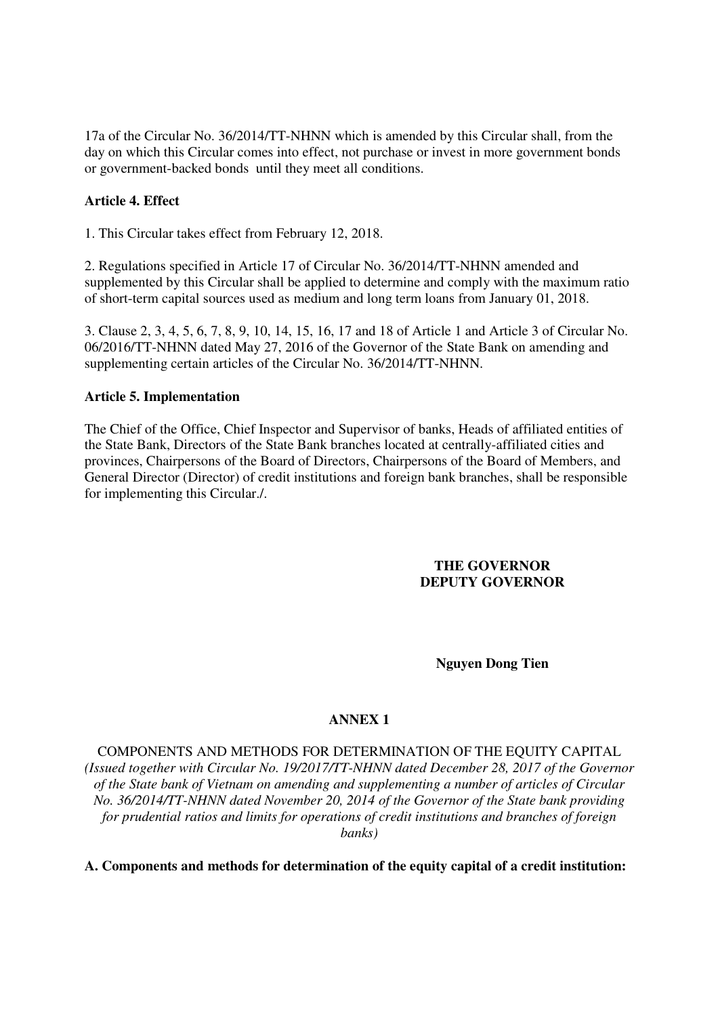17a of the Circular No. 36/2014/TT-NHNN which is amended by this Circular shall, from the day on which this Circular comes into effect, not purchase or invest in more government bonds or government-backed bonds until they meet all conditions.

## **Article 4. Effect**

1. This Circular takes effect from February 12, 2018.

2. Regulations specified in Article 17 of Circular No. 36/2014/TT-NHNN amended and supplemented by this Circular shall be applied to determine and comply with the maximum ratio of short-term capital sources used as medium and long term loans from January 01, 2018.

3. Clause 2, 3, 4, 5, 6, 7, 8, 9, 10, 14, 15, 16, 17 and 18 of Article 1 and Article 3 of Circular No. 06/2016/TT-NHNN dated May 27, 2016 of the Governor of the State Bank on amending and supplementing certain articles of the Circular No. 36/2014/TT-NHNN.

### **Article 5. Implementation**

The Chief of the Office, Chief Inspector and Supervisor of banks, Heads of affiliated entities of the State Bank, Directors of the State Bank branches located at centrally-affiliated cities and provinces, Chairpersons of the Board of Directors, Chairpersons of the Board of Members, and General Director (Director) of credit institutions and foreign bank branches, shall be responsible for implementing this Circular./.

#### **THE GOVERNOR DEPUTY GOVERNOR**

#### **Nguyen Dong Tien**

### **ANNEX 1**

COMPONENTS AND METHODS FOR DETERMINATION OF THE EQUITY CAPITAL *(Issued together with Circular No. 19/2017/TT-NHNN dated December 28, 2017 of the Governor of the State bank of Vietnam on amending and supplementing a number of articles of Circular No. 36/2014/TT-NHNN dated November 20, 2014 of the Governor of the State bank providing for prudential ratios and limits for operations of credit institutions and branches of foreign banks)*

**A. Components and methods for determination of the equity capital of a credit institution:**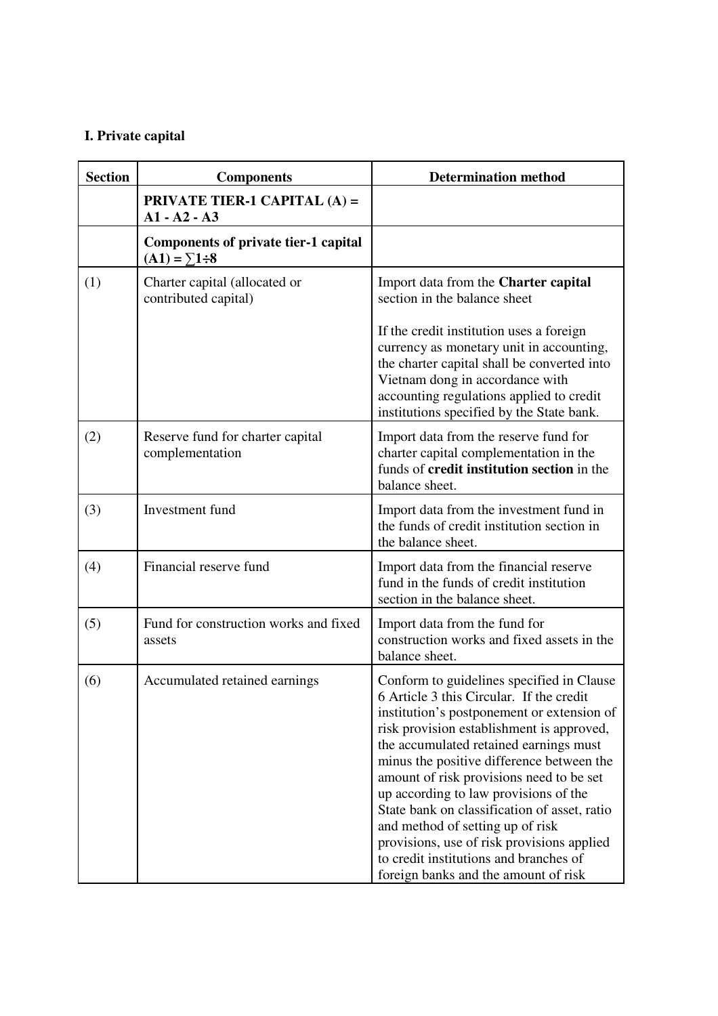# **I. Private capital**

| <b>Section</b> | <b>Components</b>                                                  | <b>Determination method</b>                                                                                                                                                                                                                                                                                                                                                                                                                                                                                                                                                      |
|----------------|--------------------------------------------------------------------|----------------------------------------------------------------------------------------------------------------------------------------------------------------------------------------------------------------------------------------------------------------------------------------------------------------------------------------------------------------------------------------------------------------------------------------------------------------------------------------------------------------------------------------------------------------------------------|
|                | <b>PRIVATE TIER-1 CAPITAL (A) =</b><br>$A1 - A2 - A3$              |                                                                                                                                                                                                                                                                                                                                                                                                                                                                                                                                                                                  |
|                | <b>Components of private tier-1 capital</b><br>$(A1) = \sum 1 : 8$ |                                                                                                                                                                                                                                                                                                                                                                                                                                                                                                                                                                                  |
| (1)            | Charter capital (allocated or<br>contributed capital)              | Import data from the Charter capital<br>section in the balance sheet                                                                                                                                                                                                                                                                                                                                                                                                                                                                                                             |
|                |                                                                    | If the credit institution uses a foreign<br>currency as monetary unit in accounting,<br>the charter capital shall be converted into<br>Vietnam dong in accordance with<br>accounting regulations applied to credit<br>institutions specified by the State bank.                                                                                                                                                                                                                                                                                                                  |
| (2)            | Reserve fund for charter capital<br>complementation                | Import data from the reserve fund for<br>charter capital complementation in the<br>funds of <b>credit institution section</b> in the<br>balance sheet.                                                                                                                                                                                                                                                                                                                                                                                                                           |
| (3)            | Investment fund                                                    | Import data from the investment fund in<br>the funds of credit institution section in<br>the balance sheet.                                                                                                                                                                                                                                                                                                                                                                                                                                                                      |
| (4)            | Financial reserve fund                                             | Import data from the financial reserve<br>fund in the funds of credit institution<br>section in the balance sheet.                                                                                                                                                                                                                                                                                                                                                                                                                                                               |
| (5)            | Fund for construction works and fixed<br>assets                    | Import data from the fund for<br>construction works and fixed assets in the<br>balance sheet.                                                                                                                                                                                                                                                                                                                                                                                                                                                                                    |
| (6)            | Accumulated retained earnings                                      | Conform to guidelines specified in Clause<br>6 Article 3 this Circular. If the credit<br>institution's postponement or extension of<br>risk provision establishment is approved,<br>the accumulated retained earnings must<br>minus the positive difference between the<br>amount of risk provisions need to be set<br>up according to law provisions of the<br>State bank on classification of asset, ratio<br>and method of setting up of risk<br>provisions, use of risk provisions applied<br>to credit institutions and branches of<br>foreign banks and the amount of risk |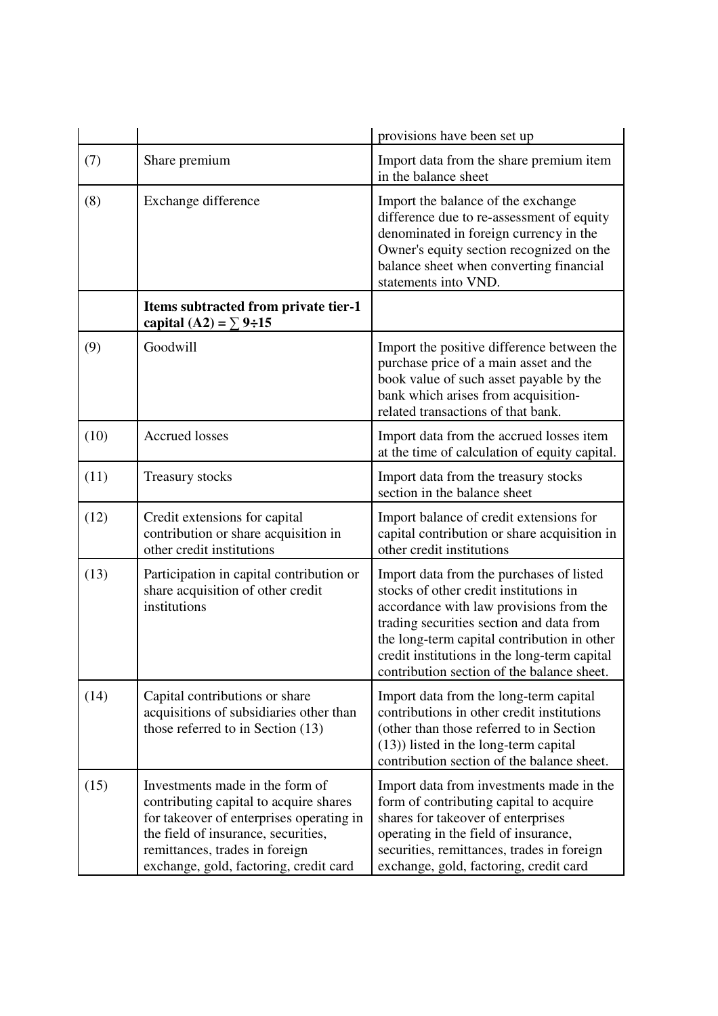|      |                                                                                                                                                                                                                                          | provisions have been set up                                                                                                                                                                                                                                                                                            |
|------|------------------------------------------------------------------------------------------------------------------------------------------------------------------------------------------------------------------------------------------|------------------------------------------------------------------------------------------------------------------------------------------------------------------------------------------------------------------------------------------------------------------------------------------------------------------------|
| (7)  | Share premium                                                                                                                                                                                                                            | Import data from the share premium item<br>in the balance sheet                                                                                                                                                                                                                                                        |
| (8)  | Exchange difference                                                                                                                                                                                                                      | Import the balance of the exchange<br>difference due to re-assessment of equity<br>denominated in foreign currency in the<br>Owner's equity section recognized on the<br>balance sheet when converting financial<br>statements into VND.                                                                               |
|      | Items subtracted from private tier-1<br>capital (A2) = $\Sigma$ 9÷15                                                                                                                                                                     |                                                                                                                                                                                                                                                                                                                        |
| (9)  | Goodwill                                                                                                                                                                                                                                 | Import the positive difference between the<br>purchase price of a main asset and the<br>book value of such asset payable by the<br>bank which arises from acquisition-<br>related transactions of that bank.                                                                                                           |
| (10) | <b>Accrued</b> losses                                                                                                                                                                                                                    | Import data from the accrued losses item<br>at the time of calculation of equity capital.                                                                                                                                                                                                                              |
| (11) | <b>Treasury stocks</b>                                                                                                                                                                                                                   | Import data from the treasury stocks<br>section in the balance sheet                                                                                                                                                                                                                                                   |
| (12) | Credit extensions for capital<br>contribution or share acquisition in<br>other credit institutions                                                                                                                                       | Import balance of credit extensions for<br>capital contribution or share acquisition in<br>other credit institutions                                                                                                                                                                                                   |
| (13) | Participation in capital contribution or<br>share acquisition of other credit<br>institutions                                                                                                                                            | Import data from the purchases of listed<br>stocks of other credit institutions in<br>accordance with law provisions from the<br>trading securities section and data from<br>the long-term capital contribution in other<br>credit institutions in the long-term capital<br>contribution section of the balance sheet. |
| (14) | Capital contributions or share<br>acquisitions of subsidiaries other than<br>those referred to in Section (13)                                                                                                                           | Import data from the long-term capital<br>contributions in other credit institutions<br>(other than those referred to in Section<br>$(13)$ ) listed in the long-term capital<br>contribution section of the balance sheet.                                                                                             |
| (15) | Investments made in the form of<br>contributing capital to acquire shares<br>for takeover of enterprises operating in<br>the field of insurance, securities,<br>remittances, trades in foreign<br>exchange, gold, factoring, credit card | Import data from investments made in the<br>form of contributing capital to acquire<br>shares for takeover of enterprises<br>operating in the field of insurance,<br>securities, remittances, trades in foreign<br>exchange, gold, factoring, credit card                                                              |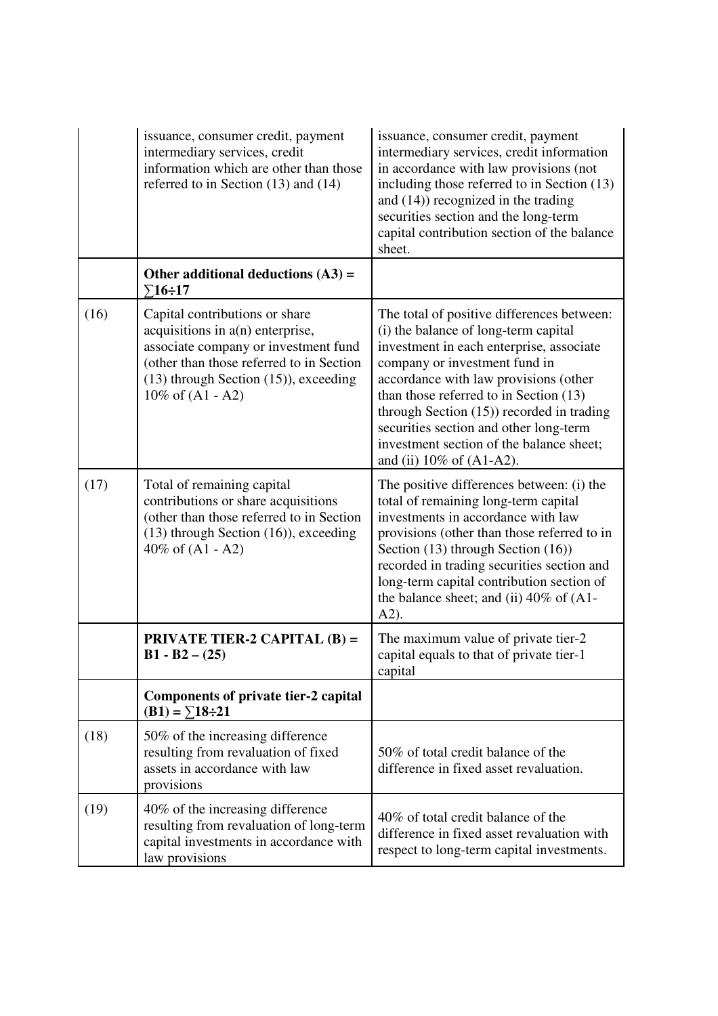|      | issuance, consumer credit, payment<br>intermediary services, credit<br>information which are other than those<br>referred to in Section $(13)$ and $(14)$                                                                       | issuance, consumer credit, payment<br>intermediary services, credit information<br>in accordance with law provisions (not<br>including those referred to in Section (13)<br>and $(14)$ ) recognized in the trading<br>securities section and the long-term<br>capital contribution section of the balance<br>sheet.                                                                                                     |
|------|---------------------------------------------------------------------------------------------------------------------------------------------------------------------------------------------------------------------------------|-------------------------------------------------------------------------------------------------------------------------------------------------------------------------------------------------------------------------------------------------------------------------------------------------------------------------------------------------------------------------------------------------------------------------|
|      | Other additional deductions $(A3)$ =<br>$\Sigma$ 16÷17                                                                                                                                                                          |                                                                                                                                                                                                                                                                                                                                                                                                                         |
| (16) | Capital contributions or share<br>acquisitions in $a(n)$ enterprise,<br>associate company or investment fund<br>(other than those referred to in Section<br>$(13)$ through Section $(15)$ ), exceeding<br>$10\%$ of $(A1 - A2)$ | The total of positive differences between:<br>(i) the balance of long-term capital<br>investment in each enterprise, associate<br>company or investment fund in<br>accordance with law provisions (other<br>than those referred to in Section (13)<br>through Section $(15)$ ) recorded in trading<br>securities section and other long-term<br>investment section of the balance sheet;<br>and (ii) $10\%$ of (A1-A2). |
| (17) | Total of remaining capital<br>contributions or share acquisitions<br>(other than those referred to in Section<br>$(13)$ through Section $(16)$ ), exceeding<br>40% of $(A1 - A2)$                                               | The positive differences between: (i) the<br>total of remaining long-term capital<br>investments in accordance with law<br>provisions (other than those referred to in<br>Section (13) through Section (16))<br>recorded in trading securities section and<br>long-term capital contribution section of<br>the balance sheet; and (ii) $40\%$ of (A1-<br>$A2$ ).                                                        |
|      | <b>PRIVATE TIER-2 CAPITAL (B) =</b><br>$B1 - B2 - (25)$                                                                                                                                                                         | The maximum value of private tier-2<br>capital equals to that of private tier-1<br>capital                                                                                                                                                                                                                                                                                                                              |
|      | <b>Components of private tier-2 capital</b><br>$(B1) = \sum 18 \div 21$                                                                                                                                                         |                                                                                                                                                                                                                                                                                                                                                                                                                         |
| (18) | 50% of the increasing difference<br>resulting from revaluation of fixed<br>assets in accordance with law<br>provisions                                                                                                          | 50% of total credit balance of the<br>difference in fixed asset revaluation.                                                                                                                                                                                                                                                                                                                                            |
| (19) | 40% of the increasing difference<br>resulting from revaluation of long-term<br>capital investments in accordance with<br>law provisions                                                                                         | 40% of total credit balance of the<br>difference in fixed asset revaluation with<br>respect to long-term capital investments.                                                                                                                                                                                                                                                                                           |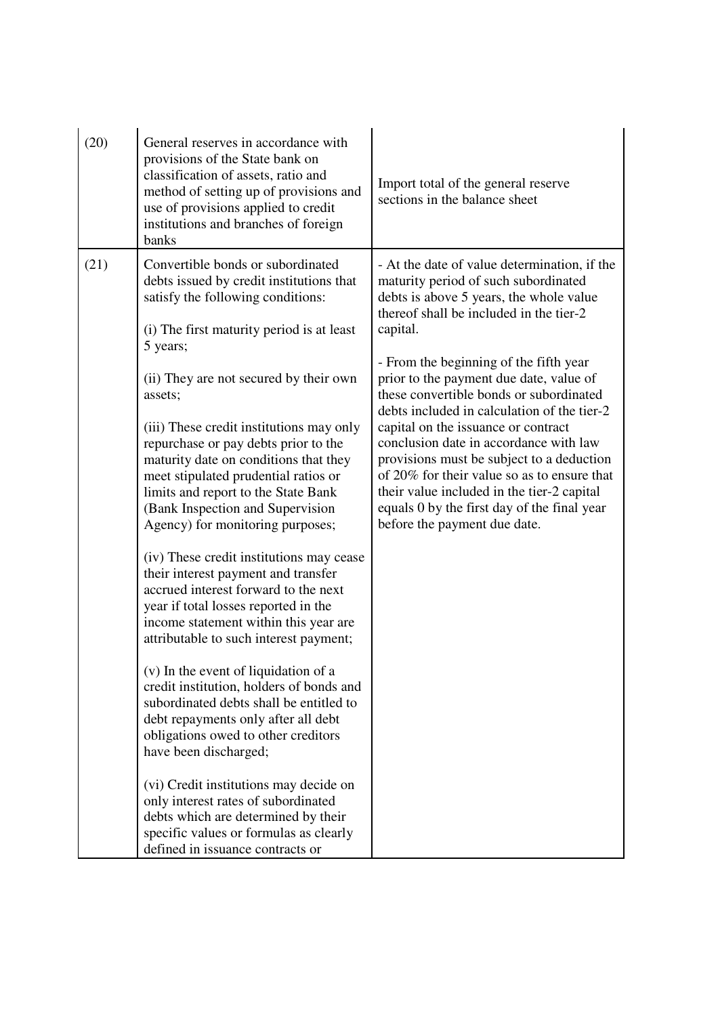| (20) | General reserves in accordance with                                                                                                                                                                                                                                                                                                                                                                                                  |                                                                                                                                                                                                                                                                                                                                                                                                                                                                                       |
|------|--------------------------------------------------------------------------------------------------------------------------------------------------------------------------------------------------------------------------------------------------------------------------------------------------------------------------------------------------------------------------------------------------------------------------------------|---------------------------------------------------------------------------------------------------------------------------------------------------------------------------------------------------------------------------------------------------------------------------------------------------------------------------------------------------------------------------------------------------------------------------------------------------------------------------------------|
|      | provisions of the State bank on<br>classification of assets, ratio and<br>method of setting up of provisions and<br>use of provisions applied to credit<br>institutions and branches of foreign<br>banks                                                                                                                                                                                                                             | Import total of the general reserve<br>sections in the balance sheet                                                                                                                                                                                                                                                                                                                                                                                                                  |
| (21) | Convertible bonds or subordinated<br>debts issued by credit institutions that<br>satisfy the following conditions:<br>(i) The first maturity period is at least                                                                                                                                                                                                                                                                      | - At the date of value determination, if the<br>maturity period of such subordinated<br>debts is above 5 years, the whole value<br>thereof shall be included in the tier-2<br>capital.                                                                                                                                                                                                                                                                                                |
|      | 5 years;<br>(ii) They are not secured by their own<br>assets;<br>(iii) These credit institutions may only<br>repurchase or pay debts prior to the<br>maturity date on conditions that they<br>meet stipulated prudential ratios or<br>limits and report to the State Bank<br>(Bank Inspection and Supervision<br>Agency) for monitoring purposes;<br>(iv) These credit institutions may cease<br>their interest payment and transfer | - From the beginning of the fifth year<br>prior to the payment due date, value of<br>these convertible bonds or subordinated<br>debts included in calculation of the tier-2<br>capital on the issuance or contract<br>conclusion date in accordance with law<br>provisions must be subject to a deduction<br>of 20% for their value so as to ensure that<br>their value included in the tier-2 capital<br>equals 0 by the first day of the final year<br>before the payment due date. |
|      | accrued interest forward to the next<br>year if total losses reported in the<br>income statement within this year are<br>attributable to such interest payment;<br>(v) In the event of liquidation of a<br>credit institution, holders of bonds and                                                                                                                                                                                  |                                                                                                                                                                                                                                                                                                                                                                                                                                                                                       |
|      | subordinated debts shall be entitled to<br>debt repayments only after all debt<br>obligations owed to other creditors<br>have been discharged;<br>(vi) Credit institutions may decide on<br>only interest rates of subordinated                                                                                                                                                                                                      |                                                                                                                                                                                                                                                                                                                                                                                                                                                                                       |
|      | debts which are determined by their<br>specific values or formulas as clearly<br>defined in issuance contracts or                                                                                                                                                                                                                                                                                                                    |                                                                                                                                                                                                                                                                                                                                                                                                                                                                                       |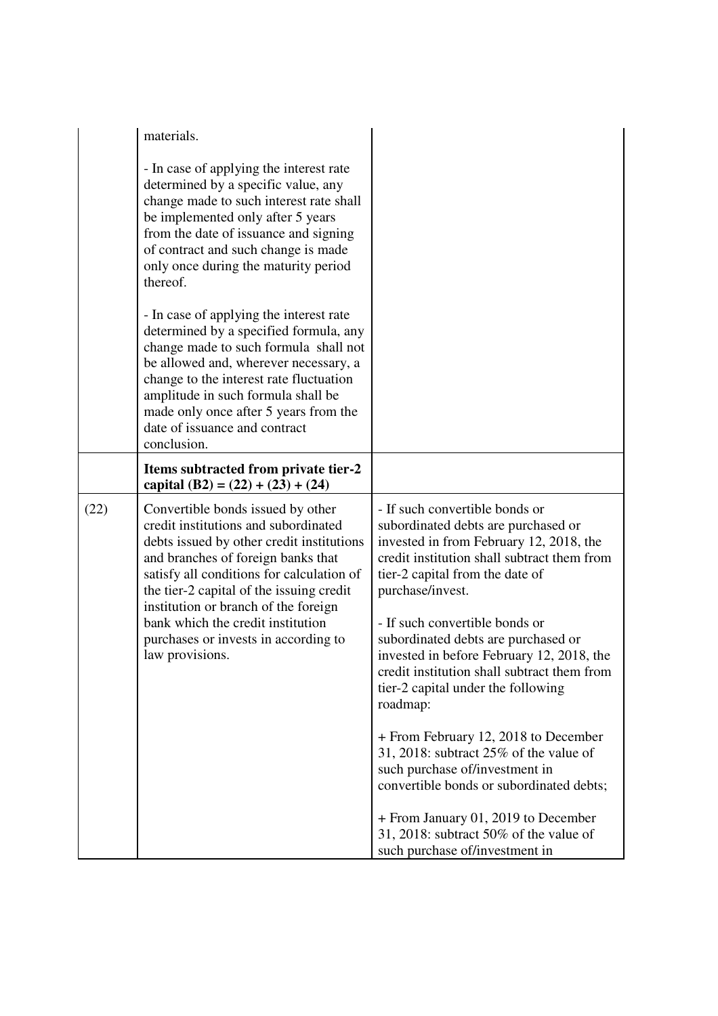|      | materials.                                                                                                                                                                                                                                                                                                                                                                                    |                                                                                                                                                                                                                                                                                                                                                                                                                                                                                       |
|------|-----------------------------------------------------------------------------------------------------------------------------------------------------------------------------------------------------------------------------------------------------------------------------------------------------------------------------------------------------------------------------------------------|---------------------------------------------------------------------------------------------------------------------------------------------------------------------------------------------------------------------------------------------------------------------------------------------------------------------------------------------------------------------------------------------------------------------------------------------------------------------------------------|
|      | - In case of applying the interest rate<br>determined by a specific value, any<br>change made to such interest rate shall<br>be implemented only after 5 years<br>from the date of issuance and signing<br>of contract and such change is made<br>only once during the maturity period<br>thereof.                                                                                            |                                                                                                                                                                                                                                                                                                                                                                                                                                                                                       |
|      | - In case of applying the interest rate<br>determined by a specified formula, any<br>change made to such formula shall not<br>be allowed and, wherever necessary, a<br>change to the interest rate fluctuation<br>amplitude in such formula shall be<br>made only once after 5 years from the<br>date of issuance and contract<br>conclusion.                                                 |                                                                                                                                                                                                                                                                                                                                                                                                                                                                                       |
|      | Items subtracted from private tier-2<br>capital $(B2) = (22) + (23) + (24)$                                                                                                                                                                                                                                                                                                                   |                                                                                                                                                                                                                                                                                                                                                                                                                                                                                       |
| (22) | Convertible bonds issued by other<br>credit institutions and subordinated<br>debts issued by other credit institutions<br>and branches of foreign banks that<br>satisfy all conditions for calculation of<br>the tier-2 capital of the issuing credit<br>institution or branch of the foreign<br>bank which the credit institution<br>purchases or invests in according to<br>law provisions. | - If such convertible bonds or<br>subordinated debts are purchased or<br>invested in from February 12, 2018, the<br>credit institution shall subtract them from<br>tier-2 capital from the date of<br>purchase/invest.<br>- If such convertible bonds or<br>subordinated debts are purchased or<br>invested in before February 12, 2018, the<br>credit institution shall subtract them from<br>tier-2 capital under the following<br>roadmap:<br>+ From February 12, 2018 to December |
|      |                                                                                                                                                                                                                                                                                                                                                                                               | 31, 2018: subtract $25\%$ of the value of<br>such purchase of/investment in<br>convertible bonds or subordinated debts;                                                                                                                                                                                                                                                                                                                                                               |
|      |                                                                                                                                                                                                                                                                                                                                                                                               | + From January 01, 2019 to December<br>31, 2018: subtract $50\%$ of the value of<br>such purchase of/investment in                                                                                                                                                                                                                                                                                                                                                                    |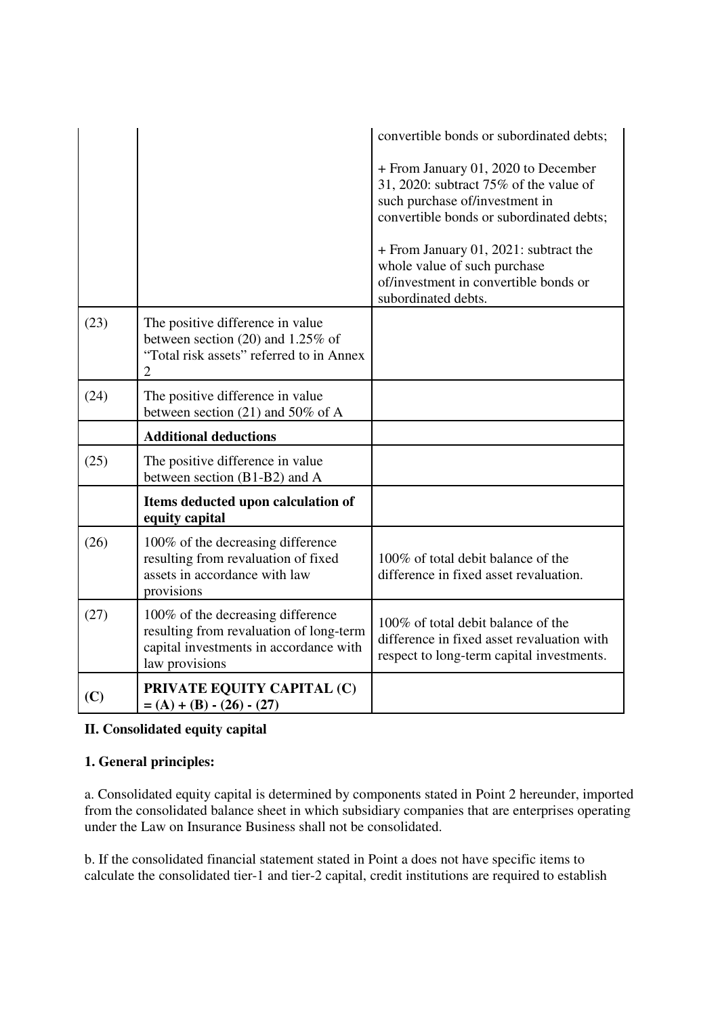|      |                                                                                                                                          | convertible bonds or subordinated debts;                                                                                                                                                                |
|------|------------------------------------------------------------------------------------------------------------------------------------------|---------------------------------------------------------------------------------------------------------------------------------------------------------------------------------------------------------|
|      |                                                                                                                                          | + From January 01, 2020 to December<br>31, 2020: subtract $75\%$ of the value of<br>such purchase of/investment in<br>convertible bonds or subordinated debts;<br>+ From January 01, 2021: subtract the |
|      |                                                                                                                                          | whole value of such purchase<br>of/investment in convertible bonds or<br>subordinated debts.                                                                                                            |
| (23) | The positive difference in value<br>between section $(20)$ and 1.25% of<br>"Total risk assets" referred to in Annex<br>$\overline{2}$    |                                                                                                                                                                                                         |
| (24) | The positive difference in value<br>between section $(21)$ and 50% of A                                                                  |                                                                                                                                                                                                         |
|      | <b>Additional deductions</b>                                                                                                             |                                                                                                                                                                                                         |
| (25) | The positive difference in value<br>between section (B1-B2) and A                                                                        |                                                                                                                                                                                                         |
|      | Items deducted upon calculation of<br>equity capital                                                                                     |                                                                                                                                                                                                         |
| (26) | 100% of the decreasing difference<br>resulting from revaluation of fixed<br>assets in accordance with law<br>provisions                  | 100% of total debit balance of the<br>difference in fixed asset revaluation.                                                                                                                            |
| (27) | 100% of the decreasing difference<br>resulting from revaluation of long-term<br>capital investments in accordance with<br>law provisions | 100% of total debit balance of the<br>difference in fixed asset revaluation with<br>respect to long-term capital investments.                                                                           |
| (C)  | PRIVATE EQUITY CAPITAL (C)<br>$= (A) + (B) - (26) - (27)$                                                                                |                                                                                                                                                                                                         |

# **II. Consolidated equity capital**

# **1. General principles:**

a. Consolidated equity capital is determined by components stated in Point 2 hereunder, imported from the consolidated balance sheet in which subsidiary companies that are enterprises operating under the Law on Insurance Business shall not be consolidated.

b. If the consolidated financial statement stated in Point a does not have specific items to calculate the consolidated tier-1 and tier-2 capital, credit institutions are required to establish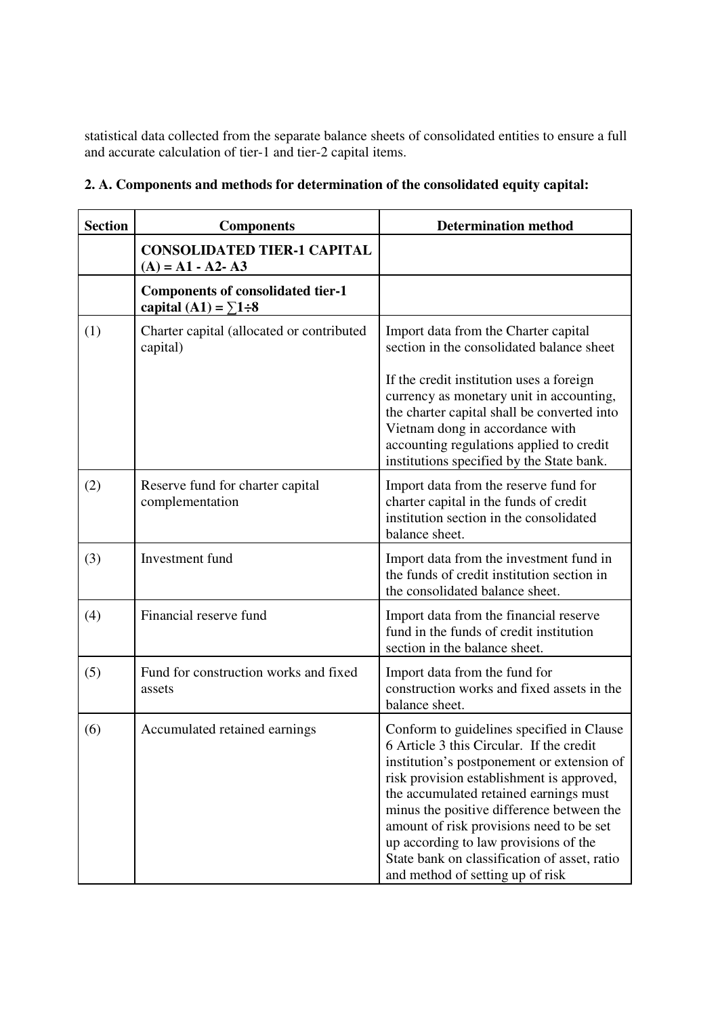statistical data collected from the separate balance sheets of consolidated entities to ensure a full and accurate calculation of tier-1 and tier-2 capital items.

| <b>Section</b> | <b>Components</b>                                                       | <b>Determination method</b>                                                                                                                                                                                                                                                                                                                                                                                                                      |
|----------------|-------------------------------------------------------------------------|--------------------------------------------------------------------------------------------------------------------------------------------------------------------------------------------------------------------------------------------------------------------------------------------------------------------------------------------------------------------------------------------------------------------------------------------------|
|                | <b>CONSOLIDATED TIER-1 CAPITAL</b><br>$(A) = A1 - A2 - A3$              |                                                                                                                                                                                                                                                                                                                                                                                                                                                  |
|                | <b>Components of consolidated tier-1</b><br>capital (A1) = $\Sigma$ 1÷8 |                                                                                                                                                                                                                                                                                                                                                                                                                                                  |
| (1)            | Charter capital (allocated or contributed<br>capital)                   | Import data from the Charter capital<br>section in the consolidated balance sheet                                                                                                                                                                                                                                                                                                                                                                |
|                |                                                                         | If the credit institution uses a foreign<br>currency as monetary unit in accounting,<br>the charter capital shall be converted into<br>Vietnam dong in accordance with<br>accounting regulations applied to credit<br>institutions specified by the State bank.                                                                                                                                                                                  |
| (2)            | Reserve fund for charter capital<br>complementation                     | Import data from the reserve fund for<br>charter capital in the funds of credit<br>institution section in the consolidated<br>balance sheet.                                                                                                                                                                                                                                                                                                     |
| (3)            | Investment fund                                                         | Import data from the investment fund in<br>the funds of credit institution section in<br>the consolidated balance sheet.                                                                                                                                                                                                                                                                                                                         |
| (4)            | Financial reserve fund                                                  | Import data from the financial reserve<br>fund in the funds of credit institution<br>section in the balance sheet.                                                                                                                                                                                                                                                                                                                               |
| (5)            | Fund for construction works and fixed<br>assets                         | Import data from the fund for<br>construction works and fixed assets in the<br>balance sheet.                                                                                                                                                                                                                                                                                                                                                    |
| (6)            | Accumulated retained earnings                                           | Conform to guidelines specified in Clause<br>6 Article 3 this Circular. If the credit<br>institution's postponement or extension of<br>risk provision establishment is approved,<br>the accumulated retained earnings must<br>minus the positive difference between the<br>amount of risk provisions need to be set<br>up according to law provisions of the<br>State bank on classification of asset, ratio<br>and method of setting up of risk |

# **2. A. Components and methods for determination of the consolidated equity capital:**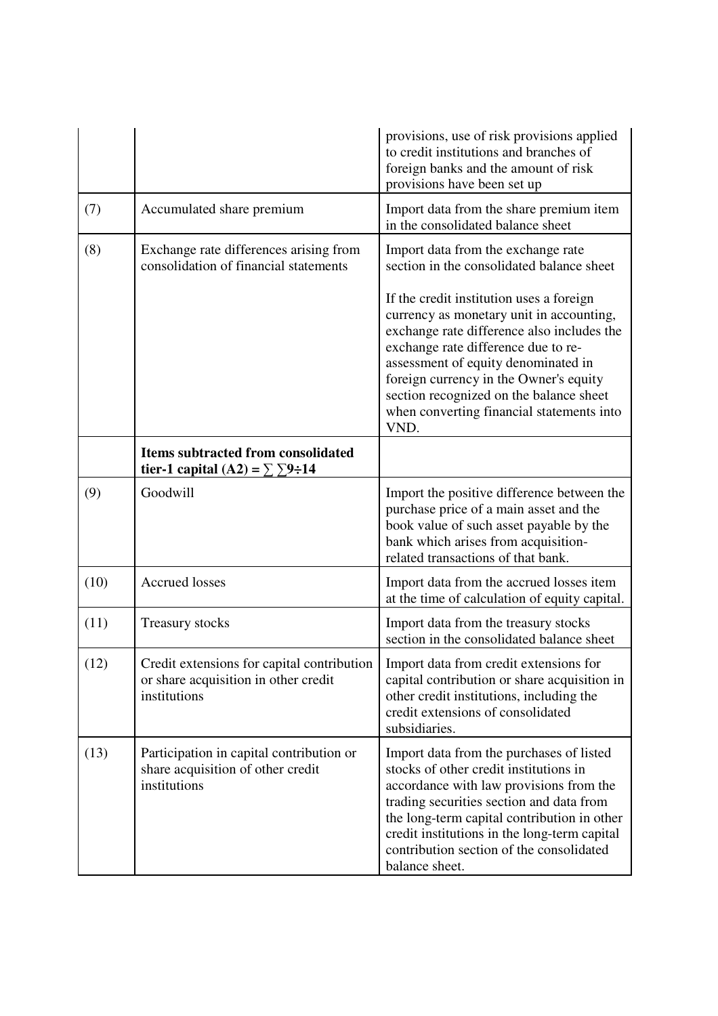|      |                                                                                                    | provisions, use of risk provisions applied<br>to credit institutions and branches of<br>foreign banks and the amount of risk<br>provisions have been set up                                                                                                                                                                                                |
|------|----------------------------------------------------------------------------------------------------|------------------------------------------------------------------------------------------------------------------------------------------------------------------------------------------------------------------------------------------------------------------------------------------------------------------------------------------------------------|
| (7)  | Accumulated share premium                                                                          | Import data from the share premium item<br>in the consolidated balance sheet                                                                                                                                                                                                                                                                               |
| (8)  | Exchange rate differences arising from<br>consolidation of financial statements                    | Import data from the exchange rate<br>section in the consolidated balance sheet                                                                                                                                                                                                                                                                            |
|      |                                                                                                    | If the credit institution uses a foreign<br>currency as monetary unit in accounting,<br>exchange rate difference also includes the<br>exchange rate difference due to re-<br>assessment of equity denominated in<br>foreign currency in the Owner's equity<br>section recognized on the balance sheet<br>when converting financial statements into<br>VND. |
|      | <b>Items subtracted from consolidated</b><br>tier-1 capital (A2) = $\Sigma$ $\Sigma$ 9÷14          |                                                                                                                                                                                                                                                                                                                                                            |
| (9)  | Goodwill                                                                                           | Import the positive difference between the<br>purchase price of a main asset and the<br>book value of such asset payable by the<br>bank which arises from acquisition-<br>related transactions of that bank.                                                                                                                                               |
| (10) | <b>Accrued</b> losses                                                                              | Import data from the accrued losses item<br>at the time of calculation of equity capital.                                                                                                                                                                                                                                                                  |
| (11) | <b>Treasury stocks</b>                                                                             | Import data from the treasury stocks<br>section in the consolidated balance sheet                                                                                                                                                                                                                                                                          |
| (12) | Credit extensions for capital contribution<br>or share acquisition in other credit<br>institutions | Import data from credit extensions for<br>capital contribution or share acquisition in<br>other credit institutions, including the<br>credit extensions of consolidated<br>subsidiaries.                                                                                                                                                                   |
| (13) | Participation in capital contribution or<br>share acquisition of other credit<br>institutions      | Import data from the purchases of listed<br>stocks of other credit institutions in<br>accordance with law provisions from the<br>trading securities section and data from<br>the long-term capital contribution in other<br>credit institutions in the long-term capital<br>contribution section of the consolidated<br>balance sheet.                     |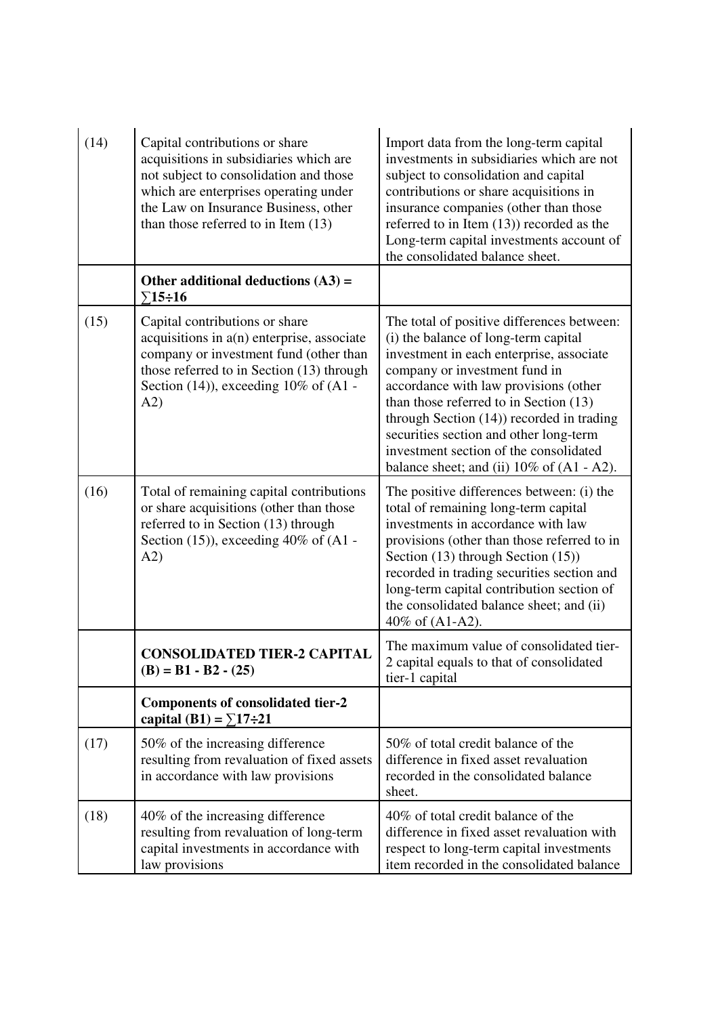| (14) | Capital contributions or share<br>acquisitions in subsidiaries which are<br>not subject to consolidation and those<br>which are enterprises operating under<br>the Law on Insurance Business, other<br>than those referred to in Item (13) | Import data from the long-term capital<br>investments in subsidiaries which are not<br>subject to consolidation and capital<br>contributions or share acquisitions in<br>insurance companies (other than those<br>referred to in Item $(13)$ ) recorded as the<br>Long-term capital investments account of<br>the consolidated balance sheet.                                                                                          |
|------|--------------------------------------------------------------------------------------------------------------------------------------------------------------------------------------------------------------------------------------------|----------------------------------------------------------------------------------------------------------------------------------------------------------------------------------------------------------------------------------------------------------------------------------------------------------------------------------------------------------------------------------------------------------------------------------------|
|      | Other additional deductions $(A3)$ =<br>$\Sigma$ 15÷16                                                                                                                                                                                     |                                                                                                                                                                                                                                                                                                                                                                                                                                        |
| (15) | Capital contributions or share<br>acquisitions in a(n) enterprise, associate<br>company or investment fund (other than<br>those referred to in Section (13) through<br>Section (14)), exceeding 10% of (A1 -<br>A2)                        | The total of positive differences between:<br>(i) the balance of long-term capital<br>investment in each enterprise, associate<br>company or investment fund in<br>accordance with law provisions (other<br>than those referred to in Section (13)<br>through Section (14)) recorded in trading<br>securities section and other long-term<br>investment section of the consolidated<br>balance sheet; and (ii) $10\%$ of $(A1 - A2)$ . |
| (16) | Total of remaining capital contributions<br>or share acquisitions (other than those<br>referred to in Section (13) through<br>Section $(15)$ , exceeding 40% of $(A1 -$<br>A2)                                                             | The positive differences between: (i) the<br>total of remaining long-term capital<br>investments in accordance with law<br>provisions (other than those referred to in<br>Section (13) through Section (15))<br>recorded in trading securities section and<br>long-term capital contribution section of<br>the consolidated balance sheet; and (ii)<br>40% of (A1-A2).                                                                 |
|      | <b>CONSOLIDATED TIER-2 CAPITAL</b><br>$(B) = B1 - B2 - (25)$                                                                                                                                                                               | The maximum value of consolidated tier-<br>2 capital equals to that of consolidated<br>tier-1 capital                                                                                                                                                                                                                                                                                                                                  |
|      | <b>Components of consolidated tier-2</b><br>capital (B1) = $\Sigma$ 17÷21                                                                                                                                                                  |                                                                                                                                                                                                                                                                                                                                                                                                                                        |
| (17) | 50% of the increasing difference<br>resulting from revaluation of fixed assets<br>in accordance with law provisions                                                                                                                        | 50% of total credit balance of the<br>difference in fixed asset revaluation<br>recorded in the consolidated balance<br>sheet.                                                                                                                                                                                                                                                                                                          |
| (18) | 40% of the increasing difference<br>resulting from revaluation of long-term<br>capital investments in accordance with<br>law provisions                                                                                                    | 40% of total credit balance of the<br>difference in fixed asset revaluation with<br>respect to long-term capital investments<br>item recorded in the consolidated balance                                                                                                                                                                                                                                                              |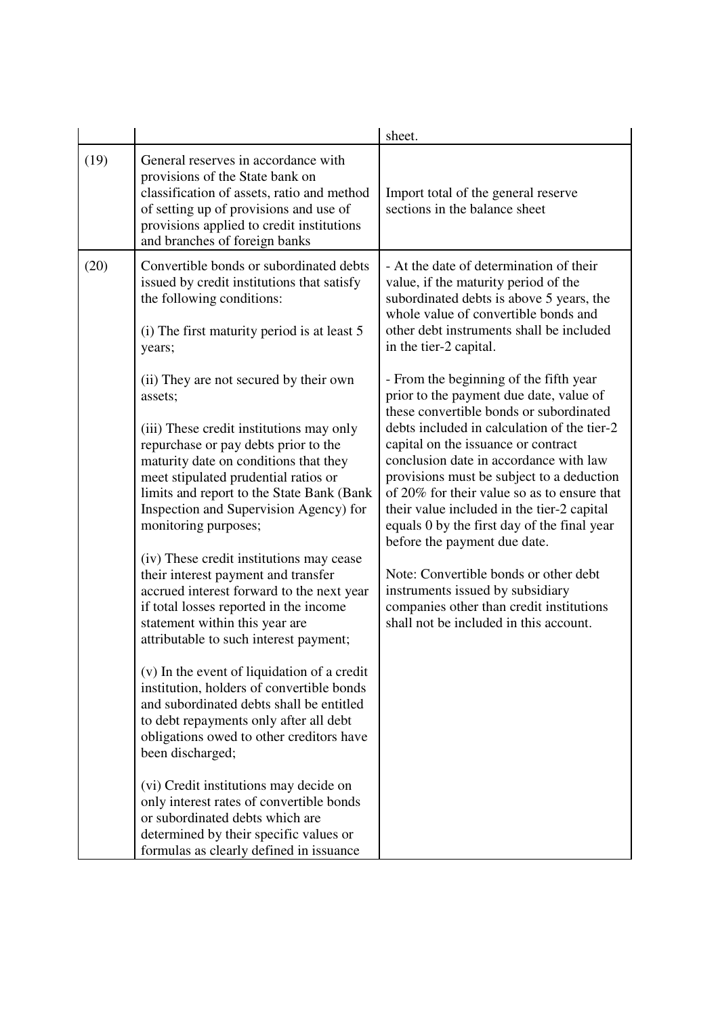|      |                                                                                                                                                                                                                                                                                                                                                                                                       | sheet.                                                                                                                                                                                                                                                                                                                                                                                                                                                                                                                                                 |
|------|-------------------------------------------------------------------------------------------------------------------------------------------------------------------------------------------------------------------------------------------------------------------------------------------------------------------------------------------------------------------------------------------------------|--------------------------------------------------------------------------------------------------------------------------------------------------------------------------------------------------------------------------------------------------------------------------------------------------------------------------------------------------------------------------------------------------------------------------------------------------------------------------------------------------------------------------------------------------------|
| (19) | General reserves in accordance with<br>provisions of the State bank on<br>classification of assets, ratio and method<br>of setting up of provisions and use of<br>provisions applied to credit institutions<br>and branches of foreign banks                                                                                                                                                          | Import total of the general reserve<br>sections in the balance sheet                                                                                                                                                                                                                                                                                                                                                                                                                                                                                   |
| (20) | Convertible bonds or subordinated debts<br>issued by credit institutions that satisfy<br>the following conditions:<br>(i) The first maturity period is at least 5<br>years;<br>(ii) They are not secured by their own<br>assets;<br>(iii) These credit institutions may only<br>repurchase or pay debts prior to the<br>maturity date on conditions that they<br>meet stipulated prudential ratios or | - At the date of determination of their<br>value, if the maturity period of the<br>subordinated debts is above 5 years, the<br>whole value of convertible bonds and<br>other debt instruments shall be included<br>in the tier-2 capital.<br>- From the beginning of the fifth year<br>prior to the payment due date, value of<br>these convertible bonds or subordinated<br>debts included in calculation of the tier-2<br>capital on the issuance or contract<br>conclusion date in accordance with law<br>provisions must be subject to a deduction |
|      | limits and report to the State Bank (Bank<br>Inspection and Supervision Agency) for<br>monitoring purposes;<br>(iv) These credit institutions may cease<br>their interest payment and transfer<br>accrued interest forward to the next year<br>if total losses reported in the income<br>statement within this year are<br>attributable to such interest payment;                                     | of 20% for their value so as to ensure that<br>their value included in the tier-2 capital<br>equals 0 by the first day of the final year<br>before the payment due date.<br>Note: Convertible bonds or other debt<br>instruments issued by subsidiary<br>companies other than credit institutions<br>shall not be included in this account.                                                                                                                                                                                                            |
|      | (v) In the event of liquidation of a credit<br>institution, holders of convertible bonds<br>and subordinated debts shall be entitled<br>to debt repayments only after all debt<br>obligations owed to other creditors have<br>been discharged;<br>(vi) Credit institutions may decide on<br>only interest rates of convertible bonds                                                                  |                                                                                                                                                                                                                                                                                                                                                                                                                                                                                                                                                        |
|      | or subordinated debts which are<br>determined by their specific values or<br>formulas as clearly defined in issuance                                                                                                                                                                                                                                                                                  |                                                                                                                                                                                                                                                                                                                                                                                                                                                                                                                                                        |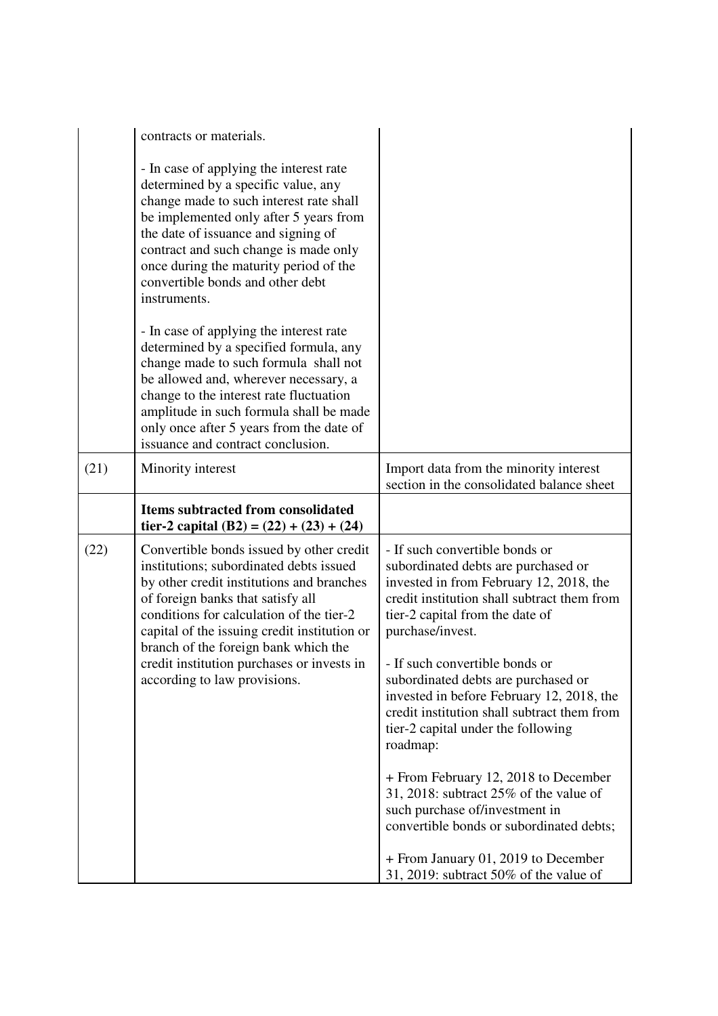|      | contracts or materials.                                                                                                                                                                                                                                                                                                                           |                                                                                                                                                                                                                        |
|------|---------------------------------------------------------------------------------------------------------------------------------------------------------------------------------------------------------------------------------------------------------------------------------------------------------------------------------------------------|------------------------------------------------------------------------------------------------------------------------------------------------------------------------------------------------------------------------|
|      | - In case of applying the interest rate<br>determined by a specific value, any<br>change made to such interest rate shall<br>be implemented only after 5 years from<br>the date of issuance and signing of<br>contract and such change is made only<br>once during the maturity period of the<br>convertible bonds and other debt<br>instruments. |                                                                                                                                                                                                                        |
|      | - In case of applying the interest rate<br>determined by a specified formula, any<br>change made to such formula shall not<br>be allowed and, wherever necessary, a<br>change to the interest rate fluctuation<br>amplitude in such formula shall be made<br>only once after 5 years from the date of<br>issuance and contract conclusion.        |                                                                                                                                                                                                                        |
| (21) | Minority interest                                                                                                                                                                                                                                                                                                                                 | Import data from the minority interest<br>section in the consolidated balance sheet                                                                                                                                    |
|      |                                                                                                                                                                                                                                                                                                                                                   |                                                                                                                                                                                                                        |
|      | Items subtracted from consolidated<br>tier-2 capital (B2) = $(22) + (23) + (24)$                                                                                                                                                                                                                                                                  |                                                                                                                                                                                                                        |
| (22) | Convertible bonds issued by other credit<br>institutions; subordinated debts issued<br>by other credit institutions and branches<br>of foreign banks that satisfy all<br>conditions for calculation of the tier-2<br>capital of the issuing credit institution or<br>branch of the foreign bank which the                                         | - If such convertible bonds or<br>subordinated debts are purchased or<br>invested in from February 12, 2018, the<br>credit institution shall subtract them from<br>tier-2 capital from the date of<br>purchase/invest. |
|      | credit institution purchases or invests in<br>according to law provisions.                                                                                                                                                                                                                                                                        | - If such convertible bonds or<br>subordinated debts are purchased or<br>invested in before February 12, 2018, the<br>credit institution shall subtract them from<br>tier-2 capital under the following<br>roadmap:    |
|      |                                                                                                                                                                                                                                                                                                                                                   | + From February 12, 2018 to December<br>31, 2018: subtract 25% of the value of<br>such purchase of/investment in<br>convertible bonds or subordinated debts;                                                           |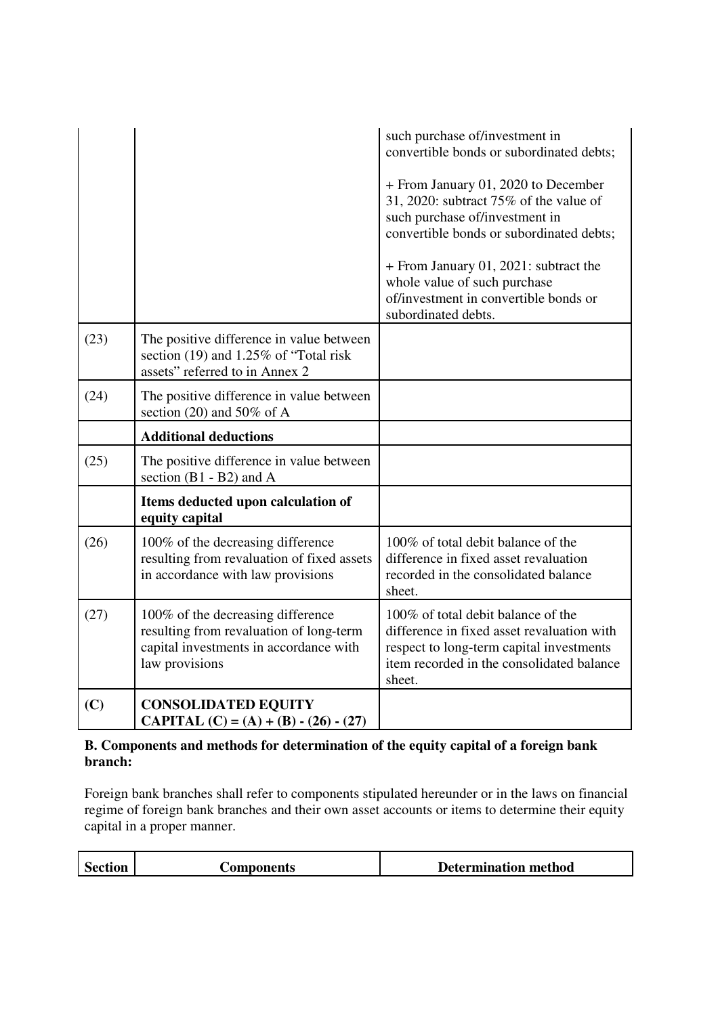|      |                                                                                                                                          | such purchase of/investment in<br>convertible bonds or subordinated debts;                                                                                                          |
|------|------------------------------------------------------------------------------------------------------------------------------------------|-------------------------------------------------------------------------------------------------------------------------------------------------------------------------------------|
|      |                                                                                                                                          | + From January 01, 2020 to December<br>31, 2020: subtract 75% of the value of<br>such purchase of/investment in<br>convertible bonds or subordinated debts;                         |
|      |                                                                                                                                          | + From January 01, 2021: subtract the<br>whole value of such purchase<br>of/investment in convertible bonds or<br>subordinated debts.                                               |
| (23) | The positive difference in value between<br>section (19) and 1.25% of "Total risk<br>assets" referred to in Annex 2                      |                                                                                                                                                                                     |
| (24) | The positive difference in value between<br>section (20) and 50% of A                                                                    |                                                                                                                                                                                     |
|      |                                                                                                                                          |                                                                                                                                                                                     |
|      | <b>Additional deductions</b>                                                                                                             |                                                                                                                                                                                     |
| (25) | The positive difference in value between<br>section $(B1 - B2)$ and A                                                                    |                                                                                                                                                                                     |
|      | Items deducted upon calculation of<br>equity capital                                                                                     |                                                                                                                                                                                     |
| (26) | 100% of the decreasing difference<br>resulting from revaluation of fixed assets<br>in accordance with law provisions                     | 100% of total debit balance of the<br>difference in fixed asset revaluation<br>recorded in the consolidated balance<br>sheet.                                                       |
| (27) | 100% of the decreasing difference<br>resulting from revaluation of long-term<br>capital investments in accordance with<br>law provisions | 100% of total debit balance of the<br>difference in fixed asset revaluation with<br>respect to long-term capital investments<br>item recorded in the consolidated balance<br>sheet. |

# **B. Components and methods for determination of the equity capital of a foreign bank branch:**

Foreign bank branches shall refer to components stipulated hereunder or in the laws on financial regime of foreign bank branches and their own asset accounts or items to determine their equity capital in a proper manner.

| <b>Section</b> | <b>Components</b> | <b>Determination method</b> |
|----------------|-------------------|-----------------------------|
|                |                   |                             |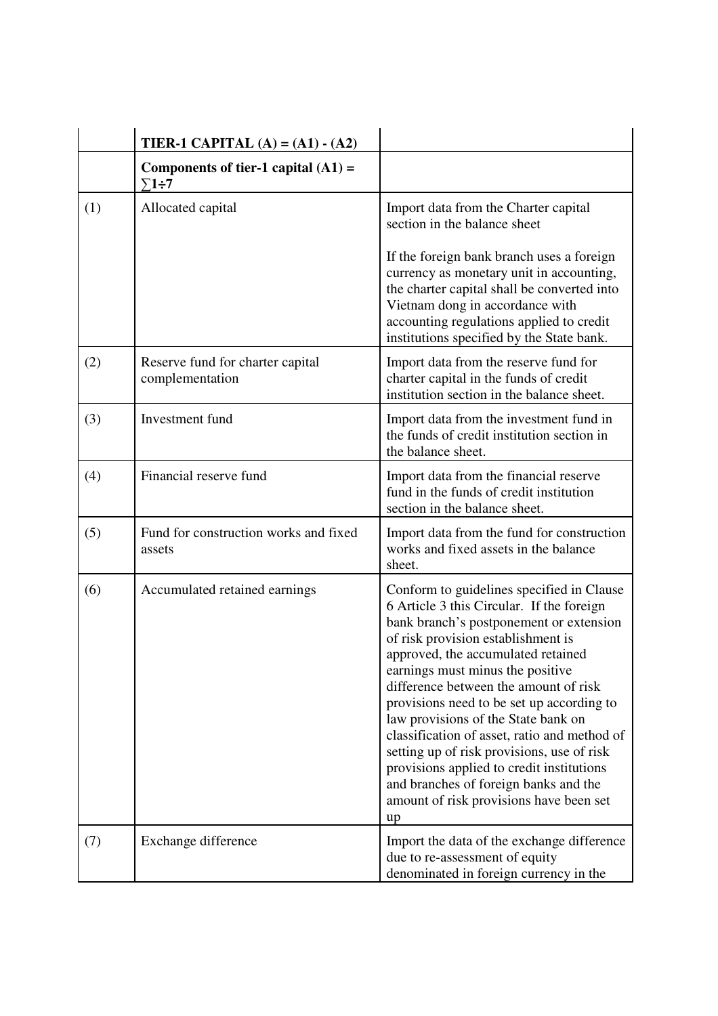|     | <b>TIER-1 CAPITAL</b> (A) = $(A1) - (A2)$             |                                                                                                                                                                                                                                                                                                                                                                                                                                                                                                                                                                                                                     |
|-----|-------------------------------------------------------|---------------------------------------------------------------------------------------------------------------------------------------------------------------------------------------------------------------------------------------------------------------------------------------------------------------------------------------------------------------------------------------------------------------------------------------------------------------------------------------------------------------------------------------------------------------------------------------------------------------------|
|     | Components of tier-1 capital $(A1)$ =<br>$\Sigma$ 1÷7 |                                                                                                                                                                                                                                                                                                                                                                                                                                                                                                                                                                                                                     |
| (1) | Allocated capital                                     | Import data from the Charter capital<br>section in the balance sheet                                                                                                                                                                                                                                                                                                                                                                                                                                                                                                                                                |
|     |                                                       | If the foreign bank branch uses a foreign<br>currency as monetary unit in accounting,<br>the charter capital shall be converted into<br>Vietnam dong in accordance with<br>accounting regulations applied to credit<br>institutions specified by the State bank.                                                                                                                                                                                                                                                                                                                                                    |
| (2) | Reserve fund for charter capital<br>complementation   | Import data from the reserve fund for<br>charter capital in the funds of credit<br>institution section in the balance sheet.                                                                                                                                                                                                                                                                                                                                                                                                                                                                                        |
| (3) | Investment fund                                       | Import data from the investment fund in<br>the funds of credit institution section in<br>the balance sheet.                                                                                                                                                                                                                                                                                                                                                                                                                                                                                                         |
| (4) | Financial reserve fund                                | Import data from the financial reserve<br>fund in the funds of credit institution<br>section in the balance sheet.                                                                                                                                                                                                                                                                                                                                                                                                                                                                                                  |
| (5) | Fund for construction works and fixed<br>assets       | Import data from the fund for construction<br>works and fixed assets in the balance<br>sheet.                                                                                                                                                                                                                                                                                                                                                                                                                                                                                                                       |
| (6) | Accumulated retained earnings                         | Conform to guidelines specified in Clause<br>6 Article 3 this Circular. If the foreign<br>bank branch's postponement or extension<br>of risk provision establishment is<br>approved, the accumulated retained<br>earnings must minus the positive<br>difference between the amount of risk<br>provisions need to be set up according to<br>law provisions of the State bank on<br>classification of asset, ratio and method of<br>setting up of risk provisions, use of risk<br>provisions applied to credit institutions<br>and branches of foreign banks and the<br>amount of risk provisions have been set<br>up |
| (7) | Exchange difference                                   | Import the data of the exchange difference<br>due to re-assessment of equity<br>denominated in foreign currency in the                                                                                                                                                                                                                                                                                                                                                                                                                                                                                              |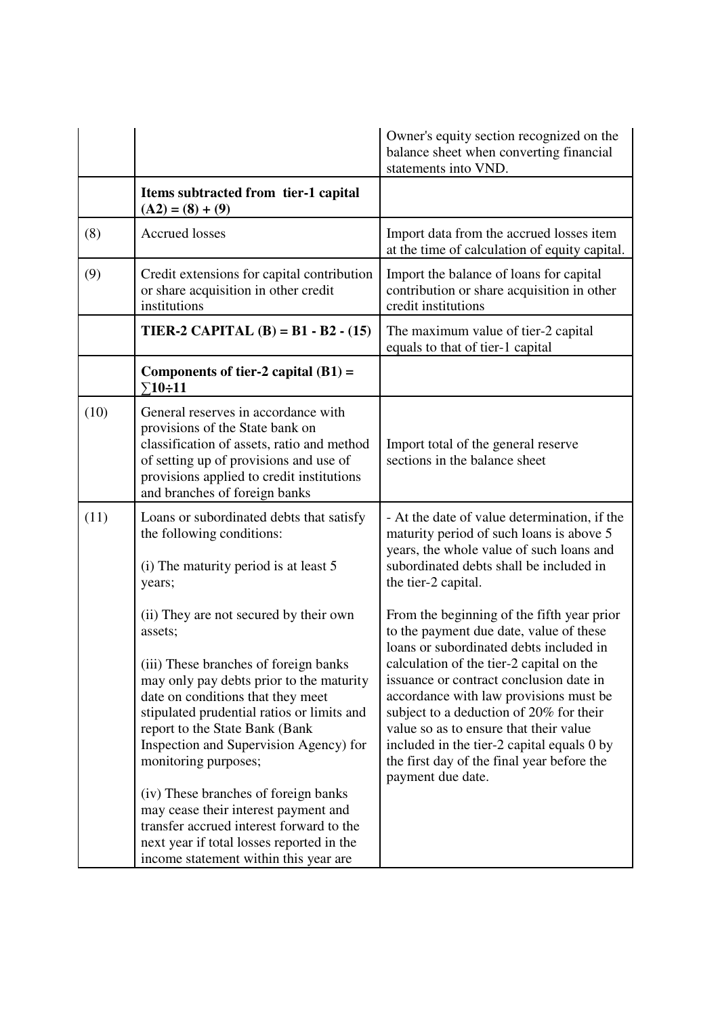|      |                                                                                                                                                                                                                                                                                                                                                                                                                                                                                                                                                 | Owner's equity section recognized on the<br>balance sheet when converting financial<br>statements into VND.                                                                                                                                                                                                                                                                                                                                                             |
|------|-------------------------------------------------------------------------------------------------------------------------------------------------------------------------------------------------------------------------------------------------------------------------------------------------------------------------------------------------------------------------------------------------------------------------------------------------------------------------------------------------------------------------------------------------|-------------------------------------------------------------------------------------------------------------------------------------------------------------------------------------------------------------------------------------------------------------------------------------------------------------------------------------------------------------------------------------------------------------------------------------------------------------------------|
|      | Items subtracted from tier-1 capital<br>$(A2) = (8) + (9)$                                                                                                                                                                                                                                                                                                                                                                                                                                                                                      |                                                                                                                                                                                                                                                                                                                                                                                                                                                                         |
| (8)  | <b>Accrued losses</b>                                                                                                                                                                                                                                                                                                                                                                                                                                                                                                                           | Import data from the accrued losses item<br>at the time of calculation of equity capital.                                                                                                                                                                                                                                                                                                                                                                               |
| (9)  | Credit extensions for capital contribution<br>or share acquisition in other credit<br>institutions                                                                                                                                                                                                                                                                                                                                                                                                                                              | Import the balance of loans for capital<br>contribution or share acquisition in other<br>credit institutions                                                                                                                                                                                                                                                                                                                                                            |
|      | TIER-2 CAPITAL (B) = B1 - B2 - (15)                                                                                                                                                                                                                                                                                                                                                                                                                                                                                                             | The maximum value of tier-2 capital<br>equals to that of tier-1 capital                                                                                                                                                                                                                                                                                                                                                                                                 |
|      | Components of tier-2 capital $(B1)$ =<br>$\Sigma$ 10÷11                                                                                                                                                                                                                                                                                                                                                                                                                                                                                         |                                                                                                                                                                                                                                                                                                                                                                                                                                                                         |
| (10) | General reserves in accordance with<br>provisions of the State bank on<br>classification of assets, ratio and method<br>of setting up of provisions and use of<br>provisions applied to credit institutions<br>and branches of foreign banks                                                                                                                                                                                                                                                                                                    | Import total of the general reserve<br>sections in the balance sheet                                                                                                                                                                                                                                                                                                                                                                                                    |
| (11) | Loans or subordinated debts that satisfy<br>the following conditions:<br>(i) The maturity period is at least 5<br>years;                                                                                                                                                                                                                                                                                                                                                                                                                        | - At the date of value determination, if the<br>maturity period of such loans is above 5<br>years, the whole value of such loans and<br>subordinated debts shall be included in<br>the tier-2 capital.                                                                                                                                                                                                                                                                  |
|      | (ii) They are not secured by their own<br>assets;<br>(iii) These branches of foreign banks<br>may only pay debts prior to the maturity<br>date on conditions that they meet<br>stipulated prudential ratios or limits and<br>report to the State Bank (Bank<br>Inspection and Supervision Agency) for<br>monitoring purposes;<br>(iv) These branches of foreign banks<br>may cease their interest payment and<br>transfer accrued interest forward to the<br>next year if total losses reported in the<br>income statement within this year are | From the beginning of the fifth year prior<br>to the payment due date, value of these<br>loans or subordinated debts included in<br>calculation of the tier-2 capital on the<br>issuance or contract conclusion date in<br>accordance with law provisions must be<br>subject to a deduction of 20% for their<br>value so as to ensure that their value<br>included in the tier-2 capital equals 0 by<br>the first day of the final year before the<br>payment due date. |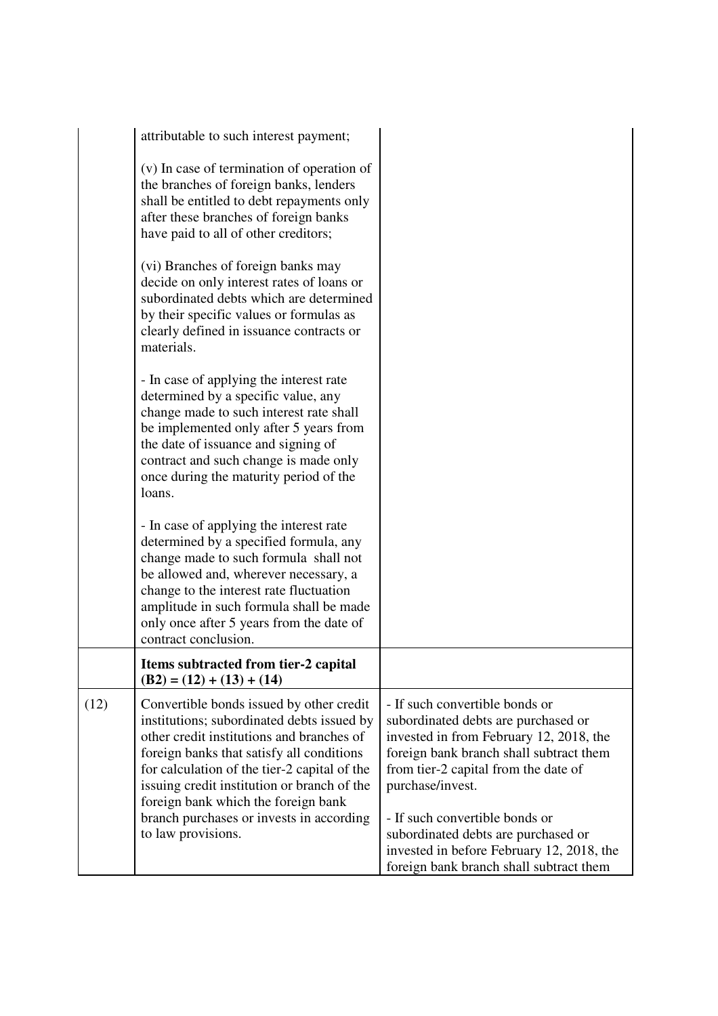|      | attributable to such interest payment;                                                                                                                                                                                                                                                                                                                                                   |                                                                                                                                                                                                                                                                                                                                                                                          |
|------|------------------------------------------------------------------------------------------------------------------------------------------------------------------------------------------------------------------------------------------------------------------------------------------------------------------------------------------------------------------------------------------|------------------------------------------------------------------------------------------------------------------------------------------------------------------------------------------------------------------------------------------------------------------------------------------------------------------------------------------------------------------------------------------|
|      | (v) In case of termination of operation of<br>the branches of foreign banks, lenders<br>shall be entitled to debt repayments only<br>after these branches of foreign banks<br>have paid to all of other creditors;                                                                                                                                                                       |                                                                                                                                                                                                                                                                                                                                                                                          |
|      | (vi) Branches of foreign banks may<br>decide on only interest rates of loans or<br>subordinated debts which are determined<br>by their specific values or formulas as<br>clearly defined in issuance contracts or<br>materials.                                                                                                                                                          |                                                                                                                                                                                                                                                                                                                                                                                          |
|      | - In case of applying the interest rate<br>determined by a specific value, any<br>change made to such interest rate shall<br>be implemented only after 5 years from<br>the date of issuance and signing of<br>contract and such change is made only<br>once during the maturity period of the<br>loans.                                                                                  |                                                                                                                                                                                                                                                                                                                                                                                          |
|      | - In case of applying the interest rate<br>determined by a specified formula, any<br>change made to such formula shall not<br>be allowed and, wherever necessary, a<br>change to the interest rate fluctuation<br>amplitude in such formula shall be made<br>only once after 5 years from the date of<br>contract conclusion.                                                            |                                                                                                                                                                                                                                                                                                                                                                                          |
|      | Items subtracted from tier-2 capital<br>$(B2) = (12) + (13) + (14)$                                                                                                                                                                                                                                                                                                                      |                                                                                                                                                                                                                                                                                                                                                                                          |
| (12) | Convertible bonds issued by other credit<br>institutions; subordinated debts issued by<br>other credit institutions and branches of<br>foreign banks that satisfy all conditions<br>for calculation of the tier-2 capital of the<br>issuing credit institution or branch of the<br>foreign bank which the foreign bank<br>branch purchases or invests in according<br>to law provisions. | - If such convertible bonds or<br>subordinated debts are purchased or<br>invested in from February 12, 2018, the<br>foreign bank branch shall subtract them<br>from tier-2 capital from the date of<br>purchase/invest.<br>- If such convertible bonds or<br>subordinated debts are purchased or<br>invested in before February 12, 2018, the<br>foreign bank branch shall subtract them |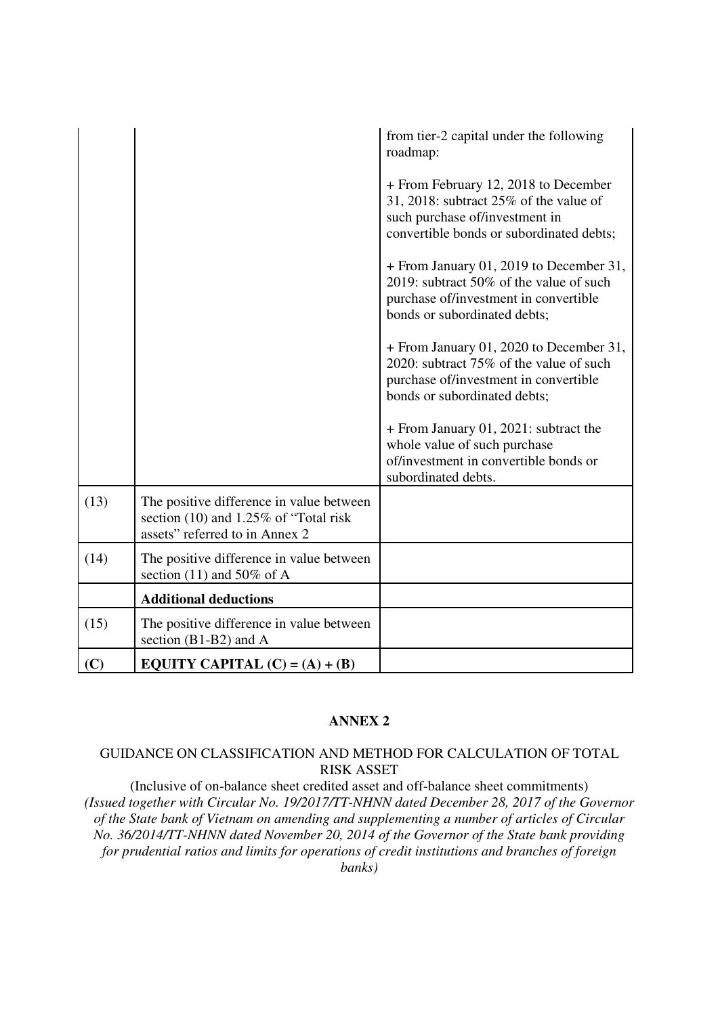|      |                                                                                                                        | from tier-2 capital under the following<br>roadmap:                                                                                                             |
|------|------------------------------------------------------------------------------------------------------------------------|-----------------------------------------------------------------------------------------------------------------------------------------------------------------|
|      |                                                                                                                        | + From February 12, 2018 to December<br>31, 2018: subtract $25\%$ of the value of<br>such purchase of/investment in<br>convertible bonds or subordinated debts; |
|      |                                                                                                                        | + From January 01, 2019 to December 31,<br>2019: subtract 50% of the value of such<br>purchase of/investment in convertible<br>bonds or subordinated debts;     |
|      |                                                                                                                        | + From January 01, 2020 to December 31,<br>2020: subtract 75% of the value of such<br>purchase of/investment in convertible<br>bonds or subordinated debts;     |
|      |                                                                                                                        | + From January 01, 2021: subtract the<br>whole value of such purchase<br>of/investment in convertible bonds or<br>subordinated debts.                           |
| (13) | The positive difference in value between<br>section $(10)$ and 1.25% of "Total risk"<br>assets" referred to in Annex 2 |                                                                                                                                                                 |
| (14) | The positive difference in value between<br>section (11) and 50% of A                                                  |                                                                                                                                                                 |
|      | <b>Additional deductions</b>                                                                                           |                                                                                                                                                                 |
| (15) | The positive difference in value between<br>section $(B1-B2)$ and A                                                    |                                                                                                                                                                 |
| (C)  | EQUITY CAPITAL $(C) = (A) + (B)$                                                                                       |                                                                                                                                                                 |

### **ANNEX 2**

## GUIDANCE ON CLASSIFICATION AND METHOD FOR CALCULATION OF TOTAL RISK ASSET

(Inclusive of on-balance sheet credited asset and off-balance sheet commitments) *(Issued together with Circular No. 19/2017/TT-NHNN dated December 28, 2017 of the Governor of the State bank of Vietnam on amending and supplementing a number of articles of Circular No. 36/2014/TT-NHNN dated November 20, 2014 of the Governor of the State bank providing for prudential ratios and limits for operations of credit institutions and branches of foreign banks)*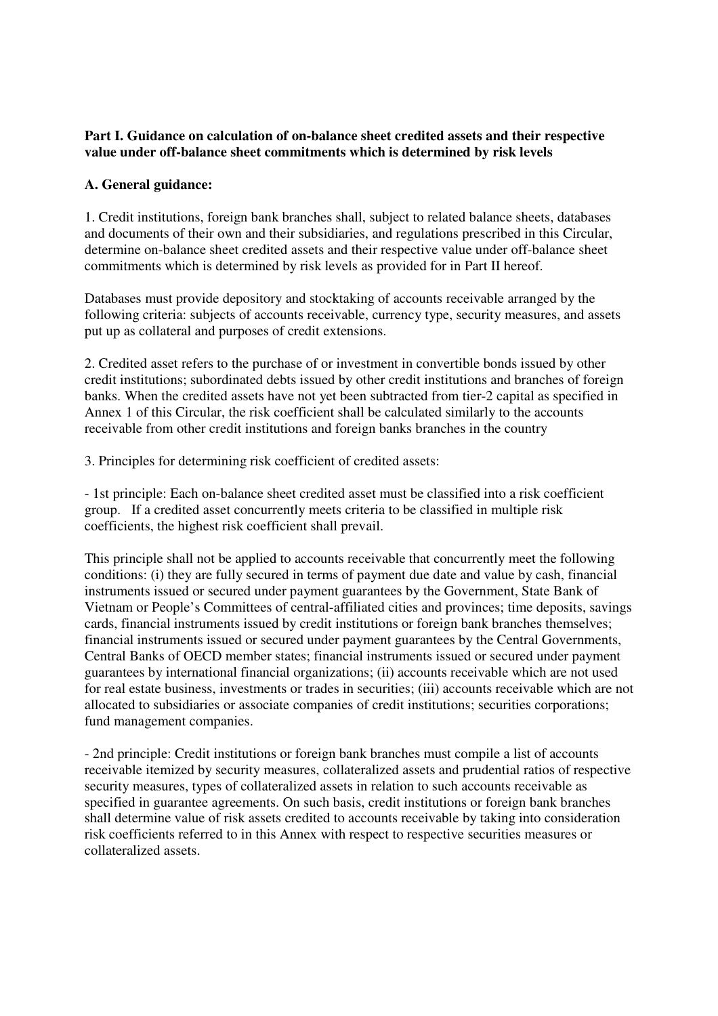## **Part I. Guidance on calculation of on-balance sheet credited assets and their respective value under off-balance sheet commitments which is determined by risk levels**

## **A. General guidance:**

1. Credit institutions, foreign bank branches shall, subject to related balance sheets, databases and documents of their own and their subsidiaries, and regulations prescribed in this Circular, determine on-balance sheet credited assets and their respective value under off-balance sheet commitments which is determined by risk levels as provided for in Part II hereof.

Databases must provide depository and stocktaking of accounts receivable arranged by the following criteria: subjects of accounts receivable, currency type, security measures, and assets put up as collateral and purposes of credit extensions.

2. Credited asset refers to the purchase of or investment in convertible bonds issued by other credit institutions; subordinated debts issued by other credit institutions and branches of foreign banks. When the credited assets have not yet been subtracted from tier-2 capital as specified in Annex 1 of this Circular, the risk coefficient shall be calculated similarly to the accounts receivable from other credit institutions and foreign banks branches in the country

3. Principles for determining risk coefficient of credited assets:

- 1st principle: Each on-balance sheet credited asset must be classified into a risk coefficient group. If a credited asset concurrently meets criteria to be classified in multiple risk coefficients, the highest risk coefficient shall prevail.

This principle shall not be applied to accounts receivable that concurrently meet the following conditions: (i) they are fully secured in terms of payment due date and value by cash, financial instruments issued or secured under payment guarantees by the Government, State Bank of Vietnam or People's Committees of central-affiliated cities and provinces; time deposits, savings cards, financial instruments issued by credit institutions or foreign bank branches themselves; financial instruments issued or secured under payment guarantees by the Central Governments, Central Banks of OECD member states; financial instruments issued or secured under payment guarantees by international financial organizations; (ii) accounts receivable which are not used for real estate business, investments or trades in securities; (iii) accounts receivable which are not allocated to subsidiaries or associate companies of credit institutions; securities corporations; fund management companies.

- 2nd principle: Credit institutions or foreign bank branches must compile a list of accounts receivable itemized by security measures, collateralized assets and prudential ratios of respective security measures, types of collateralized assets in relation to such accounts receivable as specified in guarantee agreements. On such basis, credit institutions or foreign bank branches shall determine value of risk assets credited to accounts receivable by taking into consideration risk coefficients referred to in this Annex with respect to respective securities measures or collateralized assets.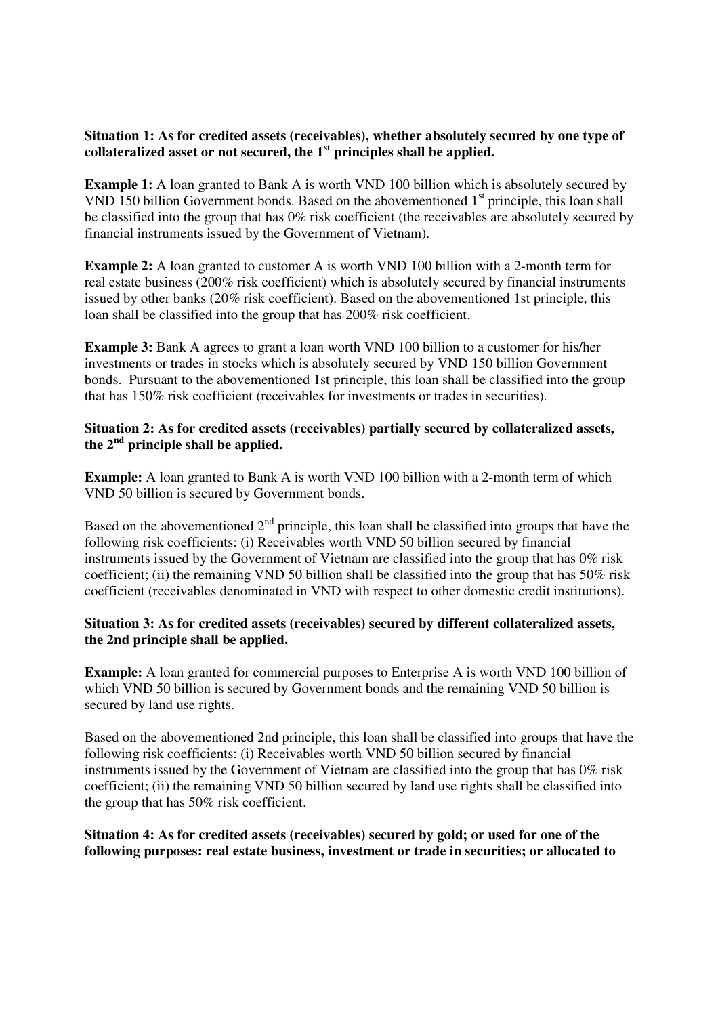### **Situation 1: As for credited assets (receivables), whether absolutely secured by one type of collateralized asset or not secured, the 1st principles shall be applied.**

**Example 1:** A loan granted to Bank A is worth VND 100 billion which is absolutely secured by VND 150 billion Government bonds. Based on the abovementioned  $1<sup>st</sup>$  principle, this loan shall be classified into the group that has 0% risk coefficient (the receivables are absolutely secured by financial instruments issued by the Government of Vietnam).

**Example 2:** A loan granted to customer A is worth VND 100 billion with a 2-month term for real estate business (200% risk coefficient) which is absolutely secured by financial instruments issued by other banks (20% risk coefficient). Based on the abovementioned 1st principle, this loan shall be classified into the group that has 200% risk coefficient.

**Example 3:** Bank A agrees to grant a loan worth VND 100 billion to a customer for his/her investments or trades in stocks which is absolutely secured by VND 150 billion Government bonds. Pursuant to the abovementioned 1st principle, this loan shall be classified into the group that has 150% risk coefficient (receivables for investments or trades in securities).

### **Situation 2: As for credited assets (receivables) partially secured by collateralized assets, the 2nd principle shall be applied.**

**Example:** A loan granted to Bank A is worth VND 100 billion with a 2-month term of which VND 50 billion is secured by Government bonds.

Based on the abovementioned  $2<sup>nd</sup>$  principle, this loan shall be classified into groups that have the following risk coefficients: (i) Receivables worth VND 50 billion secured by financial instruments issued by the Government of Vietnam are classified into the group that has 0% risk coefficient; (ii) the remaining VND 50 billion shall be classified into the group that has 50% risk coefficient (receivables denominated in VND with respect to other domestic credit institutions).

### **Situation 3: As for credited assets (receivables) secured by different collateralized assets, the 2nd principle shall be applied.**

**Example:** A loan granted for commercial purposes to Enterprise A is worth VND 100 billion of which VND 50 billion is secured by Government bonds and the remaining VND 50 billion is secured by land use rights.

Based on the abovementioned 2nd principle, this loan shall be classified into groups that have the following risk coefficients: (i) Receivables worth VND 50 billion secured by financial instruments issued by the Government of Vietnam are classified into the group that has 0% risk coefficient; (ii) the remaining VND 50 billion secured by land use rights shall be classified into the group that has 50% risk coefficient.

## **Situation 4: As for credited assets (receivables) secured by gold; or used for one of the following purposes: real estate business, investment or trade in securities; or allocated to**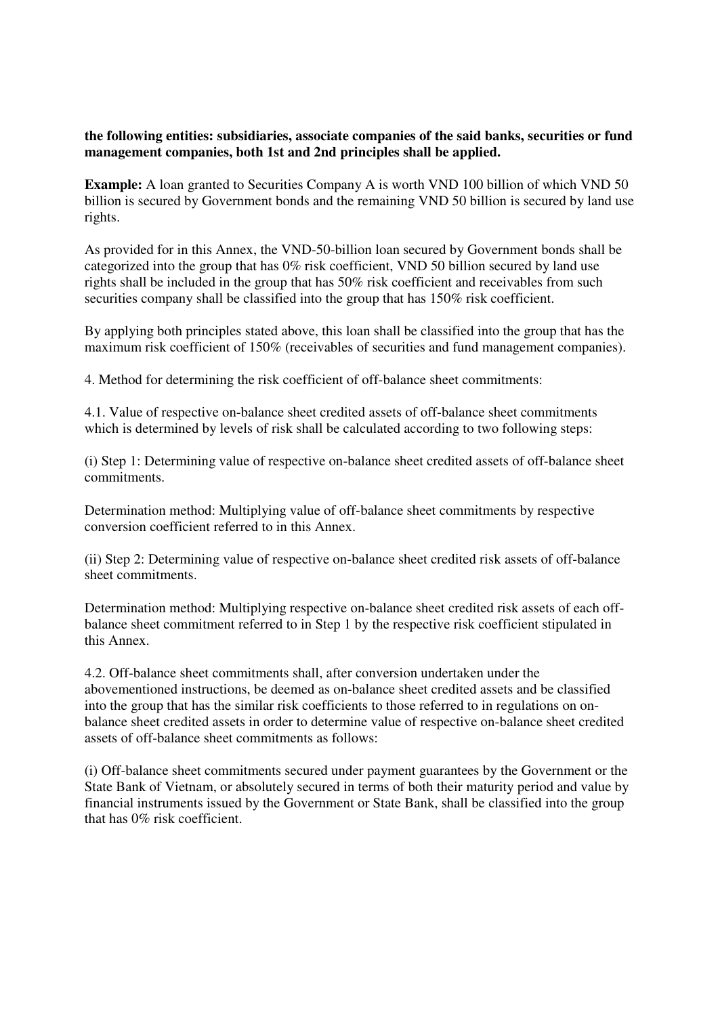#### **the following entities: subsidiaries, associate companies of the said banks, securities or fund management companies, both 1st and 2nd principles shall be applied.**

**Example:** A loan granted to Securities Company A is worth VND 100 billion of which VND 50 billion is secured by Government bonds and the remaining VND 50 billion is secured by land use rights.

As provided for in this Annex, the VND-50-billion loan secured by Government bonds shall be categorized into the group that has 0% risk coefficient, VND 50 billion secured by land use rights shall be included in the group that has 50% risk coefficient and receivables from such securities company shall be classified into the group that has 150% risk coefficient.

By applying both principles stated above, this loan shall be classified into the group that has the maximum risk coefficient of 150% (receivables of securities and fund management companies).

4. Method for determining the risk coefficient of off-balance sheet commitments:

4.1. Value of respective on-balance sheet credited assets of off-balance sheet commitments which is determined by levels of risk shall be calculated according to two following steps:

(i) Step 1: Determining value of respective on-balance sheet credited assets of off-balance sheet commitments.

Determination method: Multiplying value of off-balance sheet commitments by respective conversion coefficient referred to in this Annex.

(ii) Step 2: Determining value of respective on-balance sheet credited risk assets of off-balance sheet commitments.

Determination method: Multiplying respective on-balance sheet credited risk assets of each offbalance sheet commitment referred to in Step 1 by the respective risk coefficient stipulated in this Annex.

4.2. Off-balance sheet commitments shall, after conversion undertaken under the abovementioned instructions, be deemed as on-balance sheet credited assets and be classified into the group that has the similar risk coefficients to those referred to in regulations on onbalance sheet credited assets in order to determine value of respective on-balance sheet credited assets of off-balance sheet commitments as follows:

(i) Off-balance sheet commitments secured under payment guarantees by the Government or the State Bank of Vietnam, or absolutely secured in terms of both their maturity period and value by financial instruments issued by the Government or State Bank, shall be classified into the group that has 0% risk coefficient.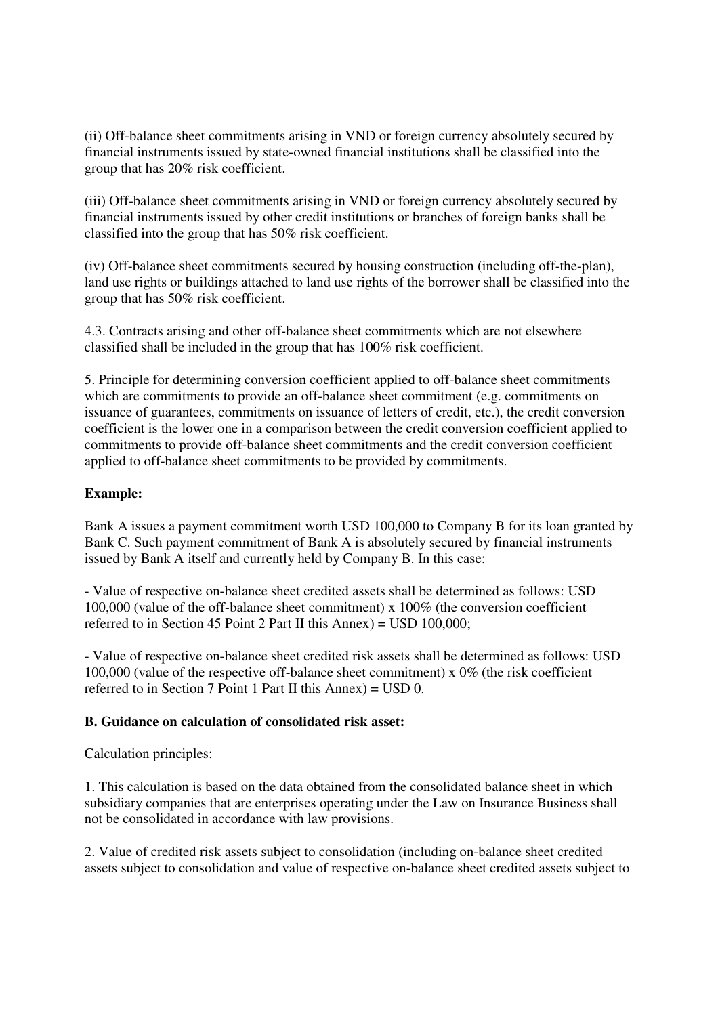(ii) Off-balance sheet commitments arising in VND or foreign currency absolutely secured by financial instruments issued by state-owned financial institutions shall be classified into the group that has 20% risk coefficient.

(iii) Off-balance sheet commitments arising in VND or foreign currency absolutely secured by financial instruments issued by other credit institutions or branches of foreign banks shall be classified into the group that has 50% risk coefficient.

(iv) Off-balance sheet commitments secured by housing construction (including off-the-plan), land use rights or buildings attached to land use rights of the borrower shall be classified into the group that has 50% risk coefficient.

4.3. Contracts arising and other off-balance sheet commitments which are not elsewhere classified shall be included in the group that has 100% risk coefficient.

5. Principle for determining conversion coefficient applied to off-balance sheet commitments which are commitments to provide an off-balance sheet commitment (e.g. commitments on issuance of guarantees, commitments on issuance of letters of credit, etc.), the credit conversion coefficient is the lower one in a comparison between the credit conversion coefficient applied to commitments to provide off-balance sheet commitments and the credit conversion coefficient applied to off-balance sheet commitments to be provided by commitments.

## **Example:**

Bank A issues a payment commitment worth USD 100,000 to Company B for its loan granted by Bank C. Such payment commitment of Bank A is absolutely secured by financial instruments issued by Bank A itself and currently held by Company B. In this case:

- Value of respective on-balance sheet credited assets shall be determined as follows: USD 100,000 (value of the off-balance sheet commitment) x 100% (the conversion coefficient referred to in Section 45 Point 2 Part II this Annex) = USD 100,000;

- Value of respective on-balance sheet credited risk assets shall be determined as follows: USD 100,000 (value of the respective off-balance sheet commitment) x 0% (the risk coefficient referred to in Section 7 Point 1 Part II this  $\text{Annex}$ ) = USD 0.

### **B. Guidance on calculation of consolidated risk asset:**

Calculation principles:

1. This calculation is based on the data obtained from the consolidated balance sheet in which subsidiary companies that are enterprises operating under the Law on Insurance Business shall not be consolidated in accordance with law provisions.

2. Value of credited risk assets subject to consolidation (including on-balance sheet credited assets subject to consolidation and value of respective on-balance sheet credited assets subject to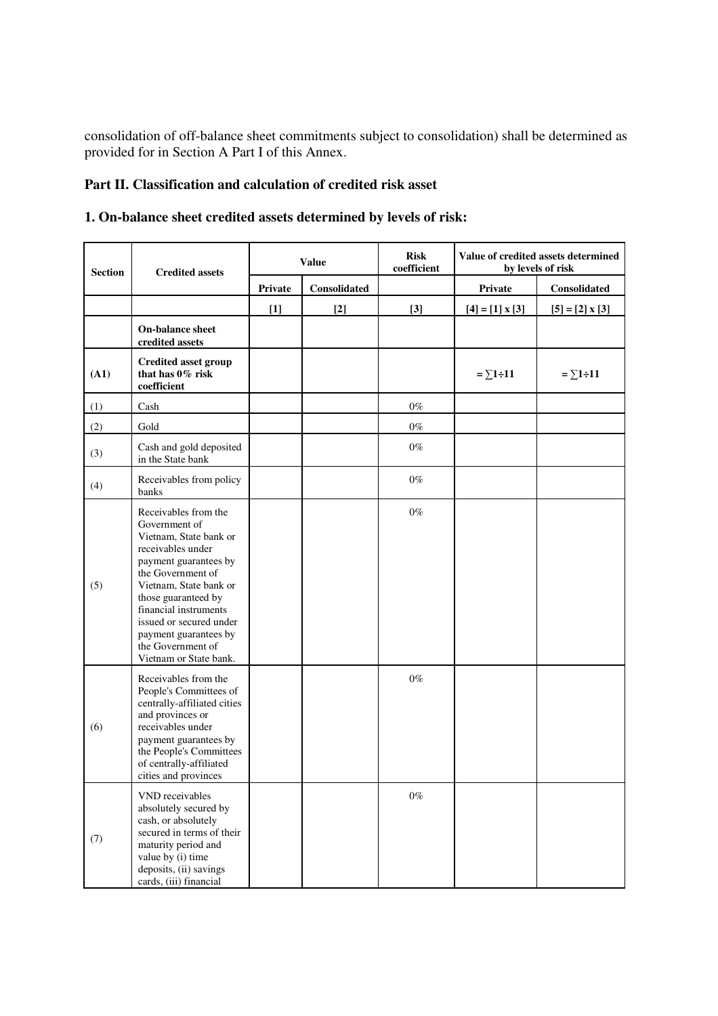consolidation of off-balance sheet commitments subject to consolidation) shall be determined as provided for in Section A Part I of this Annex.

# **Part II. Classification and calculation of credited risk asset**

|  |  |  |  |  | 1. On-balance sheet credited assets determined by levels of risk: |  |  |  |  |
|--|--|--|--|--|-------------------------------------------------------------------|--|--|--|--|
|--|--|--|--|--|-------------------------------------------------------------------|--|--|--|--|

| <b>Section</b> | <b>Credited assets</b>                                                                                                                                                                                                                                                                                          | <b>Value</b> |              | <b>Risk</b><br>coefficient | Value of credited assets determined<br>by levels of risk |                        |  |
|----------------|-----------------------------------------------------------------------------------------------------------------------------------------------------------------------------------------------------------------------------------------------------------------------------------------------------------------|--------------|--------------|----------------------------|----------------------------------------------------------|------------------------|--|
|                |                                                                                                                                                                                                                                                                                                                 | Private      | Consolidated |                            | Private                                                  | Consolidated           |  |
|                |                                                                                                                                                                                                                                                                                                                 | $[1]$        | $[2]$        | $[3]$                      | $[4] = [1] \times [3]$                                   | $[5] = [2] \times [3]$ |  |
|                | <b>On-balance sheet</b><br>credited assets                                                                                                                                                                                                                                                                      |              |              |                            |                                                          |                        |  |
| (A1)           | <b>Credited asset group</b><br>that has 0% risk<br>coefficient                                                                                                                                                                                                                                                  |              |              |                            | $=\sum 1 \div 11$                                        | $=\sum 1 \div 11$      |  |
| (1)            | Cash                                                                                                                                                                                                                                                                                                            |              |              | $0\%$                      |                                                          |                        |  |
| (2)            | Gold                                                                                                                                                                                                                                                                                                            |              |              | $0\%$                      |                                                          |                        |  |
| (3)            | Cash and gold deposited<br>in the State bank                                                                                                                                                                                                                                                                    |              |              | $0\%$                      |                                                          |                        |  |
| (4)            | Receivables from policy<br>banks                                                                                                                                                                                                                                                                                |              |              | $0\%$                      |                                                          |                        |  |
| (5)            | Receivables from the<br>Government of<br>Vietnam. State bank or<br>receivables under<br>payment guarantees by<br>the Government of<br>Vietnam, State bank or<br>those guaranteed by<br>financial instruments<br>issued or secured under<br>payment guarantees by<br>the Government of<br>Vietnam or State bank. |              |              | $0\%$                      |                                                          |                        |  |
| (6)            | Receivables from the<br>People's Committees of<br>centrally-affiliated cities<br>and provinces or<br>receivables under<br>payment guarantees by<br>the People's Committees<br>of centrally-affiliated<br>cities and provinces                                                                                   |              |              | $0\%$                      |                                                          |                        |  |
| (7)            | VND receivables<br>absolutely secured by<br>cash, or absolutely<br>secured in terms of their<br>maturity period and<br>value by (i) time<br>deposits, (ii) savings<br>cards, (iii) financial                                                                                                                    |              |              | $0\%$                      |                                                          |                        |  |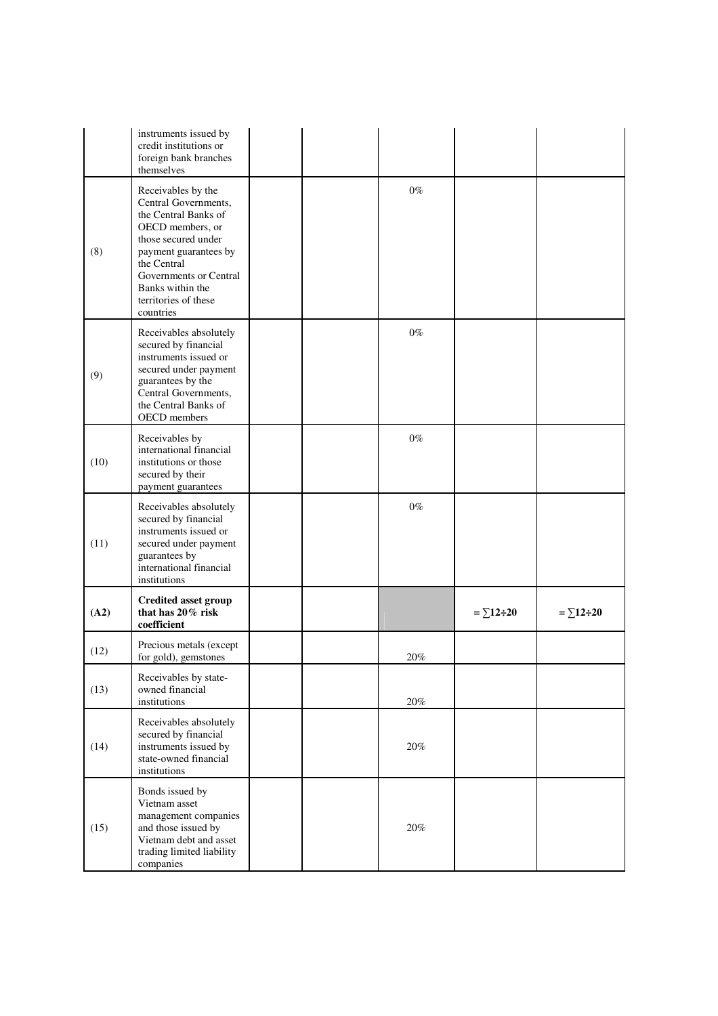|      | instruments issued by<br>credit institutions or<br>foreign bank branches<br>themselves                                                                                                                                                   |  |       |                    |                    |
|------|------------------------------------------------------------------------------------------------------------------------------------------------------------------------------------------------------------------------------------------|--|-------|--------------------|--------------------|
| (8)  | Receivables by the<br>Central Governments,<br>the Central Banks of<br>OECD members, or<br>those secured under<br>payment guarantees by<br>the Central<br>Governments or Central<br>Banks within the<br>territories of these<br>countries |  | $0\%$ |                    |                    |
| (9)  | Receivables absolutely<br>secured by financial<br>instruments issued or<br>secured under payment<br>guarantees by the<br>Central Governments,<br>the Central Banks of<br>OECD members                                                    |  | $0\%$ |                    |                    |
| (10) | Receivables by<br>international financial<br>institutions or those<br>secured by their<br>payment guarantees                                                                                                                             |  | $0\%$ |                    |                    |
| (11) | Receivables absolutely<br>secured by financial<br>instruments issued or<br>secured under payment<br>guarantees by<br>international financial<br>institutions                                                                             |  | $0\%$ |                    |                    |
| (A2) | <b>Credited asset group</b><br>that has 20% risk<br>coefficient                                                                                                                                                                          |  |       | $=\sum 12 \div 20$ | $=\sum 12 \div 20$ |
| (12) | Precious metals (except<br>for gold), gemstones                                                                                                                                                                                          |  | 20%   |                    |                    |
| (13) | Receivables by state-<br>owned financial<br>institutions                                                                                                                                                                                 |  | 20%   |                    |                    |
| (14) | Receivables absolutely<br>secured by financial<br>instruments issued by<br>state-owned financial<br>institutions                                                                                                                         |  | 20%   |                    |                    |
| (15) | Bonds issued by<br>Vietnam asset<br>management companies<br>and those issued by<br>Vietnam debt and asset<br>trading limited liability<br>companies                                                                                      |  | 20%   |                    |                    |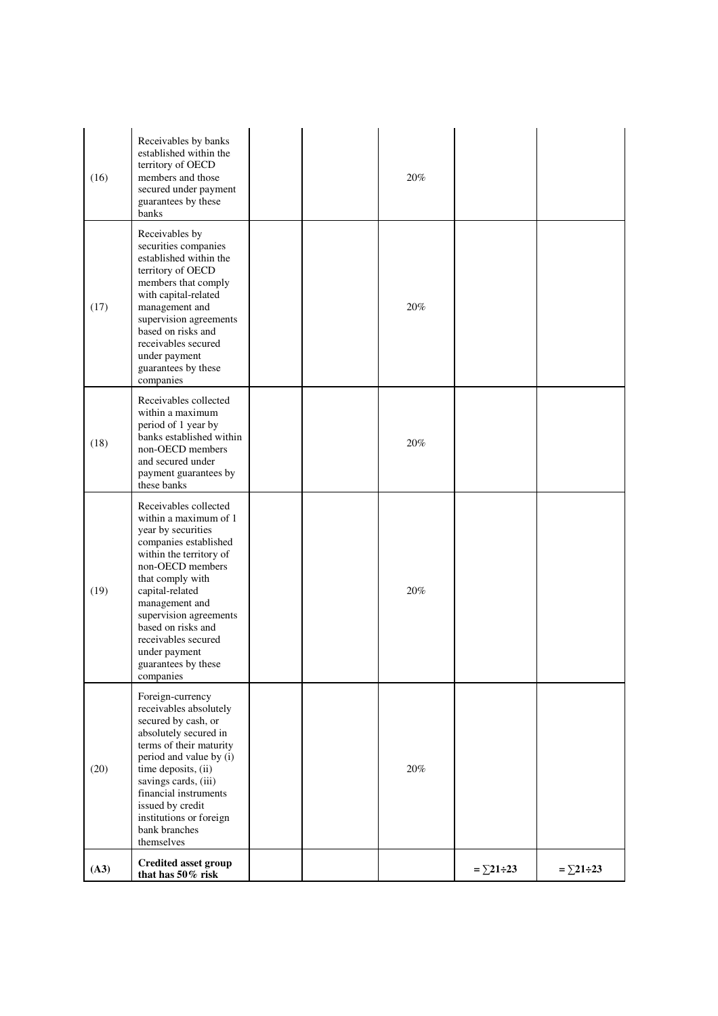| (16) | Receivables by banks<br>established within the<br>territory of OECD<br>members and those<br>secured under payment<br>guarantees by these<br>banks                                                                                                                                                                                 |  | 20%    |                    |                    |
|------|-----------------------------------------------------------------------------------------------------------------------------------------------------------------------------------------------------------------------------------------------------------------------------------------------------------------------------------|--|--------|--------------------|--------------------|
| (17) | Receivables by<br>securities companies<br>established within the<br>territory of OECD<br>members that comply<br>with capital-related<br>management and<br>supervision agreements<br>based on risks and<br>receivables secured<br>under payment<br>guarantees by these<br>companies                                                |  | 20%    |                    |                    |
| (18) | Receivables collected<br>within a maximum<br>period of 1 year by<br>banks established within<br>non-OECD members<br>and secured under<br>payment guarantees by<br>these banks                                                                                                                                                     |  | 20%    |                    |                    |
| (19) | Receivables collected<br>within a maximum of 1<br>year by securities<br>companies established<br>within the territory of<br>non-OECD members<br>that comply with<br>capital-related<br>management and<br>supervision agreements<br>based on risks and<br>receivables secured<br>under payment<br>guarantees by these<br>companies |  | $20\%$ |                    |                    |
| (20) | Foreign-currency<br>receivables absolutely<br>secured by cash, or<br>absolutely secured in<br>terms of their maturity<br>period and value by (i)<br>time deposits, (ii)<br>savings cards, (iii)<br>financial instruments<br>issued by credit<br>institutions or foreign<br>bank branches<br>themselves                            |  | 20%    |                    |                    |
| (A3) | <b>Credited asset group</b><br>that has 50% risk                                                                                                                                                                                                                                                                                  |  |        | $=\sum 21 \div 23$ | $=\sum 21 \div 23$ |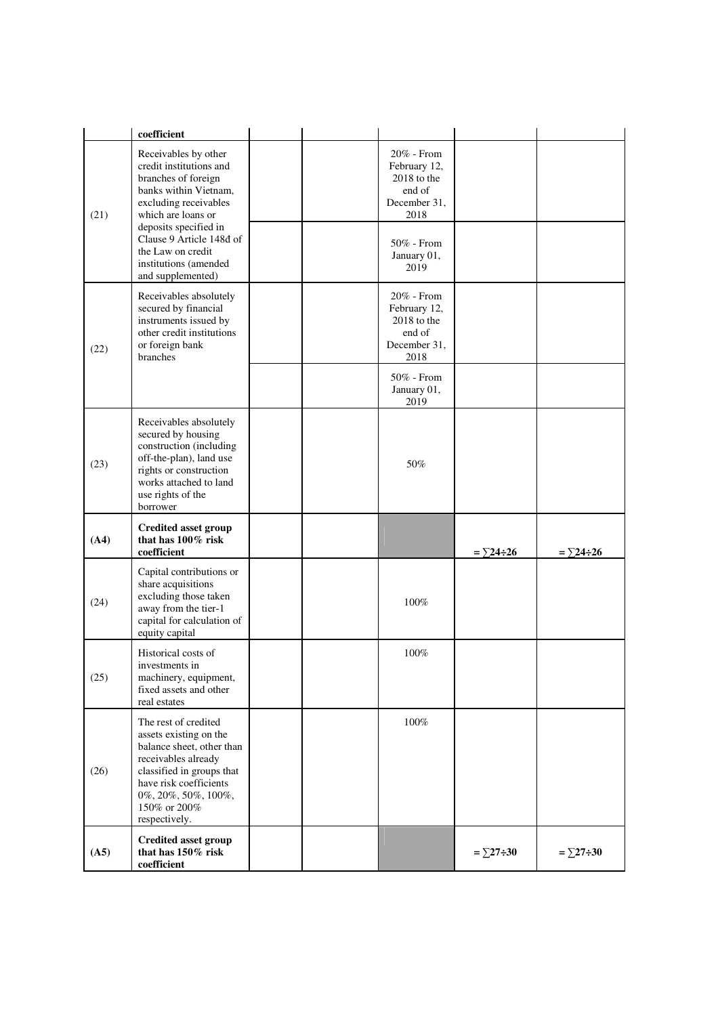|      | coefficient                                                                                                                                                                                                       |  |                                                                                  |                    |                    |
|------|-------------------------------------------------------------------------------------------------------------------------------------------------------------------------------------------------------------------|--|----------------------------------------------------------------------------------|--------------------|--------------------|
| (21) | Receivables by other<br>credit institutions and<br>branches of foreign<br>banks within Vietnam,<br>excluding receivables<br>which are loans or<br>deposits specified in                                           |  | 20% - From<br>February 12,<br>$2018$ to the<br>end of<br>December 31,<br>2018    |                    |                    |
|      | Clause 9 Article 148d of<br>the Law on credit<br>institutions (amended<br>and supplemented)                                                                                                                       |  | 50% - From<br>January 01,<br>2019                                                |                    |                    |
| (22) | Receivables absolutely<br>secured by financial<br>instruments issued by<br>other credit institutions<br>or foreign bank<br>branches                                                                               |  | $20\%$ - From<br>February 12,<br>$2018$ to the<br>end of<br>December 31,<br>2018 |                    |                    |
|      |                                                                                                                                                                                                                   |  | 50% - From<br>January 01,<br>2019                                                |                    |                    |
| (23) | Receivables absolutely<br>secured by housing<br>construction (including<br>off-the-plan), land use<br>rights or construction<br>works attached to land<br>use rights of the<br>borrower                           |  | 50%                                                                              |                    |                    |
| (A4) | <b>Credited asset group</b><br>that has 100% risk<br>coefficient                                                                                                                                                  |  |                                                                                  | $=$ $\Sigma$ 24÷26 | $=\sum 24 \div 26$ |
| (24) | Capital contributions or<br>share acquisitions<br>excluding those taken<br>away from the tier-1<br>capital for calculation of<br>equity capital                                                                   |  | 100%                                                                             |                    |                    |
| (25) | Historical costs of<br>investments in<br>machinery, equipment,<br>fixed assets and other<br>real estates                                                                                                          |  | 100%                                                                             |                    |                    |
| (26) | The rest of credited<br>assets existing on the<br>balance sheet, other than<br>receivables already<br>classified in groups that<br>have risk coefficients<br>0%, 20%, 50%, 100%,<br>150% or 200%<br>respectively. |  | $100\%$                                                                          |                    |                    |
| (A5) | <b>Credited asset group</b><br>that has $150\%$ risk<br>coefficient                                                                                                                                               |  |                                                                                  | $=\sum 27 \div 30$ | $=\sum 27 \div 30$ |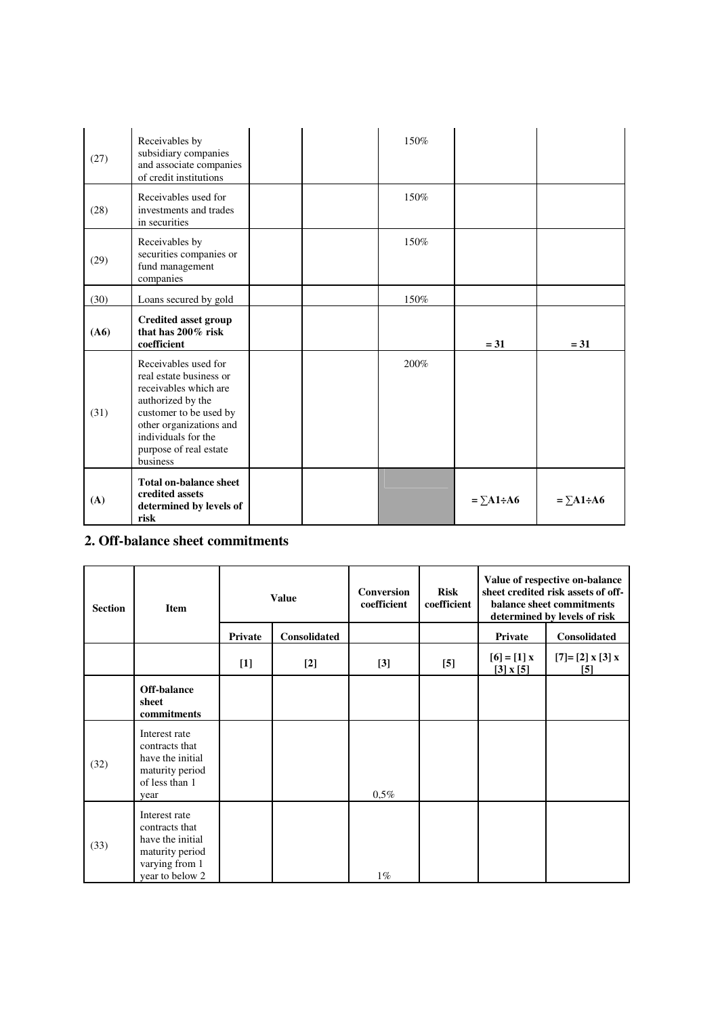| (27) | Receivables by<br>subsidiary companies<br>and associate companies<br>of credit institutions                                                                                                                     |  | 150% |                    |                      |
|------|-----------------------------------------------------------------------------------------------------------------------------------------------------------------------------------------------------------------|--|------|--------------------|----------------------|
| (28) | Receivables used for<br>investments and trades<br>in securities                                                                                                                                                 |  | 150% |                    |                      |
| (29) | Receivables by<br>securities companies or<br>fund management<br>companies                                                                                                                                       |  | 150% |                    |                      |
| (30) | Loans secured by gold                                                                                                                                                                                           |  | 150% |                    |                      |
| (A6) | <b>Credited asset group</b><br>that has $200\%$ risk<br>coefficient                                                                                                                                             |  |      | $= 31$             | $= 31$               |
| (31) | Receivables used for<br>real estate business or<br>receivables which are<br>authorized by the<br>customer to be used by<br>other organizations and<br>individuals for the<br>purpose of real estate<br>business |  | 200% |                    |                      |
| (A)  | <b>Total on-balance sheet</b><br>credited assets<br>determined by levels of<br>risk                                                                                                                             |  |      | $=\sum A1 \div A6$ | $=\Sigma A1 \div A6$ |

## **2. Off-balance sheet commitments**

| <b>Section</b> | <b>Item</b>                                                                                                 |         | <b>Value</b>        | <b>Conversion</b><br>coefficient | <b>Risk</b><br>coefficient |                               | Value of respective on-balance<br>sheet credited risk assets of off-<br>balance sheet commitments<br>determined by levels of risk |
|----------------|-------------------------------------------------------------------------------------------------------------|---------|---------------------|----------------------------------|----------------------------|-------------------------------|-----------------------------------------------------------------------------------------------------------------------------------|
|                |                                                                                                             | Private | <b>Consolidated</b> |                                  |                            | Private                       | <b>Consolidated</b>                                                                                                               |
|                |                                                                                                             | $[1]$   | $[2]$               | $[3]$                            | $[5]$                      | $[6] = [1]x$<br>$[3]$ x $[5]$ | $[7] = [2] \times [3] \times$<br>$[5]$                                                                                            |
|                | Off-balance<br>sheet<br>commitments                                                                         |         |                     |                                  |                            |                               |                                                                                                                                   |
| (32)           | Interest rate<br>contracts that<br>have the initial<br>maturity period<br>of less than 1<br>year            |         |                     | $0.5\%$                          |                            |                               |                                                                                                                                   |
| (33)           | Interest rate<br>contracts that<br>have the initial<br>maturity period<br>varying from 1<br>year to below 2 |         |                     | $1\%$                            |                            |                               |                                                                                                                                   |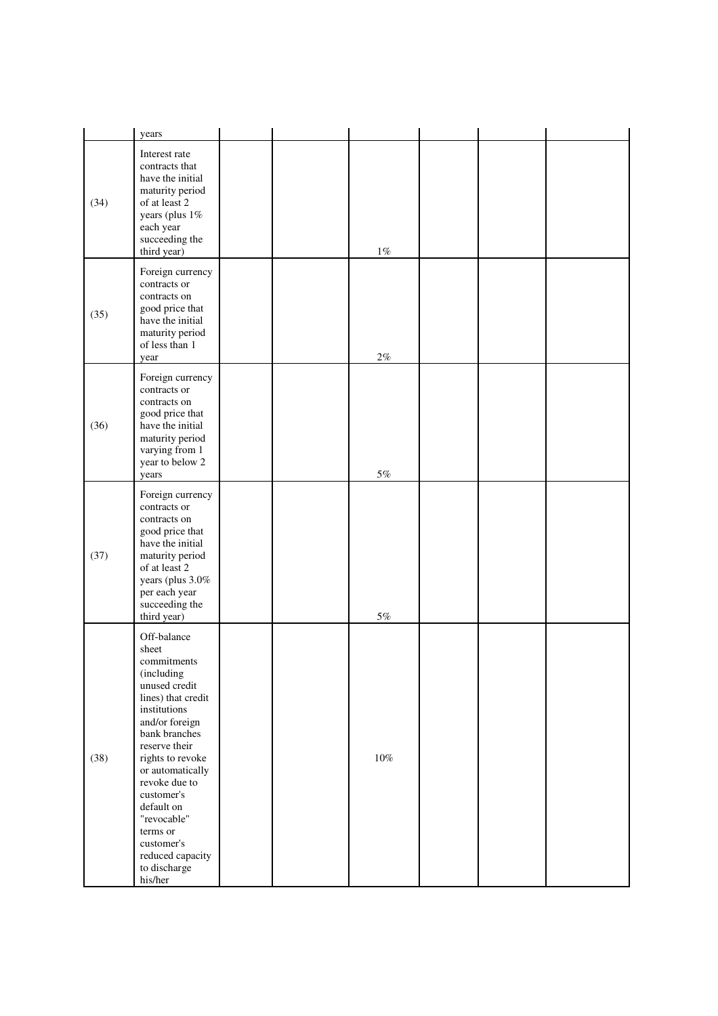|      | years                                                                                                                                                                                                                                                                                                                                     |  |        |  |  |
|------|-------------------------------------------------------------------------------------------------------------------------------------------------------------------------------------------------------------------------------------------------------------------------------------------------------------------------------------------|--|--------|--|--|
| (34) | Interest rate<br>contracts that<br>have the initial<br>maturity period<br>of at least 2<br>years (plus 1%<br>each year<br>succeeding the<br>third year)                                                                                                                                                                                   |  | $1\%$  |  |  |
| (35) | Foreign currency<br>contracts or<br>contracts on<br>good price that<br>have the initial<br>maturity period<br>of less than 1<br>year                                                                                                                                                                                                      |  | $2\%$  |  |  |
| (36) | Foreign currency<br>contracts or<br>contracts on<br>good price that<br>have the initial<br>maturity period<br>varying from 1<br>year to below 2<br>years                                                                                                                                                                                  |  | $5\%$  |  |  |
| (37) | Foreign currency<br>contracts or<br>contracts on<br>good price that<br>have the initial<br>maturity period<br>of at least 2<br>years (plus 3.0%<br>per each year<br>succeeding the<br>third year)                                                                                                                                         |  | $5\%$  |  |  |
| (38) | Off-balance<br>sheet<br>commitments<br>(including<br>unused credit<br>lines) that credit<br>institutions<br>and/or foreign<br>bank branches<br>reserve their<br>rights to revoke<br>or automatically<br>revoke due to<br>customer's<br>default on<br>"revocable"<br>terms or<br>customer's<br>reduced capacity<br>to discharge<br>his/her |  | $10\%$ |  |  |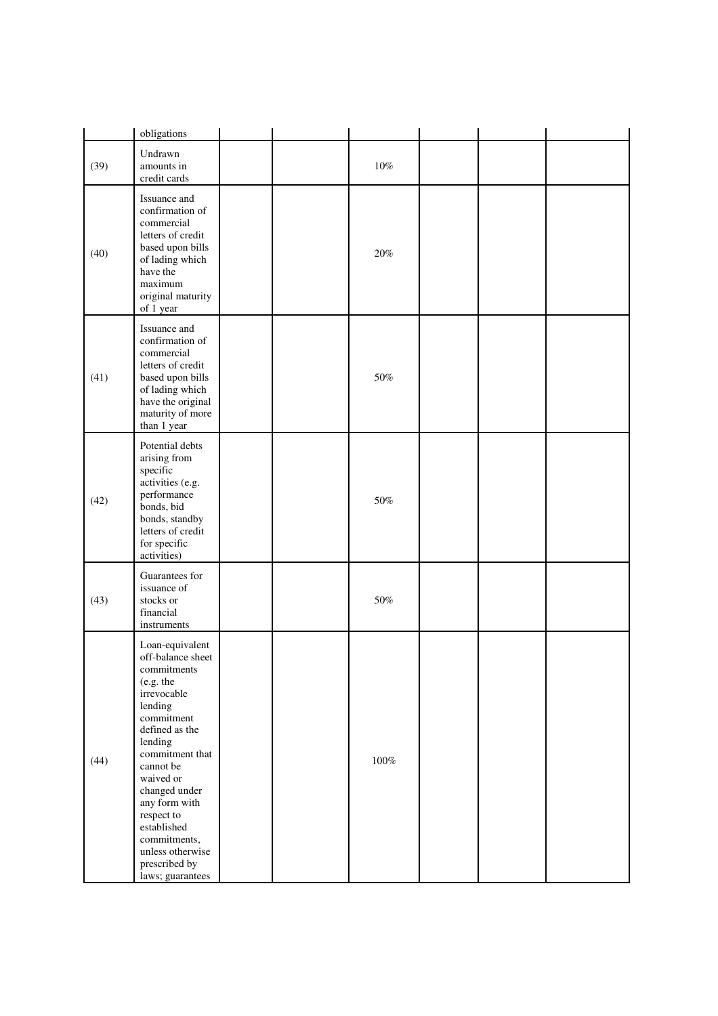|      | obligations                                                                                                                                                                                                                                                                                                                |  |         |  |  |
|------|----------------------------------------------------------------------------------------------------------------------------------------------------------------------------------------------------------------------------------------------------------------------------------------------------------------------------|--|---------|--|--|
| (39) | Undrawn<br>amounts in<br>credit cards                                                                                                                                                                                                                                                                                      |  | $10\%$  |  |  |
| (40) | Issuance and<br>confirmation of<br>commercial<br>letters of credit<br>based upon bills<br>of lading which<br>have the<br>maximum<br>original maturity<br>of 1 year                                                                                                                                                         |  | 20%     |  |  |
| (41) | Issuance and<br>confirmation of<br>commercial<br>letters of credit<br>based upon bills<br>of lading which<br>have the original<br>maturity of more<br>than 1 year                                                                                                                                                          |  | 50%     |  |  |
| (42) | Potential debts<br>arising from<br>specific<br>activities (e.g.<br>performance<br>bonds, bid<br>bonds, standby<br>letters of credit<br>for specific<br>activities)                                                                                                                                                         |  | 50%     |  |  |
| (43) | Guarantees for<br>issuance of<br>stocks or<br>financial<br>instruments                                                                                                                                                                                                                                                     |  | $50\%$  |  |  |
| (44) | Loan-equivalent<br>off-balance sheet<br>commitments<br>(e.g. the<br>irrevocable<br>lending<br>commitment<br>defined as the<br>lending<br>commitment that<br>cannot be<br>waived or<br>changed under<br>any form with<br>respect to<br>established<br>commitments,<br>unless otherwise<br>prescribed by<br>laws; guarantees |  | $100\%$ |  |  |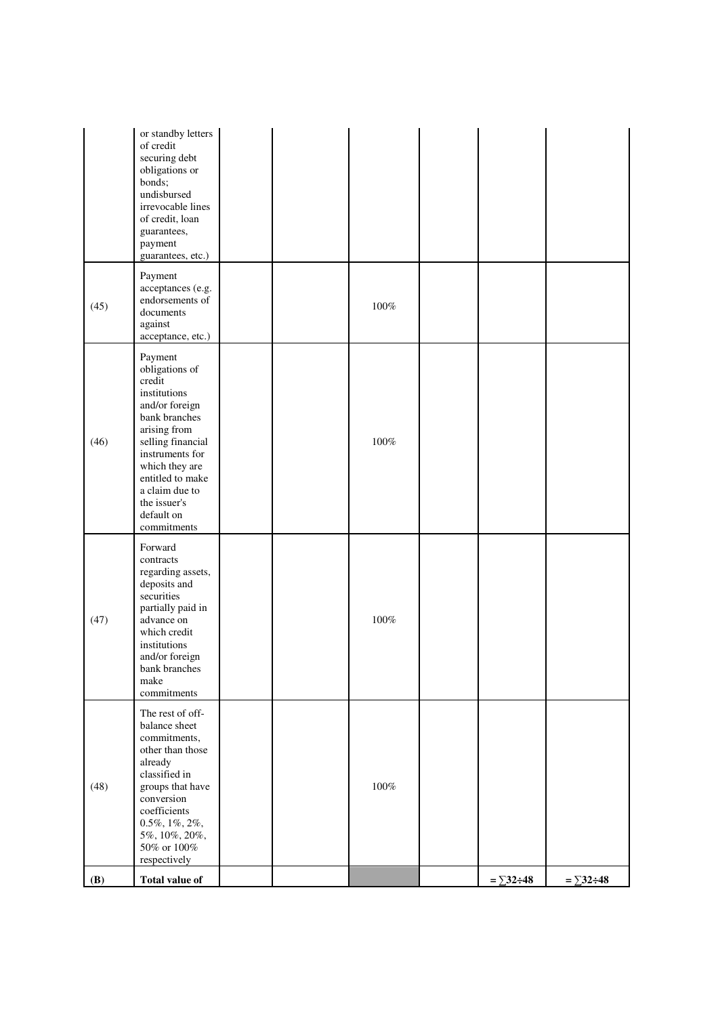|            | or standby letters<br>of credit<br>securing debt<br>obligations or<br>bonds;<br>undisbursed<br>irrevocable lines<br>of credit, loan<br>guarantees,<br>payment<br>guarantees, etc.)                                                                  |  |         |                    |                    |
|------------|-----------------------------------------------------------------------------------------------------------------------------------------------------------------------------------------------------------------------------------------------------|--|---------|--------------------|--------------------|
| (45)       | Payment<br>acceptances (e.g.<br>endorsements of<br>documents<br>against<br>acceptance, etc.)                                                                                                                                                        |  | $100\%$ |                    |                    |
| (46)       | Payment<br>obligations of<br>credit<br>institutions<br>and/or foreign<br>bank branches<br>arising from<br>selling financial<br>instruments for<br>which they are<br>entitled to make<br>a claim due to<br>the issuer's<br>default on<br>commitments |  | $100\%$ |                    |                    |
| (47)       | Forward<br>contracts<br>regarding assets,<br>deposits and<br>securities<br>partially paid in<br>advance on<br>which credit<br>institutions<br>and/or foreign<br>bank branches<br>make<br>commitments                                                |  | $100\%$ |                    |                    |
| (48)       | The rest of off-<br>balance sheet<br>commitments,<br>other than those<br>already<br>classified in<br>groups that have<br>conversion<br>coefficients<br>$0.5\%, 1\%, 2\%,$<br>5%, 10%, 20%,<br>50% or 100%<br>respectively                           |  | $100\%$ |                    |                    |
| <b>(B)</b> | <b>Total value of</b>                                                                                                                                                                                                                               |  |         | $=\sum 32 \div 48$ | $=\sum 32 \div 48$ |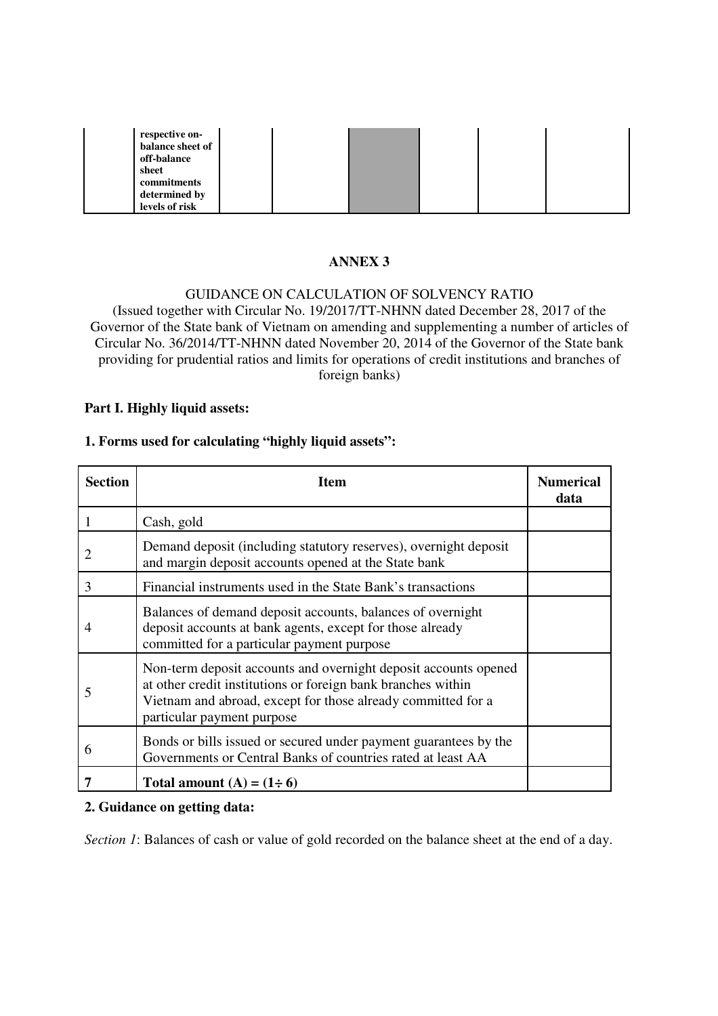| respective on-<br>balance sheet of<br>off-balance       |  |  |  |
|---------------------------------------------------------|--|--|--|
| sheet<br>commitments<br>determined by<br>levels of risk |  |  |  |

# **ANNEX 3**

## GUIDANCE ON CALCULATION OF SOLVENCY RATIO (Issued together with Circular No. 19/2017/TT-NHNN dated December 28, 2017 of the Governor of the State bank of Vietnam on amending and supplementing a number of articles of Circular No. 36/2014/TT-NHNN dated November 20, 2014 of the Governor of the State bank providing for prudential ratios and limits for operations of credit institutions and branches of foreign banks)

#### **Part I. Highly liquid assets:**

#### **1. Forms used for calculating "highly liquid assets":**

| <b>Section</b> | <b>Item</b>                                                                                                                                                                                                                   | <b>Numerical</b><br>data |
|----------------|-------------------------------------------------------------------------------------------------------------------------------------------------------------------------------------------------------------------------------|--------------------------|
|                | Cash, gold                                                                                                                                                                                                                    |                          |
| 2              | Demand deposit (including statutory reserves), overnight deposit<br>and margin deposit accounts opened at the State bank                                                                                                      |                          |
| 3              | Financial instruments used in the State Bank's transactions                                                                                                                                                                   |                          |
| 4              | Balances of demand deposit accounts, balances of overnight<br>deposit accounts at bank agents, except for those already<br>committed for a particular payment purpose                                                         |                          |
| 5              | Non-term deposit accounts and overnight deposit accounts opened<br>at other credit institutions or foreign bank branches within<br>Vietnam and abroad, except for those already committed for a<br>particular payment purpose |                          |
| 6              | Bonds or bills issued or secured under payment guarantees by the<br>Governments or Central Banks of countries rated at least AA                                                                                               |                          |
|                | Total amount $(A) = (1 \div 6)$                                                                                                                                                                                               |                          |

#### **2. Guidance on getting data:**

*Section 1*: Balances of cash or value of gold recorded on the balance sheet at the end of a day.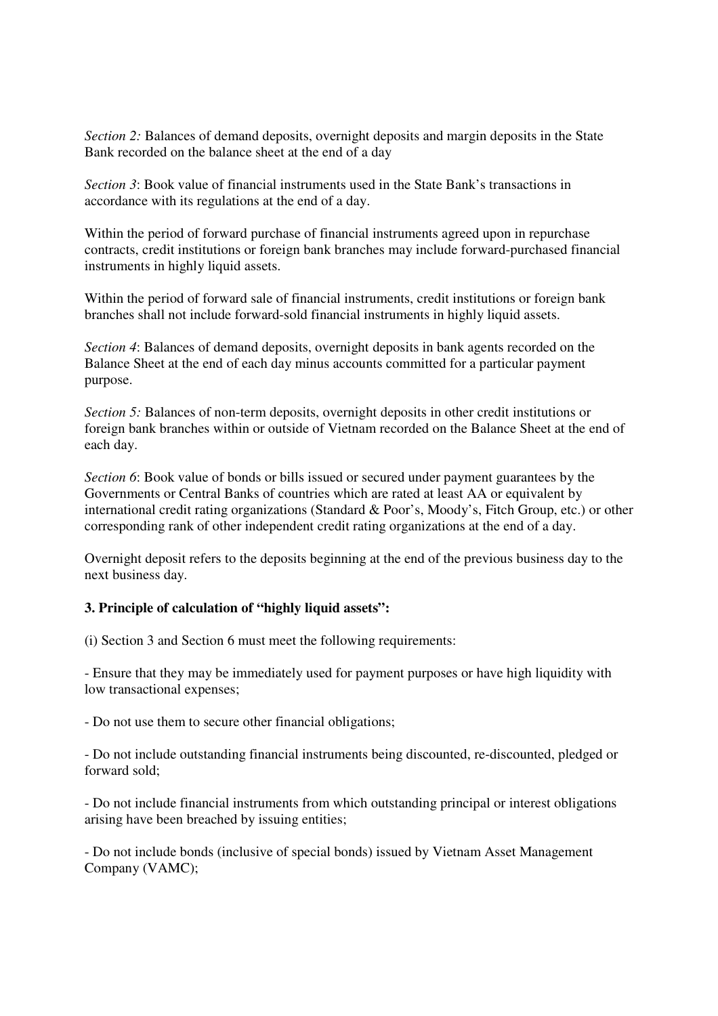*Section 2:* Balances of demand deposits, overnight deposits and margin deposits in the State Bank recorded on the balance sheet at the end of a day

*Section 3*: Book value of financial instruments used in the State Bank's transactions in accordance with its regulations at the end of a day.

Within the period of forward purchase of financial instruments agreed upon in repurchase contracts, credit institutions or foreign bank branches may include forward-purchased financial instruments in highly liquid assets.

Within the period of forward sale of financial instruments, credit institutions or foreign bank branches shall not include forward-sold financial instruments in highly liquid assets.

*Section 4*: Balances of demand deposits, overnight deposits in bank agents recorded on the Balance Sheet at the end of each day minus accounts committed for a particular payment purpose.

*Section 5:* Balances of non-term deposits, overnight deposits in other credit institutions or foreign bank branches within or outside of Vietnam recorded on the Balance Sheet at the end of each day.

*Section 6*: Book value of bonds or bills issued or secured under payment guarantees by the Governments or Central Banks of countries which are rated at least AA or equivalent by international credit rating organizations (Standard & Poor's, Moody's, Fitch Group, etc.) or other corresponding rank of other independent credit rating organizations at the end of a day.

Overnight deposit refers to the deposits beginning at the end of the previous business day to the next business day.

### **3. Principle of calculation of "highly liquid assets":**

(i) Section 3 and Section 6 must meet the following requirements:

- Ensure that they may be immediately used for payment purposes or have high liquidity with low transactional expenses;

- Do not use them to secure other financial obligations;

- Do not include outstanding financial instruments being discounted, re-discounted, pledged or forward sold;

- Do not include financial instruments from which outstanding principal or interest obligations arising have been breached by issuing entities;

- Do not include bonds (inclusive of special bonds) issued by Vietnam Asset Management Company (VAMC);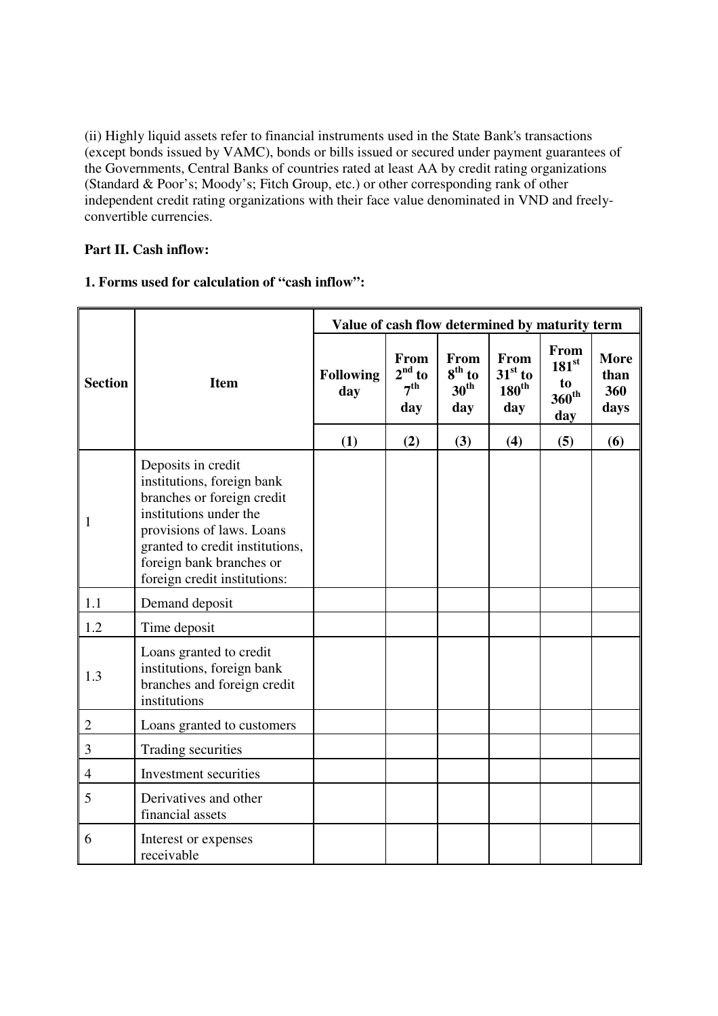(ii) Highly liquid assets refer to financial instruments used in the State Bank's transactions (except bonds issued by VAMC), bonds or bills issued or secured under payment guarantees of the Governments, Central Banks of countries rated at least AA by credit rating organizations (Standard & Poor's; Moody's; Fitch Group, etc.) or other corresponding rank of other independent credit rating organizations with their face value denominated in VND and freelyconvertible currencies.

# **Part II. Cash inflow:**

# **1. Forms used for calculation of "cash inflow":**

|                |                                                                                                                                                                                                                                      | Value of cash flow determined by maturity term |                                            |                                             |                                               |                                                          |                                    |  |  |  |
|----------------|--------------------------------------------------------------------------------------------------------------------------------------------------------------------------------------------------------------------------------------|------------------------------------------------|--------------------------------------------|---------------------------------------------|-----------------------------------------------|----------------------------------------------------------|------------------------------------|--|--|--|
| <b>Section</b> | <b>Item</b>                                                                                                                                                                                                                          | <b>Following</b><br>day                        | From<br>$2nd$ to<br>7 <sup>th</sup><br>day | From<br>$8th$ to<br>30 <sup>th</sup><br>day | From<br>$31st$ to<br>$180^{\text{th}}$<br>day | From<br>$181^{\rm st}$<br>to<br>$360^{\text{th}}$<br>day | <b>More</b><br>than<br>360<br>days |  |  |  |
|                |                                                                                                                                                                                                                                      | (1)                                            | (2)<br>(3)<br>(4)<br>(5)                   | (6)                                         |                                               |                                                          |                                    |  |  |  |
| $\mathbf{1}$   | Deposits in credit<br>institutions, foreign bank<br>branches or foreign credit<br>institutions under the<br>provisions of laws. Loans<br>granted to credit institutions,<br>foreign bank branches or<br>foreign credit institutions: |                                                |                                            |                                             |                                               |                                                          |                                    |  |  |  |
| 1.1            | Demand deposit                                                                                                                                                                                                                       |                                                |                                            |                                             |                                               |                                                          |                                    |  |  |  |
| 1.2            | Time deposit                                                                                                                                                                                                                         |                                                |                                            |                                             |                                               |                                                          |                                    |  |  |  |
| 1.3            | Loans granted to credit<br>institutions, foreign bank<br>branches and foreign credit<br>institutions                                                                                                                                 |                                                |                                            |                                             |                                               |                                                          |                                    |  |  |  |
| $\mathbf{2}$   | Loans granted to customers                                                                                                                                                                                                           |                                                |                                            |                                             |                                               |                                                          |                                    |  |  |  |
| $\mathfrak{Z}$ | Trading securities                                                                                                                                                                                                                   |                                                |                                            |                                             |                                               |                                                          |                                    |  |  |  |
| $\overline{4}$ | Investment securities                                                                                                                                                                                                                |                                                |                                            |                                             |                                               |                                                          |                                    |  |  |  |
| 5              | Derivatives and other<br>financial assets                                                                                                                                                                                            |                                                |                                            |                                             |                                               |                                                          |                                    |  |  |  |
| 6              | Interest or expenses<br>receivable                                                                                                                                                                                                   |                                                |                                            |                                             |                                               |                                                          |                                    |  |  |  |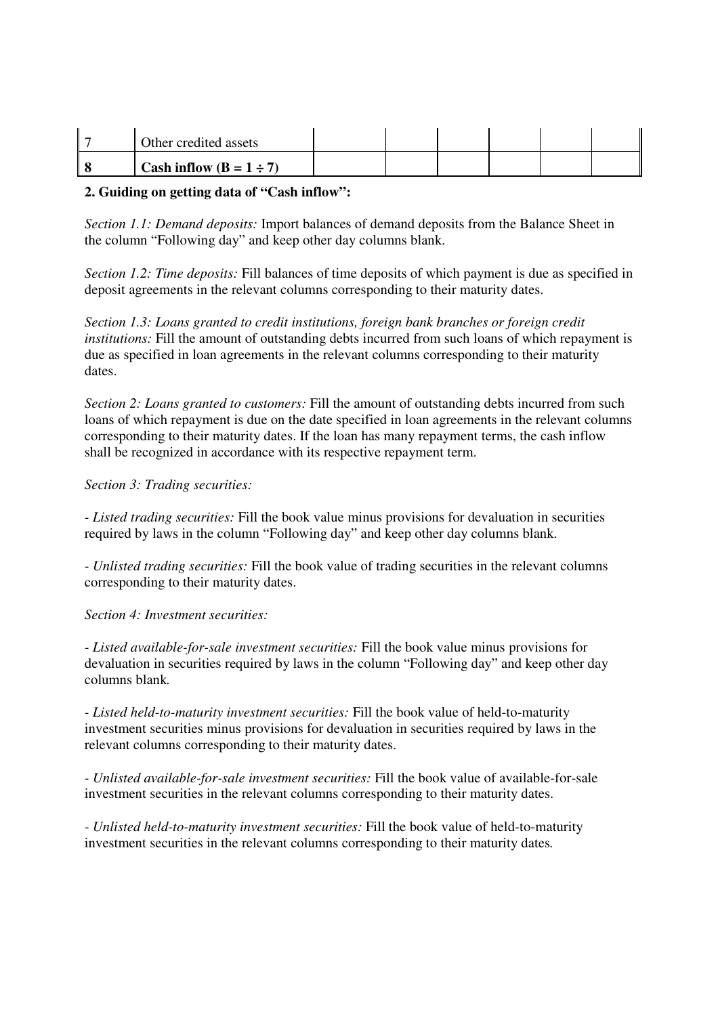| Other credited assets        |  |  |  |
|------------------------------|--|--|--|
| Cash inflow $(B = 1 \div 7)$ |  |  |  |

## **2. Guiding on getting data of "Cash inflow":**

*Section 1.1: Demand deposits:* Import balances of demand deposits from the Balance Sheet in the column "Following day" and keep other day columns blank.

*Section 1.2: Time deposits:* Fill balances of time deposits of which payment is due as specified in deposit agreements in the relevant columns corresponding to their maturity dates.

*Section 1.3: Loans granted to credit institutions, foreign bank branches or foreign credit institutions:* Fill the amount of outstanding debts incurred from such loans of which repayment is due as specified in loan agreements in the relevant columns corresponding to their maturity dates.

*Section 2: Loans granted to customers:* Fill the amount of outstanding debts incurred from such loans of which repayment is due on the date specified in loan agreements in the relevant columns corresponding to their maturity dates. If the loan has many repayment terms, the cash inflow shall be recognized in accordance with its respective repayment term.

### *Section 3: Trading securities:*

*- Listed trading securities:* Fill the book value minus provisions for devaluation in securities required by laws in the column "Following day" and keep other day columns blank.

*- Unlisted trading securities:* Fill the book value of trading securities in the relevant columns corresponding to their maturity dates.

*Section 4: Investment securities:*

*- Listed available-for-sale investment securities:* Fill the book value minus provisions for devaluation in securities required by laws in the column "Following day" and keep other day columns blank*.*

*- Listed held-to-maturity investment securities:* Fill the book value of held-to-maturity investment securities minus provisions for devaluation in securities required by laws in the relevant columns corresponding to their maturity dates.

*- Unlisted available-for-sale investment securities:* Fill the book value of available-for-sale investment securities in the relevant columns corresponding to their maturity dates.

*- Unlisted held-to-maturity investment securities:* Fill the book value of held-to-maturity investment securities in the relevant columns corresponding to their maturity dates*.*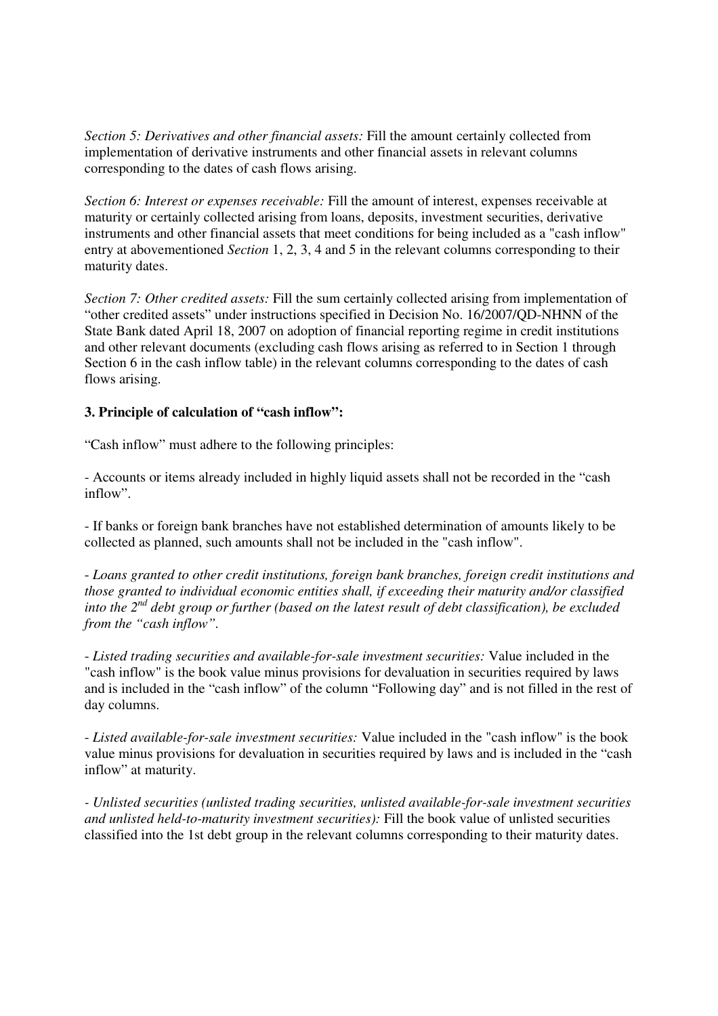*Section 5: Derivatives and other financial assets:* Fill the amount certainly collected from implementation of derivative instruments and other financial assets in relevant columns corresponding to the dates of cash flows arising.

*Section 6: Interest or expenses receivable:* Fill the amount of interest, expenses receivable at maturity or certainly collected arising from loans, deposits, investment securities, derivative instruments and other financial assets that meet conditions for being included as a "cash inflow" entry at abovementioned *Section* 1, 2, 3, 4 and 5 in the relevant columns corresponding to their maturity dates.

*Section 7: Other credited assets:* Fill the sum certainly collected arising from implementation of "other credited assets" under instructions specified in Decision No. 16/2007/QD-NHNN of the State Bank dated April 18, 2007 on adoption of financial reporting regime in credit institutions and other relevant documents (excluding cash flows arising as referred to in Section 1 through Section 6 in the cash inflow table) in the relevant columns corresponding to the dates of cash flows arising.

### **3. Principle of calculation of "cash inflow":**

"Cash inflow" must adhere to the following principles:

- Accounts or items already included in highly liquid assets shall not be recorded in the "cash inflow".

- If banks or foreign bank branches have not established determination of amounts likely to be collected as planned, such amounts shall not be included in the "cash inflow".

- *Loans granted to other credit institutions, foreign bank branches, foreign credit institutions and those granted to individual economic entities shall, if exceeding their maturity and/or classified into the 2nd debt group or further (based on the latest result of debt classification), be excluded from the "cash inflow".* 

- *Listed trading securities and available-for-sale investment securities:* Value included in the "cash inflow" is the book value minus provisions for devaluation in securities required by laws and is included in the "cash inflow" of the column "Following day" and is not filled in the rest of day columns.

- *Listed available-for-sale investment securities:* Value included in the "cash inflow" is the book value minus provisions for devaluation in securities required by laws and is included in the "cash inflow" at maturity.

*- Unlisted securities (unlisted trading securities, unlisted available-for-sale investment securities and unlisted held-to-maturity investment securities):* Fill the book value of unlisted securities classified into the 1st debt group in the relevant columns corresponding to their maturity dates.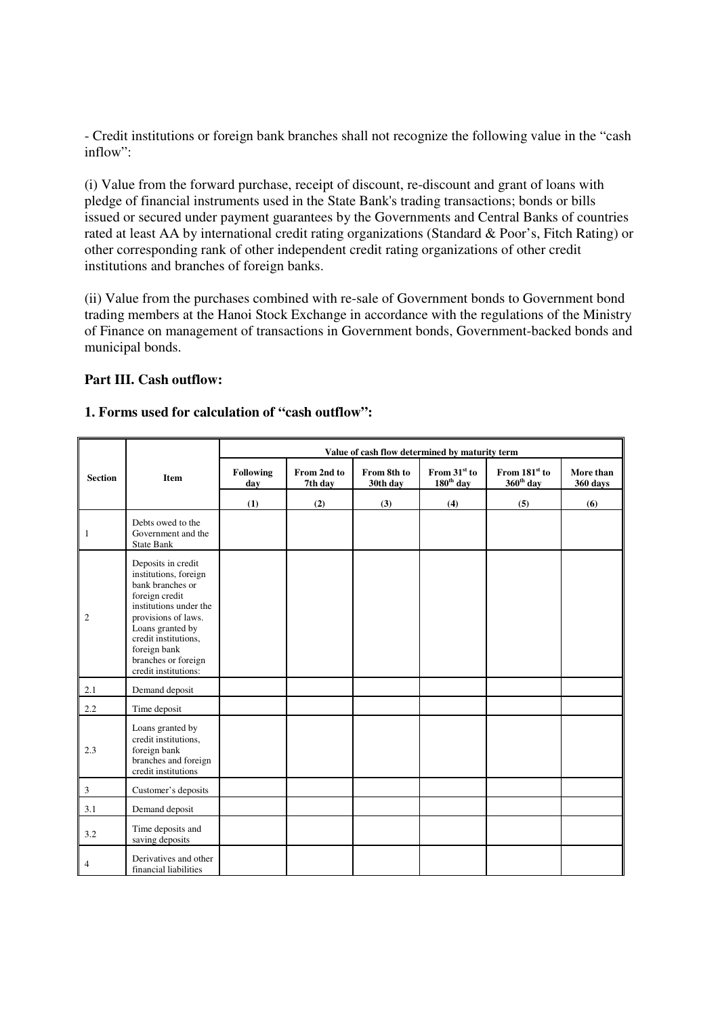- Credit institutions or foreign bank branches shall not recognize the following value in the "cash inflow":

(i) Value from the forward purchase, receipt of discount, re-discount and grant of loans with pledge of financial instruments used in the State Bank's trading transactions; bonds or bills issued or secured under payment guarantees by the Governments and Central Banks of countries rated at least AA by international credit rating organizations (Standard & Poor's, Fitch Rating) or other corresponding rank of other independent credit rating organizations of other credit institutions and branches of foreign banks.

(ii) Value from the purchases combined with re-sale of Government bonds to Government bond trading members at the Hanoi Stock Exchange in accordance with the regulations of the Ministry of Finance on management of transactions in Government bonds, Government-backed bonds and municipal bonds.

### **Part III. Cash outflow:**

#### **1. Forms used for calculation of "cash outflow":**

|                             |                                                                                                                                                                                                                                               | Value of cash flow determined by maturity term |                        |                         |                                         |                                                    |                       |  |  |  |
|-----------------------------|-----------------------------------------------------------------------------------------------------------------------------------------------------------------------------------------------------------------------------------------------|------------------------------------------------|------------------------|-------------------------|-----------------------------------------|----------------------------------------------------|-----------------------|--|--|--|
| <b>Section</b>              | Item                                                                                                                                                                                                                                          | <b>Following</b><br>day                        | From 2nd to<br>7th day | From 8th to<br>30th day | From 31 <sup>st</sup> to<br>$180th$ day | From 181 <sup>st</sup> to<br>360 <sup>th</sup> day | More than<br>360 days |  |  |  |
|                             |                                                                                                                                                                                                                                               | (1)                                            | (2)                    | (3)                     | (4)                                     | (5)                                                | (6)                   |  |  |  |
| $\mathbf{1}$                | Debts owed to the<br>Government and the<br><b>State Bank</b>                                                                                                                                                                                  |                                                |                        |                         |                                         |                                                    |                       |  |  |  |
| 2                           | Deposits in credit<br>institutions, foreign<br>bank branches or<br>foreign credit<br>institutions under the<br>provisions of laws.<br>Loans granted by<br>credit institutions,<br>foreign bank<br>branches or foreign<br>credit institutions: |                                                |                        |                         |                                         |                                                    |                       |  |  |  |
| 2.1                         | Demand deposit                                                                                                                                                                                                                                |                                                |                        |                         |                                         |                                                    |                       |  |  |  |
| 2.2                         | Time deposit                                                                                                                                                                                                                                  |                                                |                        |                         |                                         |                                                    |                       |  |  |  |
| 2.3                         | Loans granted by<br>credit institutions,<br>foreign bank<br>branches and foreign<br>credit institutions                                                                                                                                       |                                                |                        |                         |                                         |                                                    |                       |  |  |  |
| $\boldsymbol{\mathfrak{Z}}$ | Customer's deposits                                                                                                                                                                                                                           |                                                |                        |                         |                                         |                                                    |                       |  |  |  |
| 3.1                         | Demand deposit                                                                                                                                                                                                                                |                                                |                        |                         |                                         |                                                    |                       |  |  |  |
| 3.2                         | Time deposits and<br>saving deposits                                                                                                                                                                                                          |                                                |                        |                         |                                         |                                                    |                       |  |  |  |
| $\overline{4}$              | Derivatives and other<br>financial liabilities                                                                                                                                                                                                |                                                |                        |                         |                                         |                                                    |                       |  |  |  |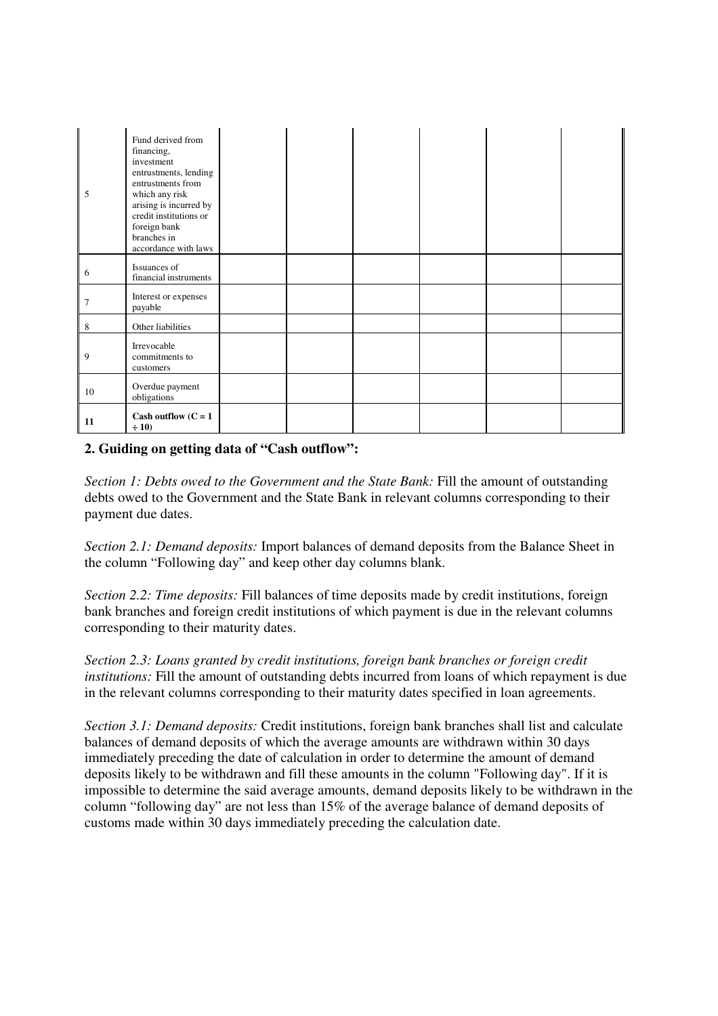| 5      | Fund derived from<br>financing,<br>investment<br>entrustments, lending<br>entrustments from<br>which any risk<br>arising is incurred by<br>credit institutions or<br>foreign bank<br>branches in<br>accordance with laws |  |  |  |
|--------|--------------------------------------------------------------------------------------------------------------------------------------------------------------------------------------------------------------------------|--|--|--|
| 6      | Issuances of<br>financial instruments                                                                                                                                                                                    |  |  |  |
| $\tau$ | Interest or expenses<br>payable                                                                                                                                                                                          |  |  |  |
| 8      | Other liabilities                                                                                                                                                                                                        |  |  |  |
| 9      | Irrevocable<br>commitments to<br>customers                                                                                                                                                                               |  |  |  |
| 10     | Overdue payment<br>obligations                                                                                                                                                                                           |  |  |  |
| 11     | Cash outflow $(C = 1)$<br>$\div 10$                                                                                                                                                                                      |  |  |  |

# **2. Guiding on getting data of "Cash outflow":**

*Section 1: Debts owed to the Government and the State Bank: Fill the amount of outstanding* debts owed to the Government and the State Bank in relevant columns corresponding to their payment due dates.

*Section 2.1: Demand deposits:* Import balances of demand deposits from the Balance Sheet in the column "Following day" and keep other day columns blank.

*Section 2.2: Time deposits:* Fill balances of time deposits made by credit institutions, foreign bank branches and foreign credit institutions of which payment is due in the relevant columns corresponding to their maturity dates.

*Section 2.3: Loans granted by credit institutions, foreign bank branches or foreign credit institutions:* Fill the amount of outstanding debts incurred from loans of which repayment is due in the relevant columns corresponding to their maturity dates specified in loan agreements.

*Section 3.1: Demand deposits:* Credit institutions, foreign bank branches shall list and calculate balances of demand deposits of which the average amounts are withdrawn within 30 days immediately preceding the date of calculation in order to determine the amount of demand deposits likely to be withdrawn and fill these amounts in the column "Following day". If it is impossible to determine the said average amounts, demand deposits likely to be withdrawn in the column "following day" are not less than 15% of the average balance of demand deposits of customs made within 30 days immediately preceding the calculation date.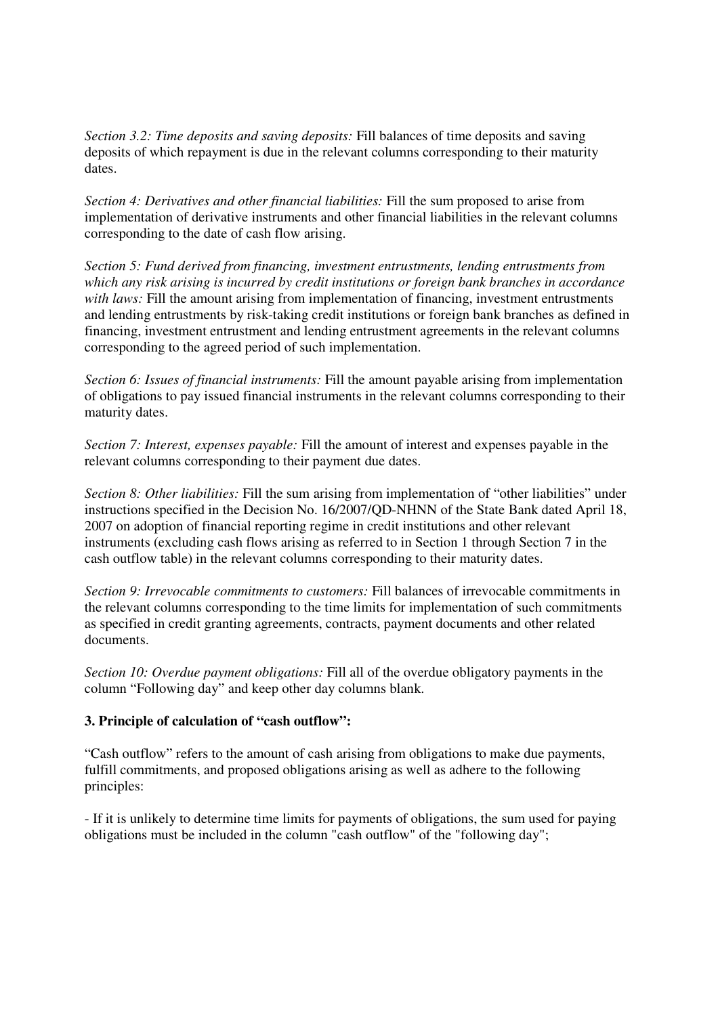*Section 3.2: Time deposits and saving deposits:* Fill balances of time deposits and saving deposits of which repayment is due in the relevant columns corresponding to their maturity dates.

*Section 4: Derivatives and other financial liabilities:* Fill the sum proposed to arise from implementation of derivative instruments and other financial liabilities in the relevant columns corresponding to the date of cash flow arising.

*Section 5: Fund derived from financing, investment entrustments, lending entrustments from which any risk arising is incurred by credit institutions or foreign bank branches in accordance with laws:* Fill the amount arising from implementation of financing, investment entrustments and lending entrustments by risk-taking credit institutions or foreign bank branches as defined in financing, investment entrustment and lending entrustment agreements in the relevant columns corresponding to the agreed period of such implementation.

*Section 6: Issues of financial instruments:* Fill the amount payable arising from implementation of obligations to pay issued financial instruments in the relevant columns corresponding to their maturity dates.

*Section 7: Interest, expenses payable:* Fill the amount of interest and expenses payable in the relevant columns corresponding to their payment due dates.

*Section 8: Other liabilities:* Fill the sum arising from implementation of "other liabilities" under instructions specified in the Decision No. 16/2007/QD-NHNN of the State Bank dated April 18, 2007 on adoption of financial reporting regime in credit institutions and other relevant instruments (excluding cash flows arising as referred to in Section 1 through Section 7 in the cash outflow table) in the relevant columns corresponding to their maturity dates.

*Section 9: Irrevocable commitments to customers:* Fill balances of irrevocable commitments in the relevant columns corresponding to the time limits for implementation of such commitments as specified in credit granting agreements, contracts, payment documents and other related documents.

*Section 10: Overdue payment obligations:* Fill all of the overdue obligatory payments in the column "Following day" and keep other day columns blank.

### **3. Principle of calculation of "cash outflow":**

"Cash outflow" refers to the amount of cash arising from obligations to make due payments, fulfill commitments, and proposed obligations arising as well as adhere to the following principles:

- If it is unlikely to determine time limits for payments of obligations, the sum used for paying obligations must be included in the column "cash outflow" of the "following day";